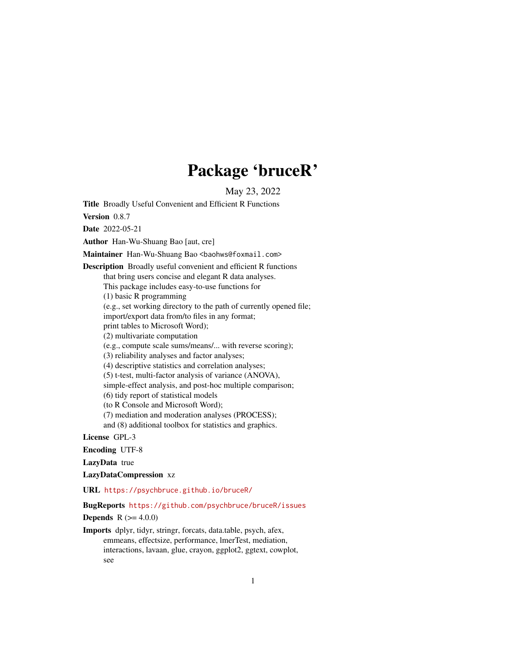# Package 'bruceR'

May 23, 2022

<span id="page-0-0"></span>Title Broadly Useful Convenient and Efficient R Functions

Version 0.8.7

Date 2022-05-21

Author Han-Wu-Shuang Bao [aut, cre]

Maintainer Han-Wu-Shuang Bao <baohws@foxmail.com>

Description Broadly useful convenient and efficient R functions that bring users concise and elegant R data analyses. This package includes easy-to-use functions for (1) basic R programming (e.g., set working directory to the path of currently opened file; import/export data from/to files in any format; print tables to Microsoft Word); (2) multivariate computation (e.g., compute scale sums/means/... with reverse scoring); (3) reliability analyses and factor analyses; (4) descriptive statistics and correlation analyses; (5) t-test, multi-factor analysis of variance (ANOVA), simple-effect analysis, and post-hoc multiple comparison; (6) tidy report of statistical models (to R Console and Microsoft Word); (7) mediation and moderation analyses (PROCESS); and (8) additional toolbox for statistics and graphics.

License GPL-3

Encoding UTF-8

LazyData true

LazyDataCompression xz

URL <https://psychbruce.github.io/bruceR/>

BugReports <https://github.com/psychbruce/bruceR/issues>

**Depends**  $R (= 4.0.0)$ 

Imports dplyr, tidyr, stringr, forcats, data.table, psych, afex, emmeans, effectsize, performance, lmerTest, mediation, interactions, lavaan, glue, crayon, ggplot2, ggtext, cowplot, see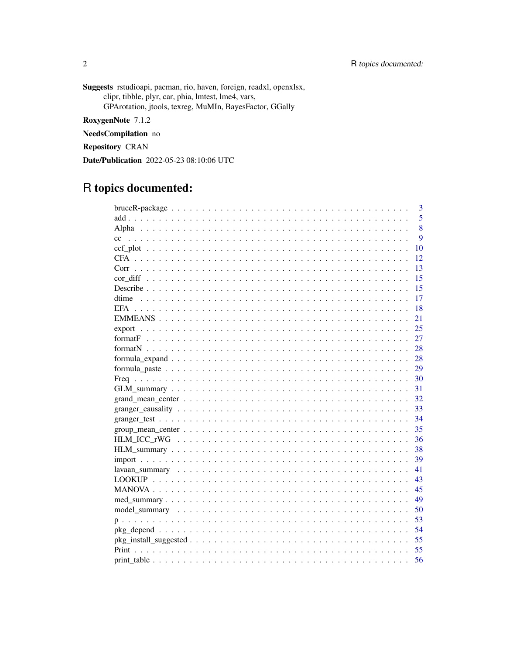Suggests rstudioapi, pacman, rio, haven, foreign, readxl, openxlsx, clipr, tibble, plyr, car, phia, lmtest, lme4, vars, GPArotation, jtools, texreg, MuMIn, BayesFactor, GGally

RoxygenNote 7.1.2

NeedsCompilation no

**Repository CRAN** 

Date/Publication 2022-05-23 08:10:06 UTC

# R topics documented:

|                                                                                                                 | 3  |
|-----------------------------------------------------------------------------------------------------------------|----|
|                                                                                                                 | 5  |
|                                                                                                                 | 8  |
| cc                                                                                                              | 9  |
|                                                                                                                 | 10 |
|                                                                                                                 | 12 |
|                                                                                                                 | 13 |
|                                                                                                                 | 15 |
|                                                                                                                 | 15 |
|                                                                                                                 | 17 |
|                                                                                                                 | 18 |
|                                                                                                                 | 21 |
|                                                                                                                 | 25 |
|                                                                                                                 | 27 |
|                                                                                                                 | 28 |
|                                                                                                                 | 28 |
|                                                                                                                 | 29 |
|                                                                                                                 | 30 |
|                                                                                                                 | 31 |
|                                                                                                                 | 32 |
|                                                                                                                 | 33 |
|                                                                                                                 | 34 |
| $group\_mean\_center \dots \dots \dots \dots \dots \dots \dots \dots \dots \dots \dots \dots \dots \dots \dots$ | 35 |
|                                                                                                                 | 36 |
|                                                                                                                 | 38 |
|                                                                                                                 | 39 |
|                                                                                                                 | 41 |
|                                                                                                                 | 43 |
|                                                                                                                 | 45 |
|                                                                                                                 | 49 |
|                                                                                                                 | 50 |
|                                                                                                                 | 53 |
|                                                                                                                 | 54 |
|                                                                                                                 | 55 |
|                                                                                                                 | 55 |
|                                                                                                                 | 56 |

 $\sqrt{2}$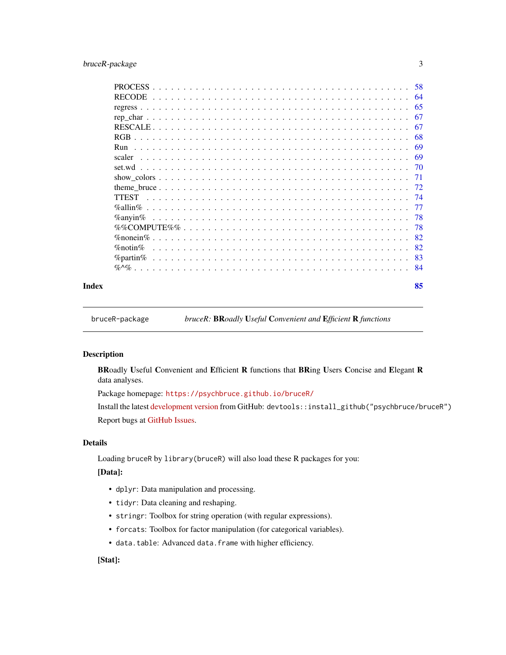# <span id="page-2-0"></span>bruceR-package 3

| Index |                 |  |  |  |  |  |  |  |  |  |  |  |  |  |  |  |  |  | 85        |
|-------|-----------------|--|--|--|--|--|--|--|--|--|--|--|--|--|--|--|--|--|-----------|
|       |                 |  |  |  |  |  |  |  |  |  |  |  |  |  |  |  |  |  |           |
|       |                 |  |  |  |  |  |  |  |  |  |  |  |  |  |  |  |  |  | 83        |
|       | $\%$ notin $\%$ |  |  |  |  |  |  |  |  |  |  |  |  |  |  |  |  |  | 82        |
|       |                 |  |  |  |  |  |  |  |  |  |  |  |  |  |  |  |  |  | 82        |
|       |                 |  |  |  |  |  |  |  |  |  |  |  |  |  |  |  |  |  | -78       |
|       | $\%$ anvin $\%$ |  |  |  |  |  |  |  |  |  |  |  |  |  |  |  |  |  | -78       |
|       | $\%$ allin $\%$ |  |  |  |  |  |  |  |  |  |  |  |  |  |  |  |  |  | 77        |
|       |                 |  |  |  |  |  |  |  |  |  |  |  |  |  |  |  |  |  |           |
|       |                 |  |  |  |  |  |  |  |  |  |  |  |  |  |  |  |  |  | 72        |
|       |                 |  |  |  |  |  |  |  |  |  |  |  |  |  |  |  |  |  | -71       |
|       | set wd          |  |  |  |  |  |  |  |  |  |  |  |  |  |  |  |  |  |           |
|       | scaler          |  |  |  |  |  |  |  |  |  |  |  |  |  |  |  |  |  | 69        |
|       | Run             |  |  |  |  |  |  |  |  |  |  |  |  |  |  |  |  |  | 69        |
|       | RGB.            |  |  |  |  |  |  |  |  |  |  |  |  |  |  |  |  |  | 68        |
|       |                 |  |  |  |  |  |  |  |  |  |  |  |  |  |  |  |  |  | 67        |
|       |                 |  |  |  |  |  |  |  |  |  |  |  |  |  |  |  |  |  | 67        |
|       | <b>RECODE</b>   |  |  |  |  |  |  |  |  |  |  |  |  |  |  |  |  |  | 65        |
|       | <b>PROCESS</b>  |  |  |  |  |  |  |  |  |  |  |  |  |  |  |  |  |  | .58<br>64 |
|       |                 |  |  |  |  |  |  |  |  |  |  |  |  |  |  |  |  |  |           |

bruceR-package *bruceR:* BR*oadly* U*seful* C*onvenient and* E*fficient* R *functions*

# Description

BRoadly Useful Convenient and Efficient R functions that BRing Users Concise and Elegant R data analyses.

Package homepage: <https://psychbruce.github.io/bruceR/>

Install the latest [development version](https://github.com/psychbruce/bruceR) from GitHub: devtools::install\_github("psychbruce/bruceR") Report bugs at [GitHub Issues.](https://github.com/psychbruce/bruceR/issues)

#### Details

Loading bruceR by library(bruceR) will also load these R packages for you:

# [Data]:

- dplyr: Data manipulation and processing.
- tidyr: Data cleaning and reshaping.
- stringr: Toolbox for string operation (with regular expressions).
- forcats: Toolbox for factor manipulation (for categorical variables).
- data.table: Advanced data.frame with higher efficiency.

# [Stat]: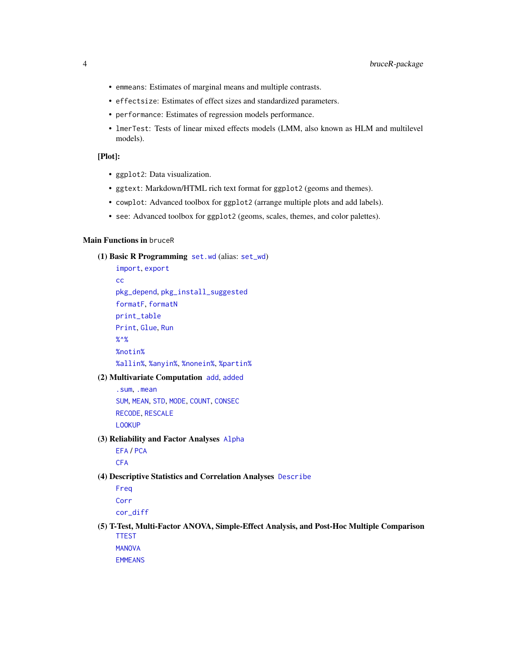- emmeans: Estimates of marginal means and multiple contrasts.
- effectsize: Estimates of effect sizes and standardized parameters.
- performance: Estimates of regression models performance.
- lmerTest: Tests of linear mixed effects models (LMM, also known as HLM and multilevel models).

#### [Plot]:

- ggplot2: Data visualization.
- ggtext: Markdown/HTML rich text format for ggplot2 (geoms and themes).
- cowplot: Advanced toolbox for ggplot2 (arrange multiple plots and add labels).
- see: Advanced toolbox for ggplot2 (geoms, scales, themes, and color palettes).

#### Main Functions in bruceR

```
(1) Basic R Programming set.wd (alias: set_wd)
```
[import](#page-38-1), [export](#page-24-1) [cc](#page-8-1) [pkg\\_depend](#page-53-1), [pkg\\_install\\_suggested](#page-54-1) [formatF](#page-26-1), [formatN](#page-27-1) [print\\_table](#page-55-1) [Print](#page-54-2), [Glue](#page-54-3), [Run](#page-68-1) [%^%](#page-83-1) [%notin%](#page-81-1) [%allin%](#page-76-1), [%anyin%](#page-77-1), [%nonein%](#page-81-2), [%partin%](#page-82-1)

#### (2) Multivariate Computation [add](#page-4-1), [added](#page-4-2)

[.sum](#page-77-2), [.mean](#page-77-2) [SUM](#page-77-2), [MEAN](#page-77-2), [STD](#page-77-2), [MODE](#page-77-2), [COUNT](#page-77-2), [CONSEC](#page-77-2) [RECODE](#page-63-1), [RESCALE](#page-66-1) [LOOKUP](#page-42-1)

(3) Reliability and Factor Analyses [Alpha](#page-7-1)

[EFA](#page-17-1) / [PCA](#page-17-2) **[CFA](#page-11-1)** 

(4) Descriptive Statistics and Correlation Analyses [Describe](#page-14-1)

[Freq](#page-29-1) [Corr](#page-12-1) [cor\\_diff](#page-14-2)

(5) T-Test, Multi-Factor ANOVA, Simple-Effect Analysis, and Post-Hoc Multiple Comparison [TTEST](#page-73-1)

**[MANOVA](#page-44-1)** 

[EMMEANS](#page-20-1)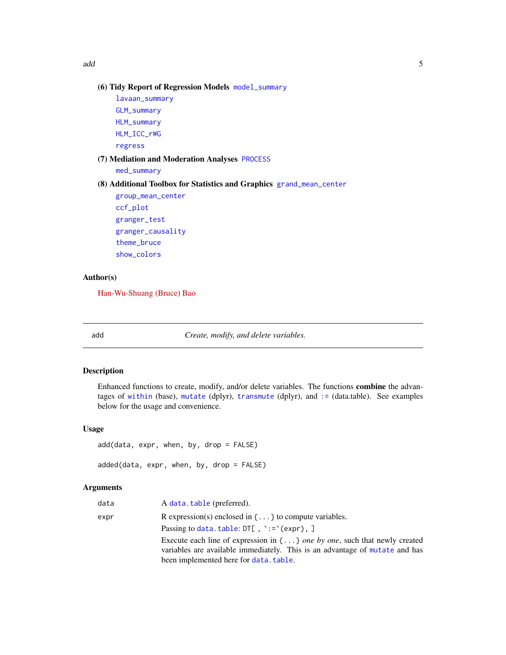<span id="page-4-0"></span>add 5 and 5 and 5 and 5 and 5 and 5 and 5 and 5 and 5 and 5 and 5 and 5 and 5 and 5 and 5 and 5 and 5 and 5 and 5 and 5 and 5 and 5 and 5 and 5 and 5 and 5 and 5 and 5 and 5 and 5 and 5 and 5 and 5 and 5 and 5 and 5 and 5

# (6) Tidy Report of Regression Models [model\\_summary](#page-49-1)

[lavaan\\_summary](#page-40-1) [GLM\\_summary](#page-30-1) [HLM\\_summary](#page-37-1) [HLM\\_ICC\\_rWG](#page-35-1) [regress](#page-64-1)

# (7) Mediation and Moderation Analyses [PROCESS](#page-57-1)

[med\\_summary](#page-48-1)

# (8) Additional Toolbox for Statistics and Graphics [grand\\_mean\\_center](#page-31-1)

[group\\_mean\\_center](#page-34-1) [ccf\\_plot](#page-9-1) [granger\\_test](#page-33-1) [granger\\_causality](#page-32-1) [theme\\_bruce](#page-71-1) [show\\_colors](#page-70-1)

# Author(s)

[Han-Wu-Shuang \(Bruce\) Bao](https://psychbruce.github.io)

<span id="page-4-1"></span>

add *Create, modify, and delete variables.*

#### <span id="page-4-2"></span>Description

Enhanced functions to create, modify, and/or delete variables. The functions combine the advantages of [within](#page-0-0) (base), [mutate](#page-0-0) (dplyr), [transmute](#page-0-0) (dplyr), and [:=](#page-0-0) (data.table). See examples below for the usage and convenience.

#### Usage

```
add(data, expr, when, by, drop = FALSE)
```

```
added(data, expr, when, by, drop = FALSE)
```
# Arguments

| data | A data.table (preferred).                                                            |
|------|--------------------------------------------------------------------------------------|
| expr | R expression(s) enclosed in $\{ \dots \}$ to compute variables.                      |
|      | Passing to data. table: $DT[$ , $\cdot := \text{exp}(x)$ , ]                         |
|      | Execute each line of expression in $\{ \dots \}$ one by one, such that newly created |
|      | variables are available immediately. This is an advantage of mutate and has          |
|      | been implemented here for data. table.                                               |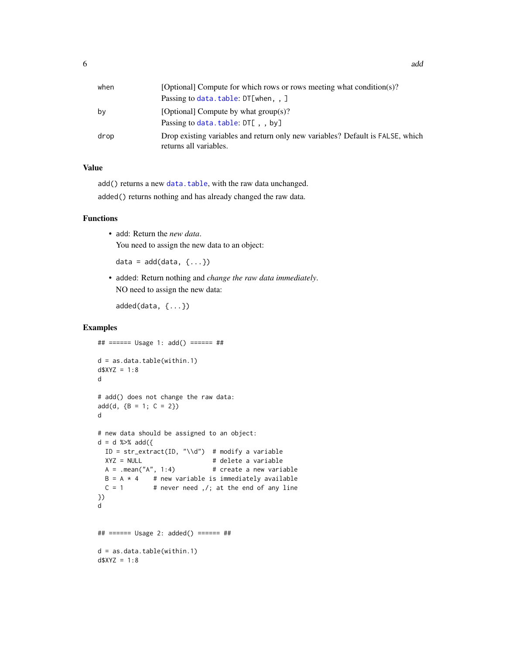| when | [Optional] Compute for which rows or rows meeting what condition(s)?                                     |
|------|----------------------------------------------------------------------------------------------------------|
|      | Passing to data.table: DT[when,,]                                                                        |
| bν   | [Optional] Compute by what $group(s)$ ?                                                                  |
|      | Passing to data.table: DT[,, by]                                                                         |
| drop | Drop existing variables and return only new variables? Default is FALSE, which<br>returns all variables. |

# Value

add() returns a new [data.table](#page-0-0), with the raw data unchanged. added() returns nothing and has already changed the raw data.

#### Functions

• add: Return the *new data*. You need to assign the new data to an object:

data =  $add(data, \{... \})$ 

• added: Return nothing and *change the raw data immediately*. NO need to assign the new data:

```
added(data, {...})
```
# Examples

```
## ====== Usage 1: add() ====== ##
d = as.data.table(within.1)
d$XYZ = 1:8d
# add() does not change the raw data:
add(d, {B = 1; C = 2})d
# new data should be assigned to an object:
d = d %>% add({
 ID = str_extract(ID, "\\d") # modify a variable
 XYZ = NULL # delete a variable
 A = .mean("A", 1:4) # create a new variable
 B = A * 4 # new variable is immediately available
 C = 1 # never need , /; at the end of any line
})
d
## ====== Usage 2: added() ====== ##
d = as.data.table(within.1)
d$XYZ = 1:8
```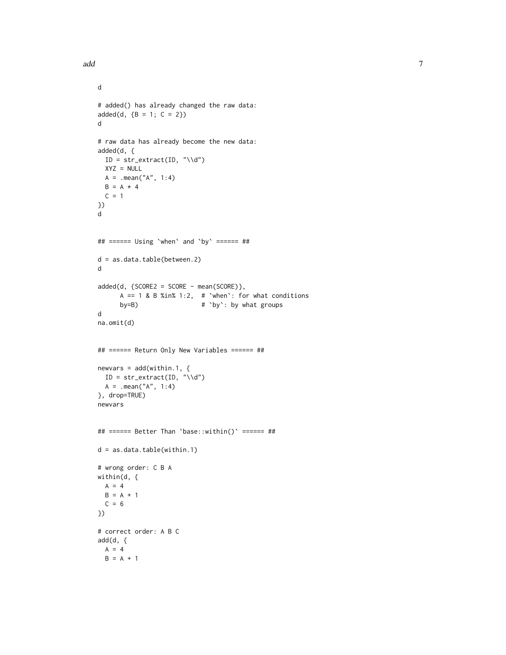#### add ann an Dùbhlachadh ann an Dùbhlachadh ann an Dùbhlachadh ann an 2007. Tha an Dùbhlachadh ann an 2007 an 10

```
d
# added() has already changed the raw data:
added(d, {B = 1; C = 2})d
# raw data has already become the new data:
added(d, {
 ID = str\_extract(ID, "\\d")XYZ = NULLA = .mean("A", 1:4)B = A * 4C = 1})
d
## ====== Using `when` and `by` ====== ##
d = as.data.table(between.2)
d
added(d, \{SCORE2 = SCORE - mean(SCORE)\},A == 1 & B %in% 1:2, # 'when': for what conditions
     by=B) # `by`: by what groups
d
na.omit(d)
## ====== Return Only New Variables ====== ##
newvars = add(within.1, {ID = str\_extract(ID, "\\d")A = .mean("A", 1:4)}, drop=TRUE)
newvars
## ====== Better Than `base::within()` ====== ##
d = as.data.table(within.1)
# wrong order: C B A
within(d, {
A = 4B = A + 1C = 6})
# correct order: A B C
add(d, {
 A = 4B = A + 1
```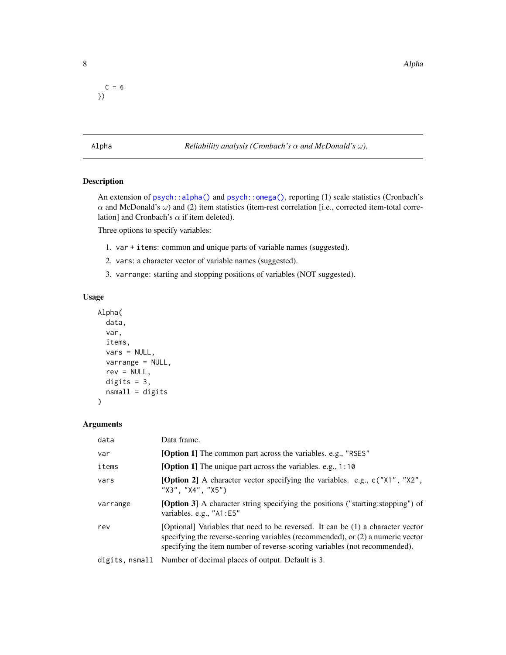$C = 6$ })

<span id="page-7-1"></span>Alpha *Reliability analysis (Cronbach's* α *and McDonald's* ω*).*

# Description

An extension of [psych::alpha\(\)](#page-0-0) and [psych::omega\(\)](#page-0-0), reporting (1) scale statistics (Cronbach's  $\alpha$  and McDonald's  $\omega$ ) and (2) item statistics (item-rest correlation [i.e., corrected item-total correlation] and Cronbach's  $\alpha$  if item deleted).

Three options to specify variables:

- 1. var + items: common and unique parts of variable names (suggested).
- 2. vars: a character vector of variable names (suggested).
- 3. varrange: starting and stopping positions of variables (NOT suggested).

### Usage

```
Alpha(
  data,
  var,
  items,
  vars = NULL,
  varrange = NULL,
  rev = NULL,
  digits = 3,
  nsmall = digits
)
```
# Arguments

| data           | Data frame.                                                                                                                                                                                                                                      |
|----------------|--------------------------------------------------------------------------------------------------------------------------------------------------------------------------------------------------------------------------------------------------|
| var            | [Option 1] The common part across the variables. e.g., "RSES"                                                                                                                                                                                    |
| items          | <b>[Option 1]</b> The unique part across the variables. e.g., 1:10                                                                                                                                                                               |
| vars           | <b>[Option 2]</b> A character vector specifying the variables. e.g., $c("X1", "X2",$<br>"X3", "X4", "X5")                                                                                                                                        |
| varrange       | <b>[Option 3]</b> A character string specifying the positions ("starting: stopping") of<br>variables. e.g., "A1:E5"                                                                                                                              |
| rev            | [Optional] Variables that need to be reversed. It can be (1) a character vector<br>specifying the reverse-scoring variables (recommended), or (2) a numeric vector<br>specifying the item number of reverse-scoring variables (not recommended). |
| digits, nsmall | Number of decimal places of output. Default is 3.                                                                                                                                                                                                |

<span id="page-7-0"></span>8 Alpha and the contract of the contract of the contract of the contract of the contract of the contract of the contract of the contract of the contract of the contract of the contract of the contract of the contract of th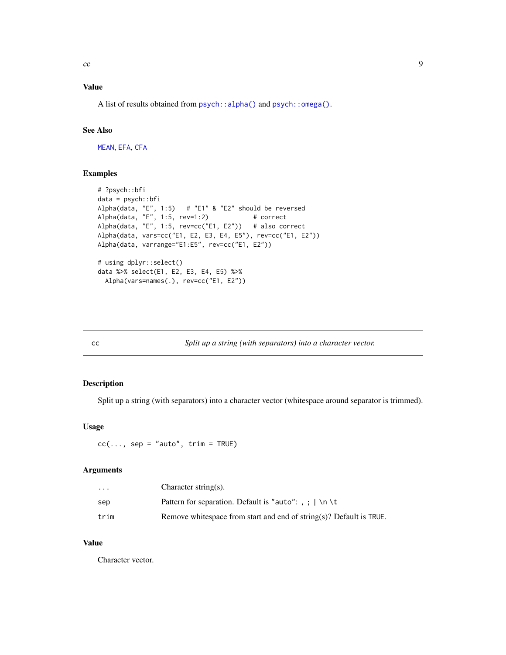# <span id="page-8-0"></span>Value

A list of results obtained from [psych::alpha\(\)](#page-0-0) and [psych::omega\(\)](#page-0-0).

# See Also

[MEAN](#page-77-2), [EFA](#page-17-1), [CFA](#page-11-1)

# Examples

```
# ?psych::bfi
data = psych::bfi
Alpha(data, "E", 1:5) # "E1" & "E2" should be reversed
Alpha(data, "E", 1:5, rev=1:2) # correct
Alpha(data, "E", 1:5, rev=cc("E1, E2")) # also correct
Alpha(data, vars=cc("E1, E2, E3, E4, E5"), rev=cc("E1, E2"))
Alpha(data, varrange="E1:E5", rev=cc("E1, E2"))
# using dplyr::select()
data %>% select(E1, E2, E3, E4, E5) %>%
 Alpha(vars=names(.), rev=cc("E1, E2"))
```
<span id="page-8-1"></span>

cc *Split up a string (with separators) into a character vector.*

### Description

Split up a string (with separators) into a character vector (whitespace around separator is trimmed).

# Usage

 $cc(\ldots, sep = "auto", trim = TRUE)$ 

#### Arguments

| $\ddotsc$ | Character string(s).                                                 |
|-----------|----------------------------------------------------------------------|
| sep       | Pattern for separation. Default is "auto": , ; $ \n\ \n\ \n\$ t      |
| trim      | Remove white space from start and end of string(s)? Default is TRUE. |

#### Value

Character vector.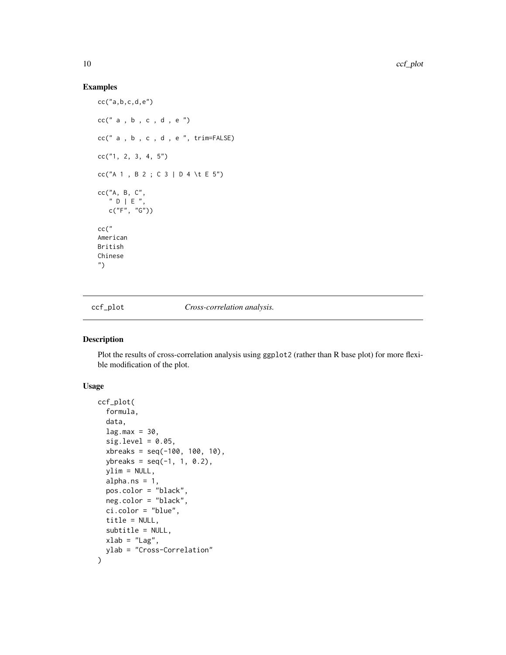# Examples

```
cc("a,b,c,d,e")
cc(" a , b , c , d , e")cc(" a , b , c , d , e ", trim=FALSE)
cc("1, 2, 3, 4, 5")
cc("A 1 , B 2 ; C 3 | D 4 \t E 5")
cc("A, B, C",
   " D | E ",
  c("F", "G")cc("
American
British
Chinese
")
```
<span id="page-9-1"></span>ccf\_plot *Cross-correlation analysis.*

#### Description

Plot the results of cross-correlation analysis using ggplot2 (rather than R base plot) for more flexible modification of the plot.

# Usage

```
ccf_plot(
  formula,
  data,
  lag.max = 30,sig. level = 0.05,
  xbreaks = seq(-100, 100, 10),
 ybreaks = seq(-1, 1, 0.2),
  ylim = NULL,
  alpha.ns = 1,
  pos.color = "black",
 neg.color = "black",
  ci.color = "blue",
  title = NULL,
  subtitle = NULL,
 xlab = "Lag",
 ylab = "Cross-Correlation"
\mathcal{E}
```
<span id="page-9-0"></span>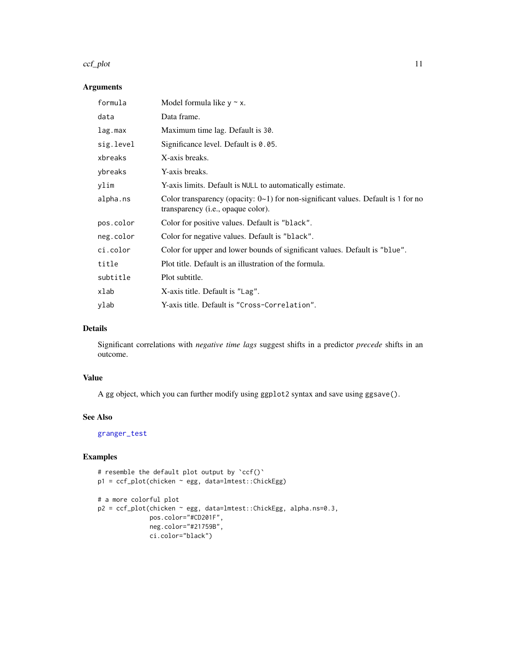#### ccf\_plot 11

# Arguments

| formula   | Model formula like $y \sim x$ .                                                                                                       |
|-----------|---------------------------------------------------------------------------------------------------------------------------------------|
| data      | Data frame.                                                                                                                           |
| lag.max   | Maximum time lag. Default is 30.                                                                                                      |
| sig.level | Significance level. Default is 0.05.                                                                                                  |
| xbreaks   | X-axis breaks.                                                                                                                        |
| ybreaks   | Y-axis breaks.                                                                                                                        |
| ylim      | Y-axis limits. Default is NULL to automatically estimate.                                                                             |
| alpha.ns  | Color transparency (opacity: $0\nu$ 1) for non-significant values. Default is 1 for no<br>transparency ( <i>i.e.</i> , opaque color). |
| pos.color | Color for positive values. Default is "black".                                                                                        |
| neg.color | Color for negative values. Default is "black".                                                                                        |
| ci.color  | Color for upper and lower bounds of significant values. Default is "blue".                                                            |
| title     | Plot title. Default is an illustration of the formula.                                                                                |
| subtitle  | Plot subtitle.                                                                                                                        |
| xlab      | X-axis title. Default is "Lag".                                                                                                       |
| ylab      | Y-axis title. Default is "Cross-Correlation".                                                                                         |

# Details

Significant correlations with *negative time lags* suggest shifts in a predictor *precede* shifts in an outcome.

# Value

A gg object, which you can further modify using ggplot2 syntax and save using ggsave().

# See Also

[granger\\_test](#page-33-1)

# Examples

```
# resemble the default plot output by 'ccf()'
p1 = ccf_plot(chicken ~ egg, data=lmtest::ChickEgg)
```

```
# a more colorful plot
p2 = ccf_plot(chicken ~ egg, data=lmtest::ChickEgg, alpha.ns=0.3,
             pos.color="#CD201F",
             neg.color="#21759B",
             ci.color="black")
```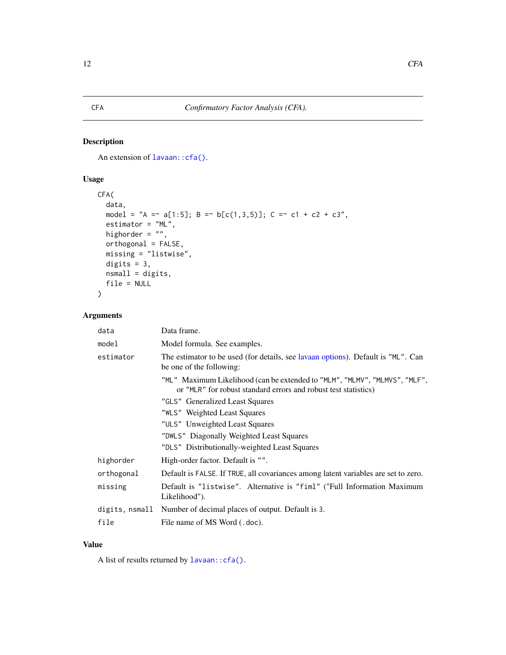# <span id="page-11-1"></span><span id="page-11-0"></span>Description

An extension of lavaan:: cfa().

# Usage

```
CFA(
  data,
  model = "A = \alpha a[1:5]; B = \alpha b[c(1,3,5)]; C = \alpha c1 + c2 + c3",
  estimator = "ML",
  highorder = ",
  orthogonal = FALSE,
  missing = "listwise",
  digits = 3,
  nsmall = digits,
  file = NULL
)
```
# Arguments

| data           | Data frame.                                                                                                                                   |
|----------------|-----------------------------------------------------------------------------------------------------------------------------------------------|
| model          | Model formula. See examples.                                                                                                                  |
| estimator      | The estimator to be used (for details, see lavaan options). Default is "ML". Can<br>be one of the following:                                  |
|                | "ML" Maximum Likelihood (can be extended to "MLM", "MLMV", "MLMVS", "MLF",<br>or "MLR" for robust standard errors and robust test statistics) |
|                | "GLS" Generalized Least Squares                                                                                                               |
|                | "WLS" Weighted Least Squares                                                                                                                  |
|                | "ULS" Unweighted Least Squares                                                                                                                |
|                | "DWLS" Diagonally Weighted Least Squares                                                                                                      |
|                | "DLS" Distributionally-weighted Least Squares                                                                                                 |
| highorder      | High-order factor. Default is "".                                                                                                             |
| orthogonal     | Default is FALSE. If TRUE, all covariances among latent variables are set to zero.                                                            |
| missing        | Default is "listwise". Alternative is "fiml" ("Full Information Maximum<br>Likelihood").                                                      |
| digits, nsmall | Number of decimal places of output. Default is 3.                                                                                             |
| file           | File name of MS Word (.doc).                                                                                                                  |

# Value

A list of results returned by [lavaan::cfa\(\)](#page-0-0).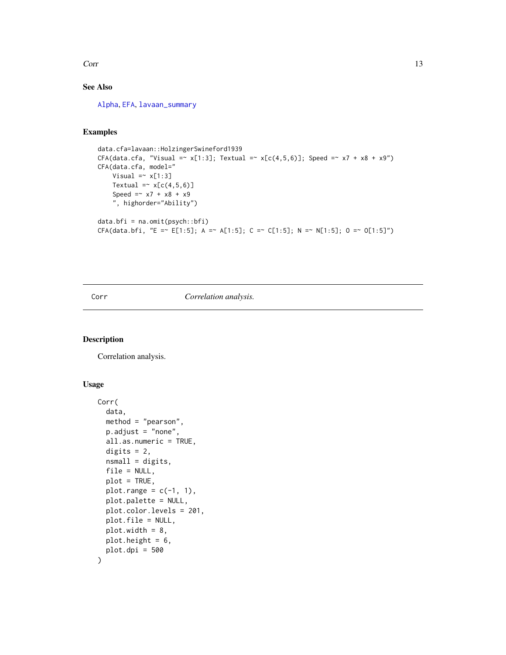<span id="page-12-0"></span> $Corr$  13

# See Also

[Alpha](#page-7-1), [EFA](#page-17-1), [lavaan\\_summary](#page-40-1)

# Examples

```
data.cfa=lavaan::HolzingerSwineford1939
CFA(data.cfa, "Visual = x[1:3]; Textual = x[c(4,5,6)]; Speed = x7 + x8 + x9")CFA(data.cfa, model="
   Visual =~x[1:3]Textual =\sim x[c(4,5,6)]
   Speed = x7 + x8 + x9", highorder="Ability")
data.bfi = na.omit(psych::bfi)
CFA(data.bfi, "E =~ E[1:5]; A =~ A[1:5]; C =~ C[1:5]; N =~ N[1:5]; O =~ O[1:5]")
```
# <span id="page-12-1"></span>Corr *Correlation analysis.*

# Description

Correlation analysis.

#### Usage

```
Corr(
  data,
  method = "pearson",
  p.adjust = "none",
  all.as.numeric = TRUE,
  digits = 2,
  nsmall = digits,
  file = NULL,
  plot = TRUE,
  plot.range = c(-1, 1),
 plot.palette = NULL,
 plot.color.levels = 201,
 plot.file = NULL,
  plot.width = 8,plot.height = 6,
 plot.dpi = 500
\mathcal{E}
```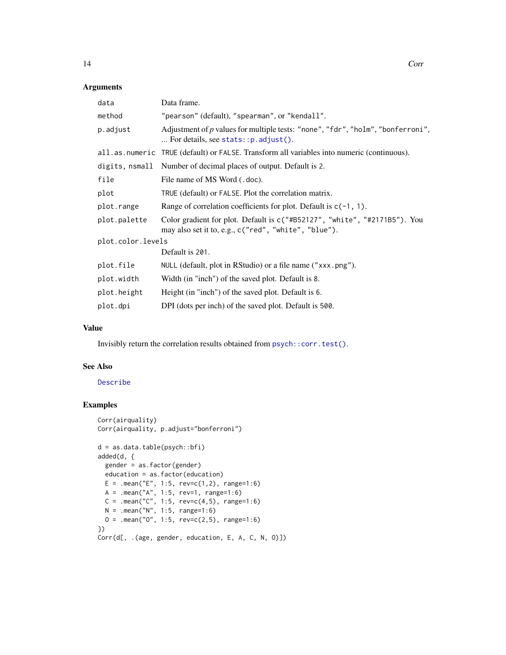# Arguments

| Data frame.                                                                                                                       |
|-----------------------------------------------------------------------------------------------------------------------------------|
| "pearson" (default), "spearman", or "kendall".                                                                                    |
| Adjustment of $p$ values for multiple tests: "none", "fdr", "holm", "bonferroni",<br>For details, see stats:: $p$ . adjust().     |
| all. as numeric TRUE (default) or FALSE. Transform all variables into numeric (continuous).                                       |
| Number of decimal places of output. Default is 2.                                                                                 |
| File name of MS Word (.doc).                                                                                                      |
| TRUE (default) or FALSE. Plot the correlation matrix.                                                                             |
| Range of correlation coefficients for plot. Default is $c(-1, 1)$ .                                                               |
| Color gradient for plot. Default is c("#B52127", "white", "#2171B5"). You<br>may also set it to, e.g., c("red", "white", "blue"). |
| plot.color.levels                                                                                                                 |
| Default is 201.                                                                                                                   |
| NULL (default, plot in RStudio) or a file name ("xxx.png").                                                                       |
| Width (in "inch") of the saved plot. Default is 8.                                                                                |
| Height (in "inch") of the saved plot. Default is 6.                                                                               |
| DPI (dots per inch) of the saved plot. Default is 500.                                                                            |
|                                                                                                                                   |

# Value

Invisibly return the correlation results obtained from [psych::corr.test\(\)](#page-0-0).

#### See Also

[Describe](#page-14-1)

# Examples

```
Corr(airquality)
Corr(airquality, p.adjust="bonferroni")
d = as.data.table(psych::bfi)
added(d, {
  gender = as.factor(gender)
  education = as.factor(education)
 E = .mean("E", 1:5, rev=c(1,2), range=1:6)A = .mean("A", 1:5, rev=1, range=1:6)
  C = .mean("C", 1:5, rev=c(4,5), range=1:6)N = .mean("N", 1:5, range=1:6)0 = .mean("0", 1:5, rev=c(2,5), range=1:6)})
Corr(d[, .(age, gender, education, E, A, C, N, O)])
```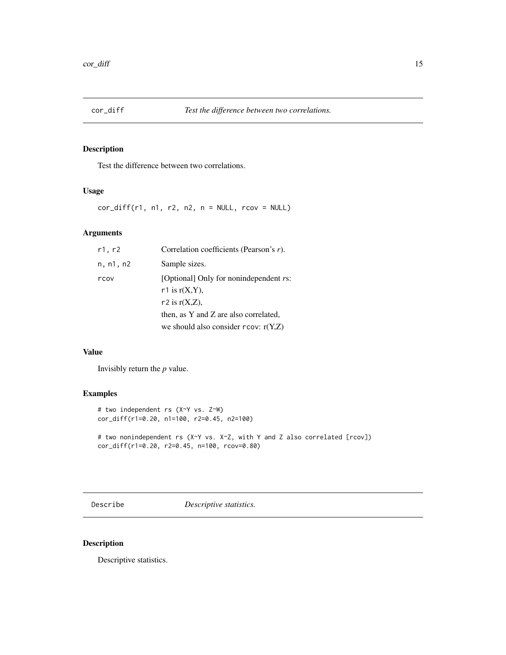<span id="page-14-2"></span><span id="page-14-0"></span>

# Description

Test the difference between two correlations.

# Usage

 $cor\_diff(r1, n1, r2, n2, n = NULL, rcov = NULL)$ 

# Arguments

| r1, r2    | Correlation coefficients (Pearson's $r$ ).     |
|-----------|------------------------------------------------|
| n, n1, n2 | Sample sizes.                                  |
| rcov      | [Optional] Only for nonindependent <i>rs</i> : |
|           | r1 is $r(X, Y)$ ,                              |
|           | r2 is $r(X,Z)$ ,                               |
|           | then, as Y and Z are also correlated,          |
|           | we should also consider $rcov: r(Y,Z)$         |

#### Value

Invisibly return the *p* value.

# Examples

```
# two independent rs (X~Y vs. Z~W)
cor_diff(r1=0.20, n1=100, r2=0.45, n2=100)
# two nonindependent rs (X~Y vs. X~Z, with Y and Z also correlated [rcov])
cor_diff(r1=0.20, r2=0.45, n=100, rcov=0.80)
```
<span id="page-14-1"></span>Describe *Descriptive statistics.*

# Description

Descriptive statistics.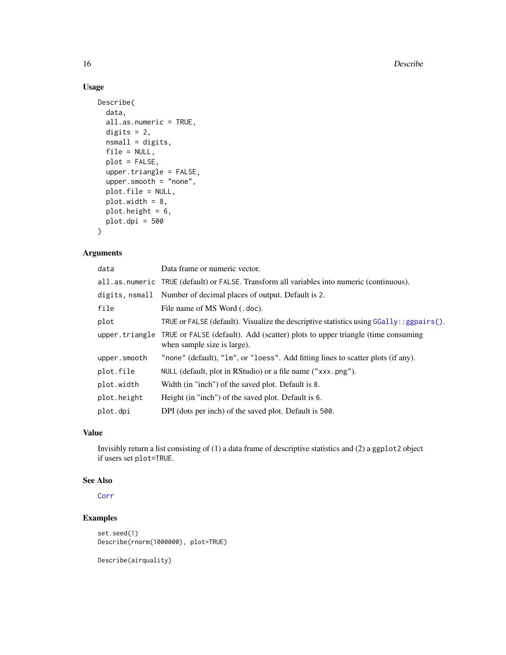# Usage

```
Describe(
 data,
 all.as.numeric = TRUE,
 digits = 2,
 nsmall = digits,file = NULL,
 plot = FALSE,
 upper.triangle = FALSE,
 upper.smooth = "none",
 plot.file = NULL,
 plot.width = 8,
 plot.height = 6,
 plot.dpi = 500
)
```
# Arguments

| data         | Data frame or numeric vector.                                                                                                 |
|--------------|-------------------------------------------------------------------------------------------------------------------------------|
|              | all.as.numeric TRUE (default) or FALSE. Transform all variables into numeric (continuous).                                    |
|              | digits, nsmall Number of decimal places of output. Default is 2.                                                              |
| file         | File name of MS Word (.doc).                                                                                                  |
| plot         | TRUE or FALSE (default). Visualize the descriptive statistics using $GGally$ : : ggpairs().                                   |
|              | upper. triangle TRUE or FALSE (default). Add (scatter) plots to upper triangle (time consuming<br>when sample size is large). |
| upper.smooth | "none" (default), "1m", or "loess". Add fitting lines to scatter plots (if any).                                              |
| plot.file    | NULL (default, plot in RStudio) or a file name ("xxx.png").                                                                   |
| plot.width   | Width (in "inch") of the saved plot. Default is 8.                                                                            |
| plot.height  | Height (in "inch") of the saved plot. Default is 6.                                                                           |
| plot.dpi     | DPI (dots per inch) of the saved plot. Default is 500.                                                                        |

#### Value

Invisibly return a list consisting of (1) a data frame of descriptive statistics and (2) a ggplot2 object if users set plot=TRUE.

#### See Also

[Corr](#page-12-1)

# Examples

```
set.seed(1)
Describe(rnorm(1000000), plot=TRUE)
```
Describe(airquality)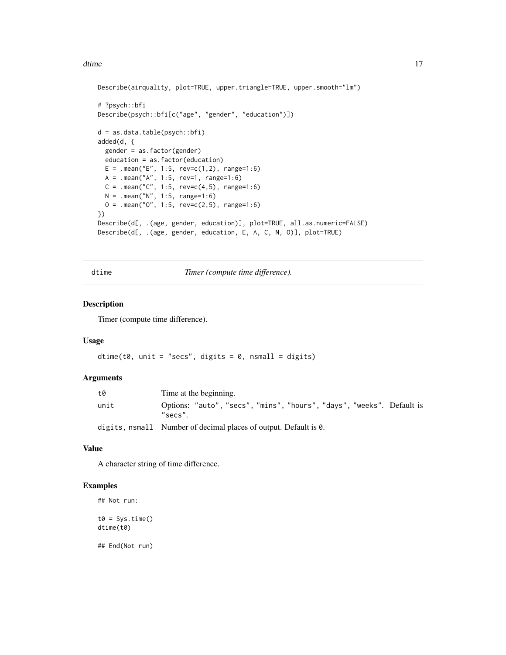#### <span id="page-16-0"></span>dtime the contract of the contract of the contract of the contract of the contract of the contract of the contract of the contract of the contract of the contract of the contract of the contract of the contract of the cont

```
Describe(airquality, plot=TRUE, upper.triangle=TRUE, upper.smooth="lm")
# ?psych::bfi
Describe(psych::bfi[c("age", "gender", "education")])
d = as.data.table(psych::bfi)
added(d, {
  gender = as.factor(gender)
  education = as.factor(education)
  E = .mean("E", 1:5, rev=c(1,2), range=1:6)
  A = .mean("A", 1:5, rev=1, range=1:6)C = .mean("C", 1:5, rev=c(4,5), range=1:6)N = .mean("N", 1:5, range=1:6)0 = .mean("0", 1:5, rev=c(2,5), range=1:6)})
Describe(d[, .(age, gender, education)], plot=TRUE, all.as.numeric=FALSE)
Describe(d[, .(age, gender, education, E, A, C, N, O)], plot=TRUE)
```
dtime *Timer (compute time difference).*

#### Description

Timer (compute time difference).

# Usage

```
dtime(t0, unit = "secs", digits = 0, nsmall = digits)
```
# Arguments

| t0   | Time at the beginning.                                                           |
|------|----------------------------------------------------------------------------------|
| unit | Options: "auto", "secs", "mins", "hours", "days", "weeks". Default is<br>"secs". |
|      | digits, nsmall Number of decimal places of output. Default is 0.                 |

#### Value

A character string of time difference.

### Examples

```
## Not run:
t0 = Sys.time()dtime(t0)
```
## End(Not run)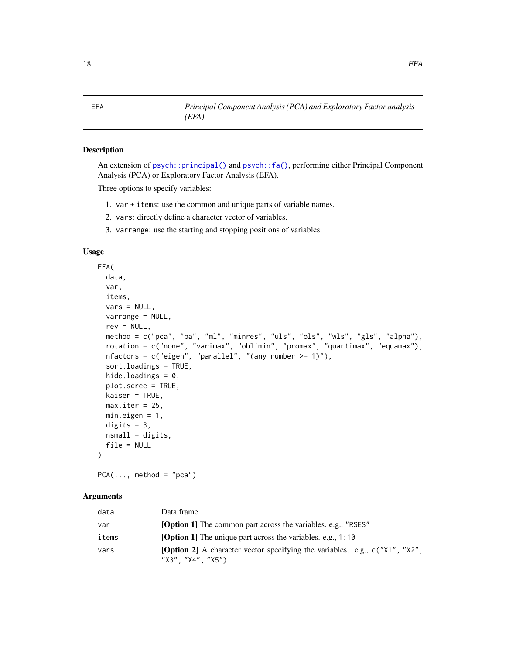<span id="page-17-1"></span><span id="page-17-0"></span>

EFA *Principal Component Analysis (PCA) and Exploratory Factor analysis (EFA).*

# <span id="page-17-2"></span>Description

An extension of [psych::principal\(\)](#page-0-0) and [psych::fa\(\)](#page-0-0), performing either Principal Component Analysis (PCA) or Exploratory Factor Analysis (EFA).

Three options to specify variables:

- 1. var + items: use the common and unique parts of variable names.
- 2. vars: directly define a character vector of variables.
- 3. varrange: use the starting and stopping positions of variables.

# Usage

```
EFA(
  data,
  var,
  items,
  vars = NULL,
  varrange = NULL,
  rev = NULL,method = c("pca", "pa", "ml", "minres", "uls", "ols", "wls", "gls", "alpha"),
  rotation = c("none", "varimax", "oblimin", "promax", "quartimax", "equamax"),
  nfactors = c("eigen", "parallel", "(any number >= 1)");sort.loadings = TRUE,
  hide.loadings = 0,
  plot.scree = TRUE,
  kaiser = TRUE,
  max.iter = 25,
 min.eigen = 1,
  digits = 3,
  nsmall = digits,file = NULL
)
```
 $PCA(\ldots, method = "pca")$ 

# **Arguments**

| data  | Data frame.                                                                                             |
|-------|---------------------------------------------------------------------------------------------------------|
| var   | <b>[Option 1]</b> The common part across the variables, e.g., "RSES"                                    |
| items | <b>[Option 1]</b> The unique part across the variables. e.g., 1:10                                      |
| vars  | <b>[Option 2]</b> A character vector specifying the variables. e.g., c("X1", "X2",<br>"X3", "X4", "X5") |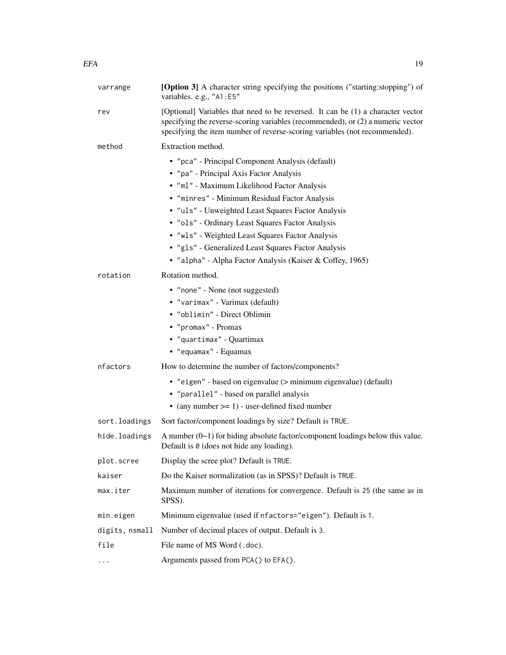| varrange       | [Option 3] A character string specifying the positions ("starting:stopping") of<br>variables. e.g., "A1:E5"                                                                                                                                                                                                                                                                                                                                                                   |
|----------------|-------------------------------------------------------------------------------------------------------------------------------------------------------------------------------------------------------------------------------------------------------------------------------------------------------------------------------------------------------------------------------------------------------------------------------------------------------------------------------|
| rev            | [Optional] Variables that need to be reversed. It can be (1) a character vector<br>specifying the reverse-scoring variables (recommended), or (2) a numeric vector<br>specifying the item number of reverse-scoring variables (not recommended).                                                                                                                                                                                                                              |
| method         | Extraction method.                                                                                                                                                                                                                                                                                                                                                                                                                                                            |
|                | • "pca" - Principal Component Analysis (default)<br>• "pa" - Principal Axis Factor Analysis<br>· "ml" - Maximum Likelihood Factor Analysis<br>· "minres" - Minimum Residual Factor Analysis<br>· "uls" - Unweighted Least Squares Factor Analysis<br>· "ols" - Ordinary Least Squares Factor Analysis<br>· "wls" - Weighted Least Squares Factor Analysis<br>· "gls" - Generalized Least Squares Factor Analysis<br>• "alpha" - Alpha Factor Analysis (Kaiser & Coffey, 1965) |
| rotation       | Rotation method.                                                                                                                                                                                                                                                                                                                                                                                                                                                              |
|                | • "none" - None (not suggested)<br>• "varimax" - Varimax (default)<br>• "oblimin" - Direct Oblimin<br>• "promax" - Promax<br>• "quartimax" - Quartimax<br>• "equamax" - Equamax                                                                                                                                                                                                                                                                                               |
| nfactors       | How to determine the number of factors/components?                                                                                                                                                                                                                                                                                                                                                                                                                            |
|                | • "eigen" - based on eigenvalue (> minimum eigenvalue) (default)<br>• "parallel" - based on parallel analysis<br>• (any number $>= 1$ ) - user-defined fixed number                                                                                                                                                                                                                                                                                                           |
| sort.loadings  | Sort factor/component loadings by size? Default is TRUE.                                                                                                                                                                                                                                                                                                                                                                                                                      |
| hide.loadings  | A number $(0-1)$ for hiding absolute factor/component loadings below this value.<br>Default is $\theta$ (does not hide any loading).                                                                                                                                                                                                                                                                                                                                          |
| plot.scree     | Display the scree plot? Default is TRUE.                                                                                                                                                                                                                                                                                                                                                                                                                                      |
| kaiser         | Do the Kaiser normalization (as in SPSS)? Default is TRUE.                                                                                                                                                                                                                                                                                                                                                                                                                    |
| max.iter       | Maximum number of iterations for convergence. Default is 25 (the same as in<br>SPSS).                                                                                                                                                                                                                                                                                                                                                                                         |
| min.eigen      | Minimum eigenvalue (used if nfactors="eigen"). Default is 1.                                                                                                                                                                                                                                                                                                                                                                                                                  |
| digits, nsmall | Number of decimal places of output. Default is 3.                                                                                                                                                                                                                                                                                                                                                                                                                             |
| file           | File name of MS Word (.doc).                                                                                                                                                                                                                                                                                                                                                                                                                                                  |
| $\cdots$       | Arguments passed from PCA() to EFA().                                                                                                                                                                                                                                                                                                                                                                                                                                         |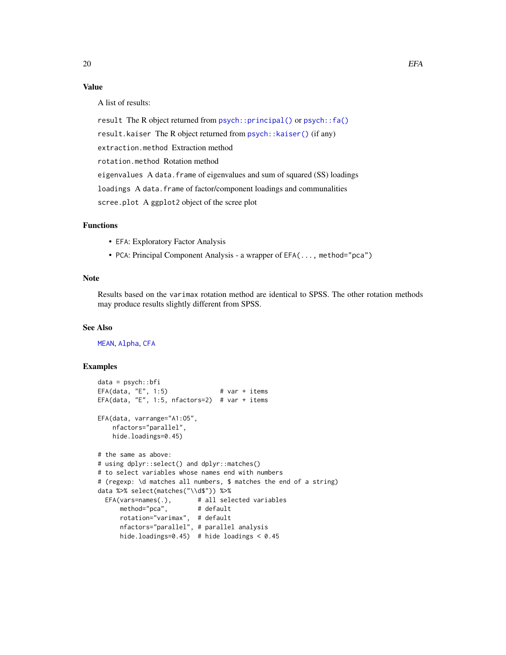# Value

A list of results:

result The R object returned from [psych::principal\(\)](#page-0-0) or [psych::fa\(\)](#page-0-0) result.kaiser The R object returned from [psych::kaiser\(\)](#page-0-0) (if any) extraction.method Extraction method rotation.method Rotation method eigenvalues A data.frame of eigenvalues and sum of squared (SS) loadings loadings A data.frame of factor/component loadings and communalities scree.plot A ggplot2 object of the scree plot

# Functions

- EFA: Exploratory Factor Analysis
- PCA: Principal Component Analysis a wrapper of EFA(..., method="pca")

# Note

Results based on the varimax rotation method are identical to SPSS. The other rotation methods may produce results slightly different from SPSS.

#### See Also

[MEAN](#page-77-2), [Alpha](#page-7-1), [CFA](#page-11-1)

# Examples

```
data = psych::bfi
EFA(data, "E", 1:5) # var + items
EFA(data, "E", 1:5, nfactors=2) # var + items
EFA(data, varrange="A1:O5",
   nfactors="parallel",
   hide.loadings=0.45)
# the same as above:
# using dplyr::select() and dplyr::matches()
# to select variables whose names end with numbers
# (regexp: \d matches all numbers, $ matches the end of a string)
data %>% select(matches("\\d$")) %>%
 EFA(vars=names(.), # all selected variables
     method="pca", # default
     rotation="varimax", # default
     nfactors="parallel", # parallel analysis
     hide.loadings=0.45) # hide loadings < 0.45
```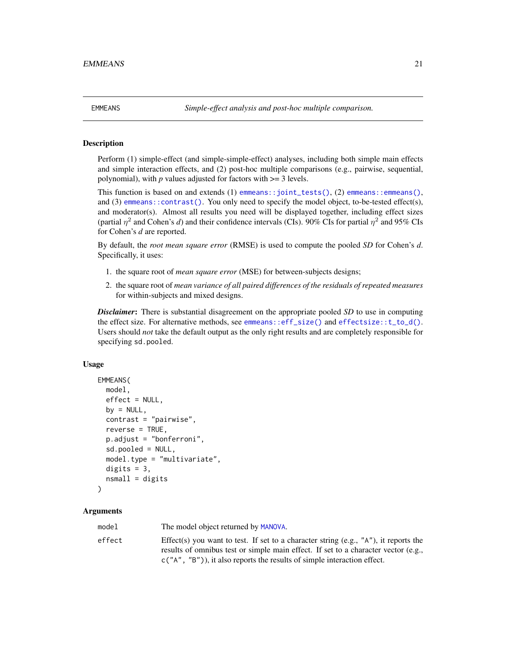<span id="page-20-1"></span><span id="page-20-0"></span>

#### Description

Perform (1) simple-effect (and simple-simple-effect) analyses, including both simple main effects and simple interaction effects, and (2) post-hoc multiple comparisons (e.g., pairwise, sequential, polynomial), with  $p$  values adjusted for factors with  $\geq$  3 levels.

This function is based on and extends (1) [emmeans::joint\\_tests\(\)](#page-0-0), (2) [emmeans::emmeans\(\)](#page-0-0), and (3) [emmeans::contrast\(\)](#page-0-0). You only need to specify the model object, to-be-tested effect(s), and moderator(s). Almost all results you need will be displayed together, including effect sizes (partial  $\eta^2$  and Cohen's *d*) and their confidence intervals (CIs). 90% CIs for partial  $\eta^2$  and 95% CIs for Cohen's *d* are reported.

By default, the *root mean square error* (RMSE) is used to compute the pooled *SD* for Cohen's *d*. Specifically, it uses:

- 1. the square root of *mean square error* (MSE) for between-subjects designs;
- 2. the square root of *mean variance of all paired differences of the residuals of repeated measures* for within-subjects and mixed designs.

*Disclaimer*: There is substantial disagreement on the appropriate pooled *SD* to use in computing the effect size. For alternative methods, see [emmeans::eff\\_size\(\)](#page-0-0) and [effectsize::t\\_to\\_d\(\)](#page-0-0). Users should *not* take the default output as the only right results and are completely responsible for specifying sd.pooled.

#### Usage

```
EMMEANS(
 model,
  effect = NULL,
  by = NULL,
  contrast = "pairwise",
  reverse = TRUE,p.adjust = "bonferroni",
  sd.pooled = NULL,
  model.type = "multivariate",
  digits = 3,
  nsmall = digits)
```
# Arguments

model The model object returned by [MANOVA](#page-44-1). effect Effect Effect Effect Effects you want to test. If set to a character string (e.g., "A"), it reports the results of omnibus test or simple main effect. If set to a character vector (e.g., c("A", "B")), it also reports the results of simple interaction effect.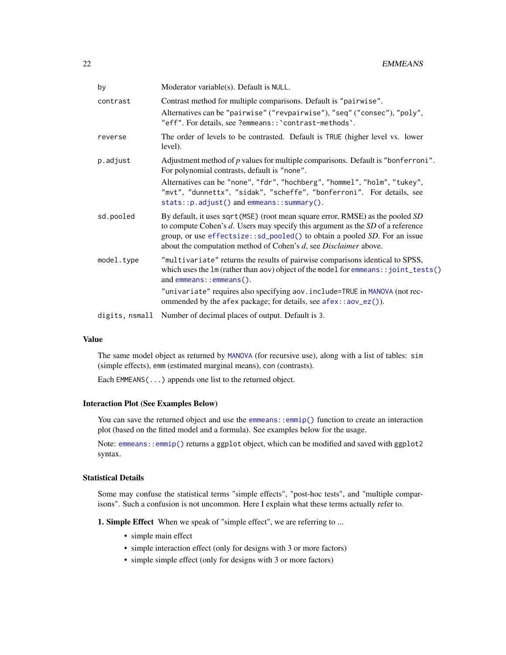| by             | Moderator variable(s). Default is NULL.                                                                                                                                                                                                                                                                                |
|----------------|------------------------------------------------------------------------------------------------------------------------------------------------------------------------------------------------------------------------------------------------------------------------------------------------------------------------|
| contrast       | Contrast method for multiple comparisons. Default is "pairwise".<br>Alternatives can be "pairwise" ("revpairwise"), "seq" ("consec"), "poly",<br>"eff". For details, see ?emmeans:: `contrast-methods`.                                                                                                                |
| reverse        | The order of levels to be contrasted. Default is TRUE (higher level vs. lower<br>level).                                                                                                                                                                                                                               |
| p.adjust       | Adjustment method of $p$ values for multiple comparisons. Default is "bonferroni".<br>For polynomial contrasts, default is "none".                                                                                                                                                                                     |
|                | Alternatives can be "none", "fdr", "hochberg", "hommel", "holm", "tukey",<br>"mvt", "dunnettx", "sidak", "scheffe", "bonferroni". For details, see<br>stats::p.adjust() and emmeans::summary().                                                                                                                        |
| sd.pooled      | By default, it uses sqrt (MSE) (root mean square error, RMSE) as the pooled SD<br>to compute Cohen's $d$ . Users may specify this argument as the $SD$ of a reference<br>group, or use effectsize::sd_pooled() to obtain a pooled SD. For an issue<br>about the computation method of Cohen's d, see Disclaimer above. |
| model.type     | "multivariate" returns the results of pairwise comparisons identical to SPSS,<br>which uses the lm (rather than aov) object of the model for emmeans: : joint_tests()<br>and $emmeans$ :: $emmeans()$ .                                                                                                                |
|                | "univariate" requires also specifying aov. include=TRUE in MANOVA (not rec-<br>ommended by the afex package; for details, see afex::aov_ez()).                                                                                                                                                                         |
| digits, nsmall | Number of decimal places of output. Default is 3.                                                                                                                                                                                                                                                                      |

#### Value

The same model object as returned by [MANOVA](#page-44-1) (for recursive use), along with a list of tables: sim (simple effects), emm (estimated marginal means), con (contrasts).

Each EMMEANS(...) appends one list to the returned object.

#### Interaction Plot (See Examples Below)

You can save the returned object and use the emmeans: :  $\epsilon$ mmip() function to create an interaction plot (based on the fitted model and a formula). See examples below for the usage.

Note: [emmeans::emmip\(\)](#page-0-0) returns a ggplot object, which can be modified and saved with ggplot2 syntax.

# Statistical Details

Some may confuse the statistical terms "simple effects", "post-hoc tests", and "multiple comparisons". Such a confusion is not uncommon. Here I explain what these terms actually refer to.

1. Simple Effect When we speak of "simple effect", we are referring to ...

- simple main effect
- simple interaction effect (only for designs with 3 or more factors)
- simple simple effect (only for designs with 3 or more factors)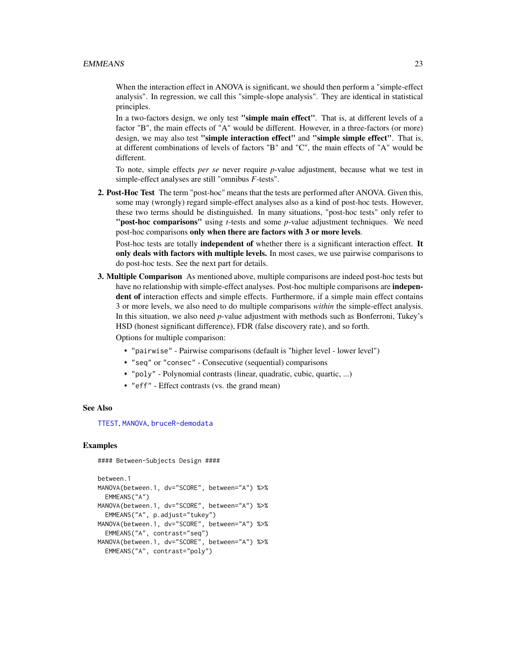#### EMMEANS 23

When the interaction effect in ANOVA is significant, we should then perform a "simple-effect analysis". In regression, we call this "simple-slope analysis". They are identical in statistical principles.

In a two-factors design, we only test "simple main effect". That is, at different levels of a factor "B", the main effects of "A" would be different. However, in a three-factors (or more) design, we may also test "simple interaction effect" and "simple simple effect". That is, at different combinations of levels of factors "B" and "C", the main effects of "A" would be different.

To note, simple effects *per se* never require *p*-value adjustment, because what we test in simple-effect analyses are still "omnibus *F*-tests".

2. Post-Hoc Test The term "post-hoc" means that the tests are performed after ANOVA. Given this, some may (wrongly) regard simple-effect analyses also as a kind of post-hoc tests. However, these two terms should be distinguished. In many situations, "post-hoc tests" only refer to "post-hoc comparisons" using *t*-tests and some *p*-value adjustment techniques. We need post-hoc comparisons only when there are factors with 3 or more levels.

Post-hoc tests are totally **independent of** whether there is a significant interaction effect. It only deals with factors with multiple levels. In most cases, we use pairwise comparisons to do post-hoc tests. See the next part for details.

3. Multiple Comparison As mentioned above, multiple comparisons are indeed post-hoc tests but have no relationship with simple-effect analyses. Post-hoc multiple comparisons are **indepen**dent of interaction effects and simple effects. Furthermore, if a simple main effect contains 3 or more levels, we also need to do multiple comparisons *within* the simple-effect analysis. In this situation, we also need *p*-value adjustment with methods such as Bonferroni, Tukey's HSD (honest significant difference), FDR (false discovery rate), and so forth.

Options for multiple comparison:

- "pairwise" Pairwise comparisons (default is "higher level lower level")
- "seq" or "consec" Consecutive (sequential) comparisons
- "poly" Polynomial contrasts (linear, quadratic, cubic, quartic, ...)
- "eff" Effect contrasts (vs. the grand mean)

#### See Also

[TTEST](#page-73-1), [MANOVA](#page-44-1), [bruceR-demodata](#page-0-0)

#### Examples

#### Between-Subjects Design ####

```
between.1
MANOVA(between.1, dv="SCORE", between="A") %>%
 EMMEANS("A")
MANOVA(between.1, dv="SCORE", between="A") %>%
 EMMEANS("A", p.adjust="tukey")
MANOVA(between.1, dv="SCORE", between="A") %>%
 EMMEANS("A", contrast="seq")
MANOVA(between.1, dv="SCORE", between="A") %>%
 EMMEANS("A", contrast="poly")
```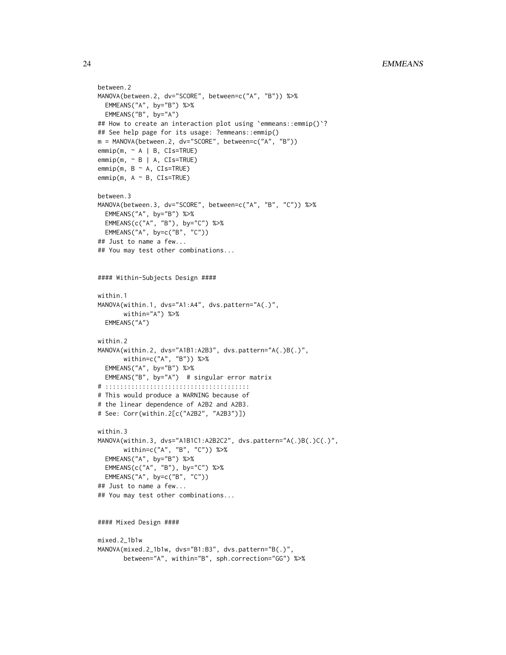```
between.2
MANOVA(between.2, dv="SCORE", between=c("A", "B")) %>%
  EMMEANS("A", by="B") %>%
 EMMEANS("B", by="A")
## How to create an interaction plot using `emmeans::emmip()`?
## See help page for its usage: ?emmeans::emmip()
m = MANOVA(between.2, dv="SCORE", between=c("A", "B"))
emmin(m, ~ A | B, CIs=TRUE)emmip(m, ~ B | A, CIs=TRUE)
emmin(m, B ~ \sim A, CIs=TRUE)emmin(m, A ~ N, CIs=TRUE)between.3
MANOVA(between.3, dv="SCORE", between=c("A", "B", "C")) %>%
  EMMEANS("A", by="B") %>%
  EMMEANS(c("A", "B"), by="C") %>%
 EMMEANS("A", by=c("B", "C"))
## Just to name a few...
## You may test other combinations...
#### Within-Subjects Design ####
within.1
MANOVA(within.1, dvs="A1:A4", dvs.pattern="A(.)",
       within="A") %>%
  EMMEANS("A")
within.2
MANOVA(within.2, dvs="A1B1:A2B3", dvs.pattern="A(.)B(.)",
       within=c("A", "B")) %>%
  EMMEANS("A", by="B") %>%
  EMMEANS("B", by="A") # singular error matrix
# :::::::::::::::::::::::::::::::::::::::
# This would produce a WARNING because of
# the linear dependence of A2B2 and A2B3.
# See: Corr(within.2[c("A2B2", "A2B3")])
within.3
MANOVA(within.3, dvs="A1B1C1:A2B2C2", dvs.pattern="A(.)B(.)C(.)",
       within=c("A", "B", "C")) %>%
  EMMEANS("A", by="B") %>%
  EMMEANS(c("A", "B"), by="C") %>%
  EMMEANS("A", by=c("B", "C"))
## Just to name a few...
## You may test other combinations...
#### Mixed Design ####
mixed.2_1b1w
MANOVA(mixed.2_1b1w, dvs="B1:B3", dvs.pattern="B(.)",
       between="A", within="B", sph.correction="GG") %>%
```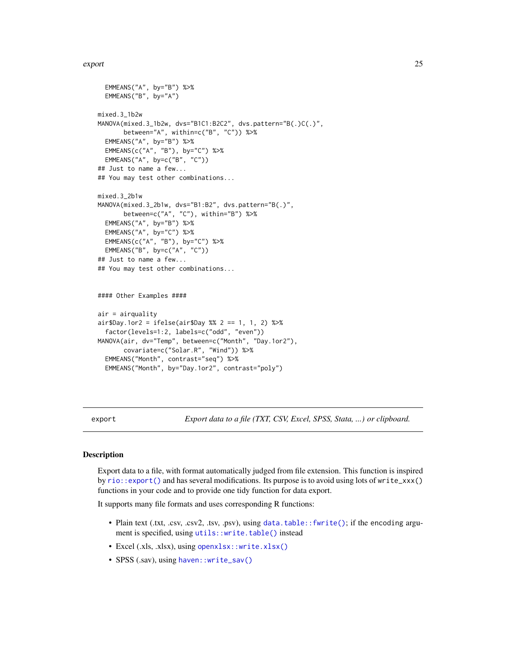#### <span id="page-24-0"></span>export 25

```
EMMEANS("A", by="B") %>%
 EMMEANS("B", by="A")
mixed.3_1b2w
MANOVA(mixed.3_1b2w, dvs="B1C1:B2C2", dvs.pattern="B(.)C(.)",
      between="A", within=c("B", "C")) %>%
 EMMEANS("A", by="B") %>%
 EMMEANS(c("A", "B"), by="C") %>%
 EMMEANS("A", by=c("B", "C"))
## Just to name a few...
## You may test other combinations...
mixed.3_2b1w
MANOVA(mixed.3_2b1w, dvs="B1:B2", dvs.pattern="B(.)",
      between=c("A", "C"), within="B") %>%
 EMMEANS("A", by="B") %>%
 EMMEANS("A", by="C") %>%
 EMMEANS(c("A", "B"), by="C") %>%
 EMMEANS("B", by=c("A", "C"))
## Just to name a few...
## You may test other combinations...
#### Other Examples ####
air = airquality
air$Day.1 or 2 = ifelse(air$Day %2 == 1, 1, 2) %>}factor(levels=1:2, labels=c("odd", "even"))
MANOVA(air, dv="Temp", between=c("Month", "Day.1or2"),
      covariate=c("Solar.R", "Wind")) %>%
 EMMEANS("Month", contrast="seq") %>%
 EMMEANS("Month", by="Day.1or2", contrast="poly")
```
<span id="page-24-1"></span>export *Export data to a file (TXT, CSV, Excel, SPSS, Stata, ...) or clipboard.*

### Description

Export data to a file, with format automatically judged from file extension. This function is inspired by [rio::export\(\)](#page-0-0) and has several modifications. Its purpose is to avoid using lots of write\_xxx() functions in your code and to provide one tidy function for data export.

It supports many file formats and uses corresponding R functions:

- Plain text (.txt, .csv, .csv2, .tsv, .psv), using [data.table::fwrite\(\)](#page-0-0); if the encoding argument is specified, using [utils::write.table\(\)](#page-0-0) instead
- Excel (.xls, .xlsx), using [openxlsx::write.xlsx\(\)](#page-0-0)
- SPSS (.sav), using [haven::write\\_sav\(\)](#page-0-0)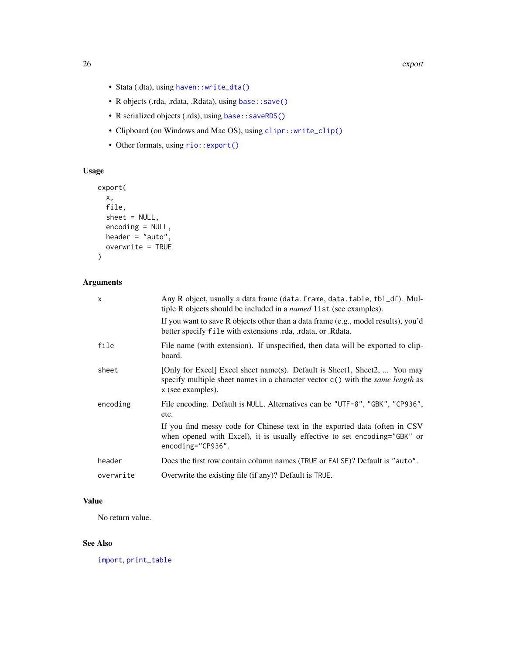- Stata (.dta), using [haven::write\\_dta\(\)](#page-0-0)
- R objects (.rda, .rdata, .Rdata), using [base::save\(\)](#page-0-0)
- R serialized objects (.rds), using [base::saveRDS\(\)](#page-0-0)
- Clipboard (on Windows and Mac OS), using [clipr::write\\_clip\(\)](#page-0-0)
- Other formats, using [rio::export\(\)](#page-0-0)

# Usage

```
export(
  x,
  file,
  sheet = NULL,
  encoding = NULL,
  header = "auto",
  overwrite = TRUE
\mathcal{L}
```
# Arguments

| x         | Any R object, usually a data frame (data. frame, data. table, tbl_df). Mul-<br>tiple R objects should be included in a <i>named</i> list (see examples).                                  |
|-----------|-------------------------------------------------------------------------------------------------------------------------------------------------------------------------------------------|
|           | If you want to save R objects other than a data frame (e.g., model results), you'd<br>better specify file with extensions rda, rdata, or Redata.                                          |
| file      | File name (with extension). If unspecified, then data will be exported to clip-<br>board.                                                                                                 |
| sheet     | [Only for Excel] Excel sheet name(s). Default is Sheet1, Sheet2,  You may<br>specify multiple sheet names in a character vector $c()$ with the <i>same length</i> as<br>x (see examples). |
| encoding  | File encoding. Default is NULL. Alternatives can be "UTF-8", "GBK", "CP936",<br>etc.                                                                                                      |
|           | If you find messy code for Chinese text in the exported data (often in CSV<br>when opened with Excel), it is usually effective to set encoding="GBK" or<br>$encoding="CP936".$            |
| header    | Does the first row contain column names (TRUE or FALSE)? Default is "auto".                                                                                                               |
| overwrite | Overwrite the existing file (if any)? Default is TRUE.                                                                                                                                    |

# Value

No return value.

# See Also

[import](#page-38-1), [print\\_table](#page-55-1)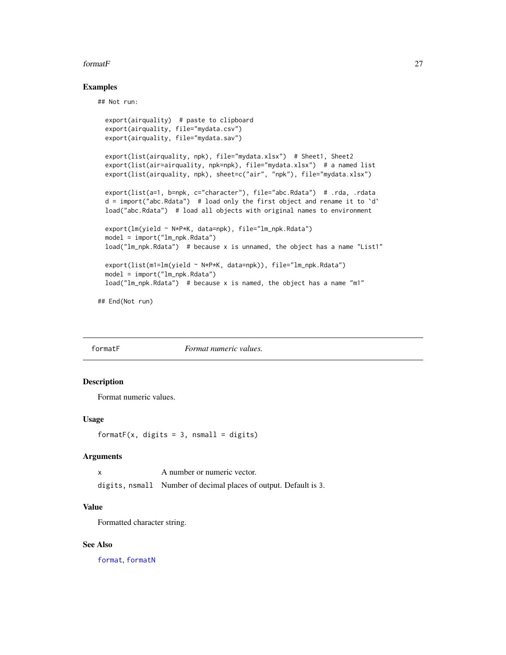#### <span id="page-26-0"></span>formatF 27

#### Examples

## Not run:

```
export(airquality) # paste to clipboard
export(airquality, file="mydata.csv")
export(airquality, file="mydata.sav")
export(list(airquality, npk), file="mydata.xlsx") # Sheet1, Sheet2
export(list(air=airquality, npk=npk), file="mydata.xlsx") # a named list
export(list(airquality, npk), sheet=c("air", "npk"), file="mydata.xlsx")
export(list(a=1, b=npk, c="character"), file="abc.Rdata") # .rda, .rdata
d = import("abc.Rdata") # load only the first object and rename it to `d`
load("abc.Rdata") # load all objects with original names to environment
export(lm(yield ~ N*P*K, data=npk), file="lm_npk.Rdata")
model = import("lm_npk.Rdata")
load("lm_npk.Rdata") # because x is unnamed, the object has a name "List1"
export(list(m1=lm(yield ~ N*P*K, data=npk)), file="lm_npk.Rdata")
model = import("lm_npk.Rdata")
load("lm_npk.Rdata") # because x is named, the object has a name "m1"
```
## End(Not run)

<span id="page-26-1"></span>formatF *Format numeric values.*

# Description

Format numeric values.

#### Usage

formatF(x, digits = 3, nsmall = digits)

#### Arguments

| A number or numeric vector. |  |
|-----------------------------|--|
|                             |  |

digits, nsmall Number of decimal places of output. Default is 3.

# Value

Formatted character string.

#### See Also

[format](#page-0-0), [formatN](#page-27-1)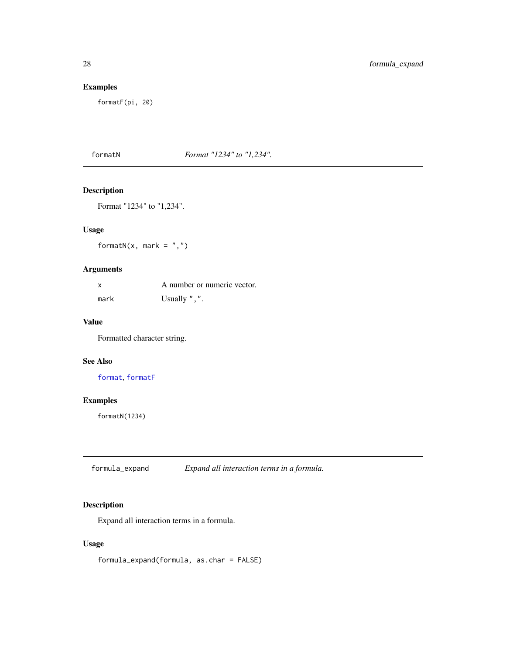# Examples

formatF(pi, 20)

<span id="page-27-1"></span>formatN *Format "1234" to "1,234".*

# Description

Format "1234" to "1,234".

# Usage

formatN(x, mark =  $",")$ 

# Arguments

| X    | A number or numeric vector. |
|------|-----------------------------|
| mark | Usually $"$ , $"$ .         |

#### Value

Formatted character string.

# See Also

[format](#page-0-0), [formatF](#page-26-1)

# Examples

formatN(1234)

# Description

Expand all interaction terms in a formula.

# Usage

formula\_expand(formula, as.char = FALSE)

<span id="page-27-0"></span>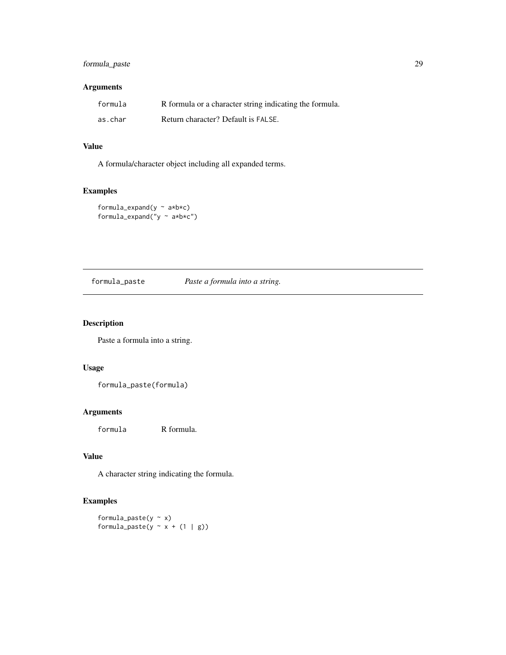# <span id="page-28-0"></span>formula\_paste 29

# Arguments

| formula | R formula or a character string indicating the formula. |
|---------|---------------------------------------------------------|
| as.char | Return character? Default is FALSE.                     |

# Value

A formula/character object including all expanded terms.

# Examples

```
formula_expand(y ~ a*b*c)
formula_expand("y ~ a*b*c")
```
formula\_paste *Paste a formula into a string.*

# Description

Paste a formula into a string.

# Usage

formula\_paste(formula)

# Arguments

formula R formula.

# Value

A character string indicating the formula.

# Examples

formula\_paste(y  $\sim$  x) formula\_paste(y  $\sim$  x + (1 | g))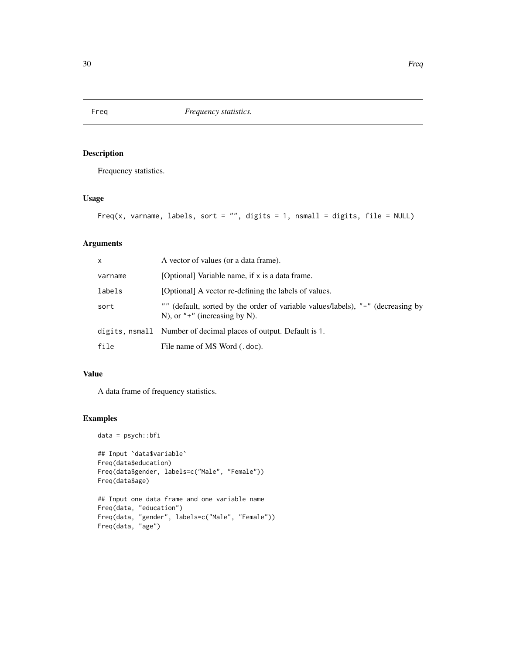# Description

Frequency statistics.

# Usage

```
Freq(x, varname, labels, sort = "", digits = 1, nsmall = digits, file = NULL)
```
# Arguments

| X       | A vector of values (or a data frame).                                                                              |
|---------|--------------------------------------------------------------------------------------------------------------------|
| varname | [Optional] Variable name, if x is a data frame.                                                                    |
| labels  | [Optional] A vector re-defining the labels of values.                                                              |
| sort    | "" (default, sorted by the order of variable values/labels), "-" (decreasing by<br>N), or $"+"$ (increasing by N). |
|         | digits, nsmall Number of decimal places of output. Default is 1.                                                   |
| file    | File name of MS Word (.doc).                                                                                       |

# Value

A data frame of frequency statistics.

# Examples

data = psych::bfi

```
## Input `data$variable`
Freq(data$education)
Freq(data$gender, labels=c("Male", "Female"))
Freq(data$age)
```

```
## Input one data frame and one variable name
Freq(data, "education")
Freq(data, "gender", labels=c("Male", "Female"))
Freq(data, "age")
```
<span id="page-29-1"></span><span id="page-29-0"></span>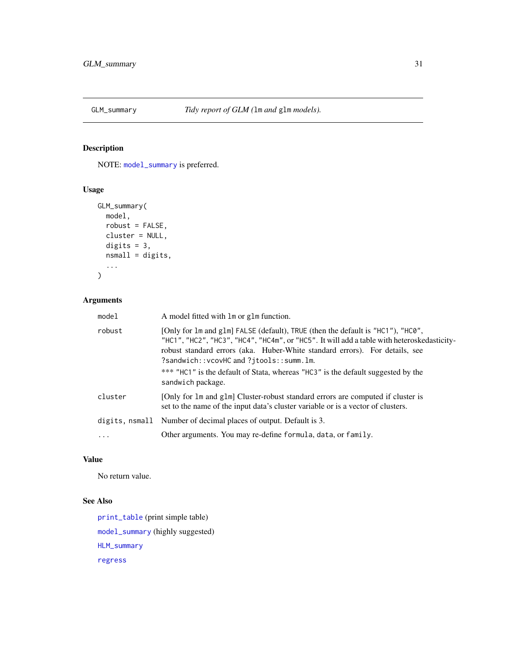<span id="page-30-1"></span><span id="page-30-0"></span>

# Description

NOTE: [model\\_summary](#page-49-1) is preferred.

# Usage

```
GLM_summary(
 model,
 robust = FALSE,cluster = NULL,
 digits = 3,
 nsmall = digits,...
)
```
# Arguments

| model    | A model fitted with lm or glm function.                                                                                                                                                                                                                                                                                                                                                     |
|----------|---------------------------------------------------------------------------------------------------------------------------------------------------------------------------------------------------------------------------------------------------------------------------------------------------------------------------------------------------------------------------------------------|
| robust   | [Only for 1m and g1m] FALSE (default), TRUE (then the default is "HC1"), "HC0",<br>"HC1", "HC2", "HC3", "HC4", "HC4m", or "HC5". It will add a table with heteroskedasticity-<br>robust standard errors (aka. Huber-White standard errors). For details, see<br>?sandwich::vcovHC and ?jtools::summ.lm.<br>*** "HC1" is the default of Stata, whereas "HC3" is the default suggested by the |
|          | sandwich package.                                                                                                                                                                                                                                                                                                                                                                           |
| cluster  | [Only for 1m and g1m] Cluster-robust standard errors are computed if cluster is<br>set to the name of the input data's cluster variable or is a vector of clusters.                                                                                                                                                                                                                         |
|          | digits, nsmall Number of decimal places of output. Default is 3.                                                                                                                                                                                                                                                                                                                            |
| $\ddots$ | Other arguments. You may re-define formula, data, or family.                                                                                                                                                                                                                                                                                                                                |

# Value

No return value.

# See Also

[print\\_table](#page-55-1) (print simple table) [model\\_summary](#page-49-1) (highly suggested) [HLM\\_summary](#page-37-1) [regress](#page-64-1)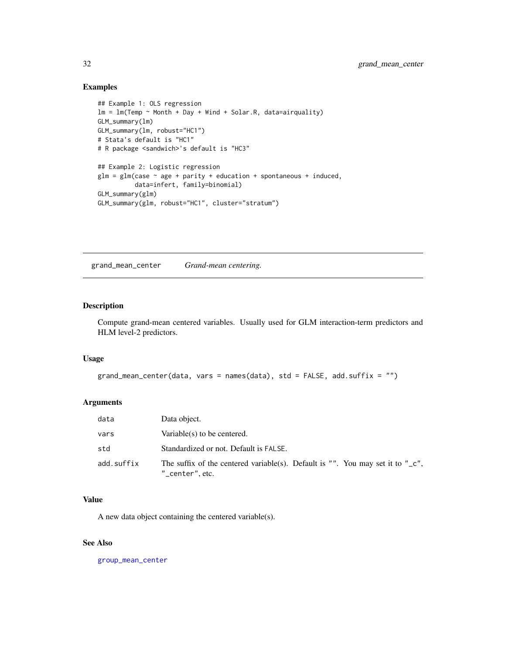### <span id="page-31-0"></span>Examples

```
## Example 1: OLS regression
lm = lm(Temp ~ Month + Day + Wind + Solar.R, data=airquality)GLM_summary(lm)
GLM_summary(lm, robust="HC1")
# Stata's default is "HC1"
# R package <sandwich>'s default is "HC3"
## Example 2: Logistic regression
glm = glm(case ~ age + parity + education + spontaneous + induced,data=infert, family=binomial)
GLM_summary(glm)
GLM_summary(glm, robust="HC1", cluster="stratum")
```
<span id="page-31-1"></span>grand\_mean\_center *Grand-mean centering.*

#### Description

Compute grand-mean centered variables. Usually used for GLM interaction-term predictors and HLM level-2 predictors.

# Usage

```
grand_mean_center(data, vars = names(data), std = FALSE, add.suffix = "")
```
# Arguments

| data       | Data object.                                                                                                     |
|------------|------------------------------------------------------------------------------------------------------------------|
| vars       | Variable(s) to be centered.                                                                                      |
| std        | Standardized or not. Default is FALSE.                                                                           |
| add.suffix | The suffix of the centered variable(s). Default is "". You may set it to " $\mathsf{C}$ ",<br>$"$ _center", etc. |

# Value

A new data object containing the centered variable(s).

#### See Also

[group\\_mean\\_center](#page-34-1)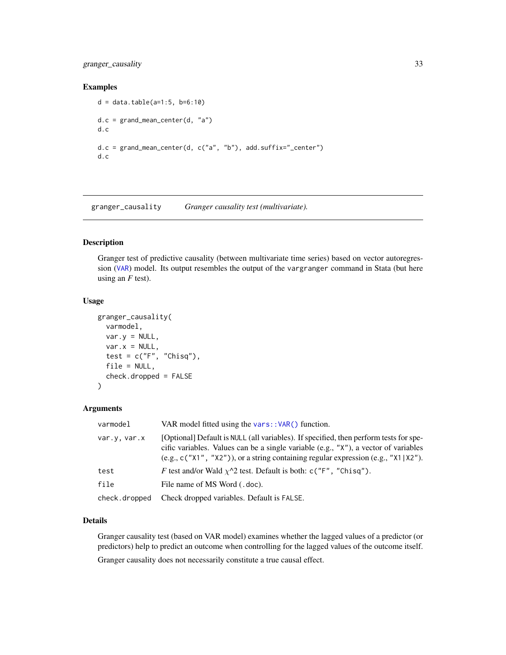# <span id="page-32-0"></span>granger\_causality 33

#### Examples

```
d = data.title(a=1:5, b=6:10)d.c = grand_mean_center(d, "a")
d.c
d.c = grand_mean_center(d, c("a", "b"), add.suffix="_center")
d.c
```
<span id="page-32-1"></span>granger\_causality *Granger causality test (multivariate).*

# Description

Granger test of predictive causality (between multivariate time series) based on vector autoregression ([VAR](#page-0-0)) model. Its output resembles the output of the vargranger command in Stata (but here using an *F* test).

#### Usage

```
granger_causality(
  varmodel,
  var.y = NULL,
  var.x = NULL,test = c("F", "Chisq"),file = NULL,
  check.dropped = FALSE
)
```
# Arguments

| varmodel      | VAR model fitted using the vars:: $VAR()$ function.                                                                                                                                                                                                                  |
|---------------|----------------------------------------------------------------------------------------------------------------------------------------------------------------------------------------------------------------------------------------------------------------------|
| var.v. var.x  | [Optional] Default is NULL (all variables). If specified, then perform tests for spe-<br>cific variables. Values can be a single variable (e.g., "X"), a vector of variables<br>(e.g., $c("X1", "X2"))$ , or a string containing regular expression (e.g., "X1 X2"). |
| test          | F test and/or Wald $\chi$ <sup><math>\wedge</math>2</sup> test. Default is both: c("F", "Chisq").                                                                                                                                                                    |
| file          | File name of MS Word (.doc).                                                                                                                                                                                                                                         |
| check.dropped | Check dropped variables. Default is FALSE.                                                                                                                                                                                                                           |

# Details

Granger causality test (based on VAR model) examines whether the lagged values of a predictor (or predictors) help to predict an outcome when controlling for the lagged values of the outcome itself. Granger causality does not necessarily constitute a true causal effect.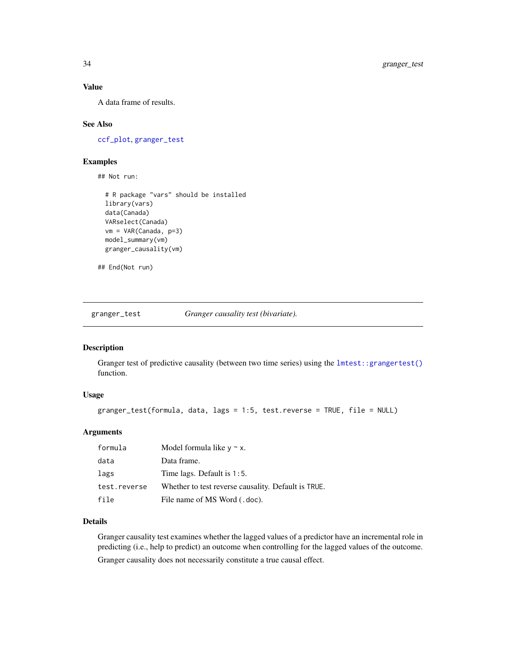# Value

A data frame of results.

#### See Also

[ccf\\_plot](#page-9-1), [granger\\_test](#page-33-1)

#### Examples

## Not run:

```
# R package "vars" should be installed
library(vars)
data(Canada)
VARselect(Canada)
vm = VAR(Canada, p=3)
model_summary(vm)
granger_causality(vm)
```
## End(Not run)

<span id="page-33-1"></span>granger\_test *Granger causality test (bivariate).*

# Description

Granger test of predictive causality (between two time series) using the  $l$ mtest::grangertest() function.

#### Usage

```
granger_test(formula, data, lags = 1:5, test.reverse = TRUE, file = NULL)
```
#### Arguments

| formula      | Model formula like $y \sim x$ .                     |
|--------------|-----------------------------------------------------|
| data         | Data frame.                                         |
| lags         | Time lags. Default is $1:5$ .                       |
| test.reverse | Whether to test reverse causality. Default is TRUE. |
| file         | File name of MS Word (.doc).                        |

#### Details

Granger causality test examines whether the lagged values of a predictor have an incremental role in predicting (i.e., help to predict) an outcome when controlling for the lagged values of the outcome. Granger causality does not necessarily constitute a true causal effect.

<span id="page-33-0"></span>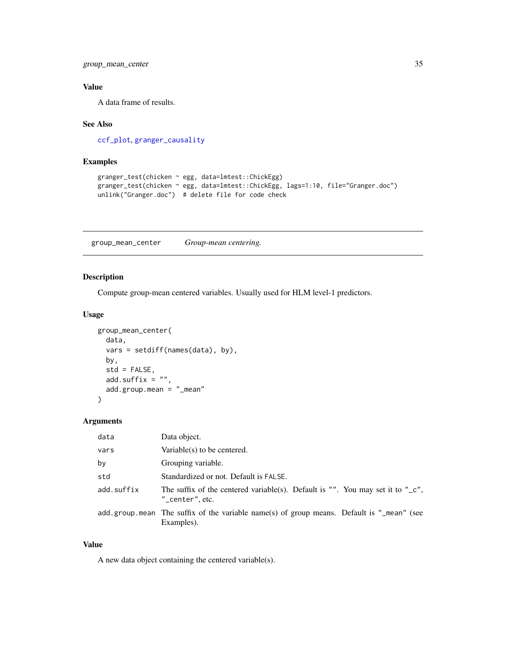<span id="page-34-0"></span>group\_mean\_center 35

# Value

A data frame of results.

#### See Also

[ccf\\_plot](#page-9-1), [granger\\_causality](#page-32-1)

# Examples

```
granger_test(chicken ~ egg, data=lmtest::ChickEgg)
granger_test(chicken ~ egg, data=lmtest::ChickEgg, lags=1:10, file="Granger.doc")
unlink("Granger.doc") # delete file for code check
```
<span id="page-34-1"></span>group\_mean\_center *Group-mean centering.*

### Description

Compute group-mean centered variables. Usually used for HLM level-1 predictors.

# Usage

```
group_mean_center(
 data,
 vars = setdiff(names(data), by),
 by,
 std = FALSE,add.suffix = "",add.group.mean = "_mean"
)
```
#### Arguments

| data       | Data object.                                                                                                    |
|------------|-----------------------------------------------------------------------------------------------------------------|
| vars       | Variable $(s)$ to be centered.                                                                                  |
| by         | Grouping variable.                                                                                              |
| std        | Standardized or not. Default is FALSE.                                                                          |
| add.suffix | The suffix of the centered variable(s). Default is "". You may set it to " $\mathsf{C}$ ",<br>$"$ center", etc. |
|            | add.group.mean The suffix of the variable name(s) of group means. Default is " $m$ ean" (see<br>Examples).      |

#### Value

A new data object containing the centered variable(s).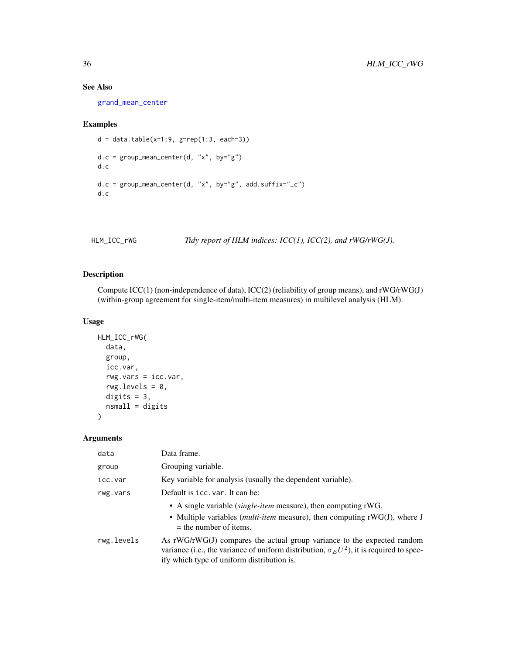### See Also

[grand\\_mean\\_center](#page-31-1)

#### Examples

```
d = data_table(x=1:9, g=rep(1:3, each=3))d.c = group_mean_center(d, "x", by="g")d.c
d.c = group_mean_center(d, "x", by='g", add.suffix='_c")d.c
```
<span id="page-35-1"></span>HLM\_ICC\_rWG *Tidy report of HLM indices: ICC(1), ICC(2), and rWG/rWG(J).*

# Description

Compute ICC(1) (non-independence of data), ICC(2) (reliability of group means), and rWG/rWG(J) (within-group agreement for single-item/multi-item measures) in multilevel analysis (HLM).

### Usage

```
HLM_ICC_rWG(
  data,
  group,
  icc.var,
  rwg.vars = icc.var,
  rwg.levels = 0,
  digits = 3,
  nsmall = digits)
```
# Arguments

| data       | Data frame.                                                                                                                                                                                                                |
|------------|----------------------------------------------------------------------------------------------------------------------------------------------------------------------------------------------------------------------------|
| group      | Grouping variable.                                                                                                                                                                                                         |
| icc.var    | Key variable for analysis (usually the dependent variable).                                                                                                                                                                |
| rwg.vars   | Default is icc. var. It can be:                                                                                                                                                                                            |
|            | • A single variable <i>(single-item</i> measure), then computing rWG.<br>• Multiple variables ( <i>multi-item</i> measure), then computing rWG(J), where J<br>$=$ the number of items.                                     |
| rwg.levels | As $rWG/rWG(J)$ compares the actual group variance to the expected random<br>variance (i.e., the variance of uniform distribution, $\sigma_E U^2$ ), it is required to spec-<br>ify which type of uniform distribution is. |

<span id="page-35-0"></span>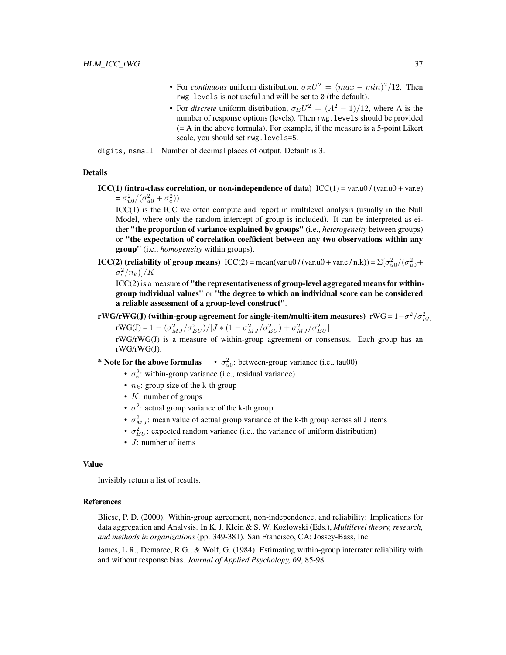- For *continuous* uniform distribution,  $\sigma_E U^2 = (max min)^2/12$ . Then rwg.levels is not useful and will be set to 0 (the default).
- For *discrete* uniform distribution,  $\sigma_E U^2 = (A^2 1)/12$ , where A is the number of response options (levels). Then rwg.levels should be provided (= A in the above formula). For example, if the measure is a 5-point Likert scale, you should set rwg.levels=5.

digits, nsmall Number of decimal places of output. Default is 3.

## Details

 $\text{ICC}(1)$  (intra-class correlation, or non-independence of data)  $\text{ICC}(1) = \text{var.u0} / (\text{var.u0} + \text{var.e})$  $=\sigma_{u0}^2/(\sigma_{u0}^2+\sigma_e^2)$ 

ICC(1) is the ICC we often compute and report in multilevel analysis (usually in the Null Model, where only the random intercept of group is included). It can be interpreted as either "the proportion of variance explained by groups" (i.e., *heterogeneity* between groups) or "the expectation of correlation coefficient between any two observations within any group" (i.e., *homogeneity* within groups).

**ICC(2)** (reliability of group means)  $\text{ICC}(2) = \text{mean}(\text{var.u0}/(\text{var.u0} + \text{var.e}/\text{n.k})) = \sum [\sigma_{u0}^2/(\sigma_{u0}^2 +$  $\sigma_e^2/n_k$ )]/K

 $\text{ICC}(2)$  is a measure of "the representativeness of group-level aggregated means for withingroup individual values" or "the degree to which an individual score can be considered a reliable assessment of a group-level construct".

rWG/rWG(J) (within-group agreement for single-item/multi-item measures) rWG =  $1-\sigma^2/\sigma_{EU}^2$ 

rWG(J) = 1 –  $(\sigma_{MJ}^2/\sigma_{EU}^2)/[J*(1-\sigma_{MJ}^2/\sigma_{EU}^2)+\sigma_{MJ}^2/\sigma_{EU}^2]$ rWG/rWG(J) is a measure of within-group agreement or consensus. Each group has an rWG/rWG(J).

- \* Note for the above formulas  $\sigma_{u0}^2$ : between-group variance (i.e., tau00)
	- $\sigma_e^2$ : within-group variance (i.e., residual variance)
	- $n_k$ : group size of the k-th group
	- $K:$  number of groups
	- $\sigma^2$ : actual group variance of the k-th group
	- $\sigma_{MJ}^2$ : mean value of actual group variance of the k-th group across all J items
	- $\sigma_{EU}^2$ : expected random variance (i.e., the variance of uniform distribution)
	- *J*: number of items

#### Value

Invisibly return a list of results.

#### References

Bliese, P. D. (2000). Within-group agreement, non-independence, and reliability: Implications for data aggregation and Analysis. In K. J. Klein & S. W. Kozlowski (Eds.), *Multilevel theory, research, and methods in organizations* (pp. 349-381). San Francisco, CA: Jossey-Bass, Inc.

James, L.R., Demaree, R.G., & Wolf, G. (1984). Estimating within-group interrater reliability with and without response bias. *Journal of Applied Psychology, 69*, 85-98.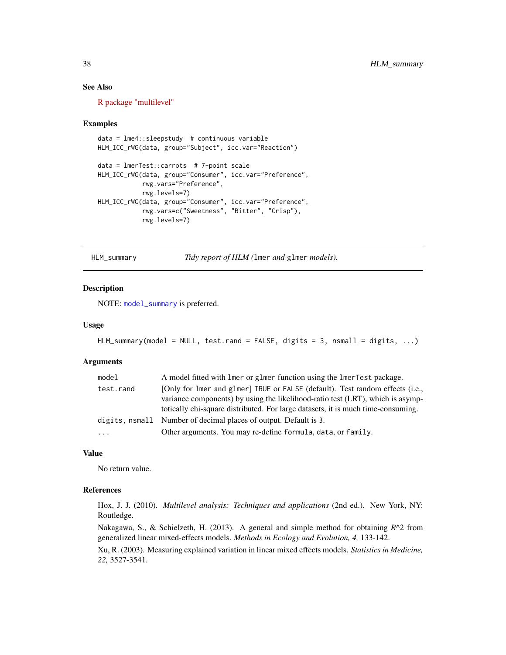## See Also

[R package "multilevel"](https://CRAN.R-project.org/package=multilevel)

#### Examples

```
data = lme4::sleepstudy # continuous variable
HLM_ICC_rWG(data, group="Subject", icc.var="Reaction")
data = lmerTest::carrots # 7-point scale
HLM_ICC_rWG(data, group="Consumer", icc.var="Preference",
            rwg.vars="Preference",
            rwg.levels=7)
HLM_ICC_rWG(data, group="Consumer", icc.var="Preference",
            rwg.vars=c("Sweetness", "Bitter", "Crisp"),
            rwg.levels=7)
```
<span id="page-37-0"></span>HLM\_summary *Tidy report of HLM (*lmer *and* glmer *models).*

#### Description

NOTE: [model\\_summary](#page-49-0) is preferred.

#### Usage

```
HLM_summary(model = NULL, test.rand = FALSE, digits = 3, nsmall = digits, ...)
```
#### Arguments

| model     | A model fitted with lmer or glmer function using the lmerTest package.                                                                                                                                                                              |
|-----------|-----------------------------------------------------------------------------------------------------------------------------------------------------------------------------------------------------------------------------------------------------|
| test.rand | [Only for lmer and glmer] TRUE or FALSE (default). Test random effects (i.e.,<br>variance components) by using the likelihood-ratio test (LRT), which is asymp-<br>totically chi-square distributed. For large datasets, it is much time-consuming. |
|           | digits, nsmall Number of decimal places of output. Default is 3.                                                                                                                                                                                    |
| $\cdots$  | Other arguments. You may re-define formula, data, or family.                                                                                                                                                                                        |

#### Value

No return value.

#### References

Hox, J. J. (2010). *Multilevel analysis: Techniques and applications* (2nd ed.). New York, NY: Routledge.

Nakagawa, S., & Schielzeth, H. (2013). A general and simple method for obtaining *R*^2 from generalized linear mixed-effects models. *Methods in Ecology and Evolution, 4,* 133-142.

Xu, R. (2003). Measuring explained variation in linear mixed effects models. *Statistics in Medicine, 22,* 3527-3541.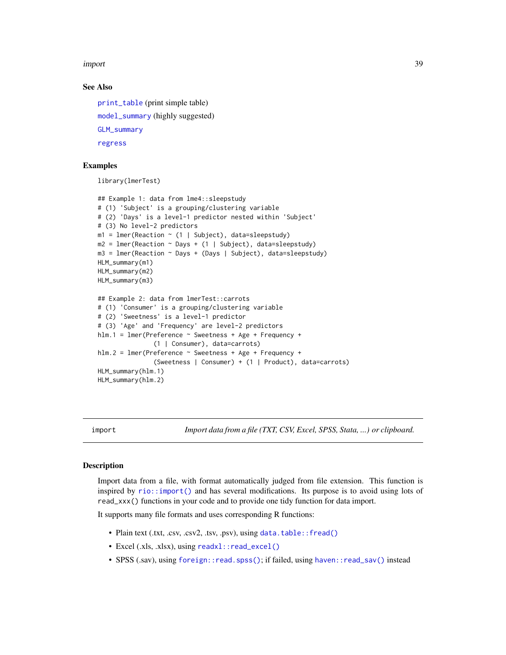#### import 39

#### See Also

[print\\_table](#page-55-0) (print simple table) [model\\_summary](#page-49-0) (highly suggested) [GLM\\_summary](#page-30-0) [regress](#page-64-0)

## Examples

library(lmerTest)

```
## Example 1: data from lme4::sleepstudy
# (1) 'Subject' is a grouping/clustering variable
# (2) 'Days' is a level-1 predictor nested within 'Subject'
# (3) No level-2 predictors
m1 = lmer(Reaction \sim (1 | Subject), data=sleepstudy)
m2 = 1mer(Reaction ~ Days + (1 | Subject), data=sleepstudy)
m3 = 1mer(Reaction ~ Days + (Days | Subject), data=sleepstudy)
HLM_summary(m1)
HLM_summary(m2)
HLM_summary(m3)
## Example 2: data from lmerTest::carrots
# (1) 'Consumer' is a grouping/clustering variable
# (2) 'Sweetness' is a level-1 predictor
# (3) 'Age' and 'Frequency' are level-2 predictors
hlm.1 = lmer(Preference ~ Sweetness + Age + Frequency +
               (1 | Consumer), data=carrots)
hlm.2 = lmer(Preference ~ Sweetness + Age + Frequency +
               (Sweetness | Consumer) + (1 | Product), data=carrots)
HLM_summary(hlm.1)
HLM_summary(hlm.2)
```
import *Import data from a file (TXT, CSV, Excel, SPSS, Stata, ...) or clipboard.*

#### Description

Import data from a file, with format automatically judged from file extension. This function is inspired by [rio::import\(\)](#page-0-0) and has several modifications. Its purpose is to avoid using lots of read\_xxx() functions in your code and to provide one tidy function for data import.

It supports many file formats and uses corresponding R functions:

- Plain text (.txt, .csv, .csv2, .tsv, .psv), using [data.table::fread\(\)](#page-0-0)
- Excel (.xls, .xlsx), using [readxl::read\\_excel\(\)](#page-0-0)
- SPSS (.sav), using [foreign::read.spss\(\)](#page-0-0); if failed, using [haven::read\\_sav\(\)](#page-0-0) instead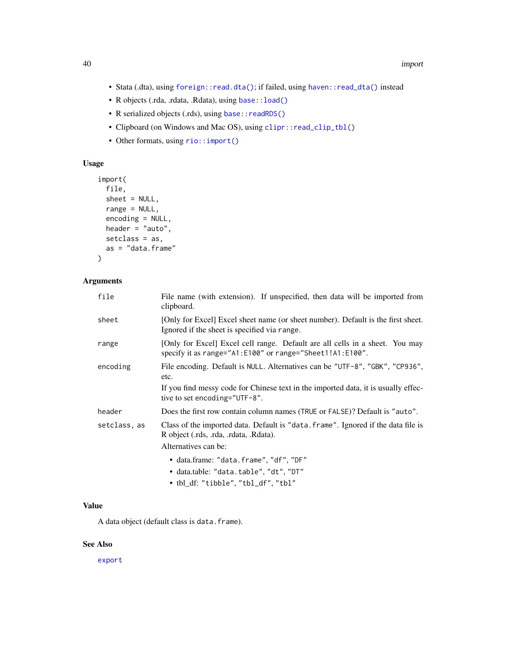- Stata (.dta), using [foreign::read.dta\(\)](#page-0-0); if failed, using [haven::read\\_dta\(\)](#page-0-0) instead
- R objects (.rda, .rdata, .Rdata), using [base::load\(\)](#page-0-0)
- R serialized objects (.rds), using base:: readRDS()
- Clipboard (on Windows and Mac OS), using [clipr::read\\_clip\\_tbl\(\)](#page-0-0)
- Other formats, using rio:: import()

# Usage

```
import(
  file,
  sheet = NULL,
  range = NULL,
  encoding = NULL,
 header = "auto",setclass = as,
  as = "data.frame"
)
```
## Arguments

| file         | File name (with extension). If unspecified, then data will be imported from<br>clipboard.                                                           |
|--------------|-----------------------------------------------------------------------------------------------------------------------------------------------------|
| sheet        | [Only for Excel] Excel sheet name (or sheet number). Default is the first sheet.<br>Ignored if the sheet is specified via range.                    |
| range        | [Only for Excel] Excel cell range. Default are all cells in a sheet. You may<br>specify it as range="A1:E100" or range="Sheet1!A1:E100".            |
| encoding     | File encoding. Default is NULL. Alternatives can be "UTF-8", "GBK", "CP936",<br>etc.                                                                |
|              | If you find messy code for Chinese text in the imported data, it is usually effec-<br>tive to set encoding="UTF-8".                                 |
| header       | Does the first row contain column names (TRUE or FALSE)? Default is "auto".                                                                         |
| setclass, as | Class of the imported data. Default is "data. frame". Ignored if the data file is<br>R object (.rds, .rda, .rdata, .Rdata).<br>Alternatives can be: |
|              | • data.frame: "data.frame", "df", "DF"<br>• data.table: "data.table", "dt", "DT"<br>• tbl_df: "tibble", "tbl_df", "tbl"                             |

# Value

A data object (default class is data.frame).

# See Also

[export](#page-24-0)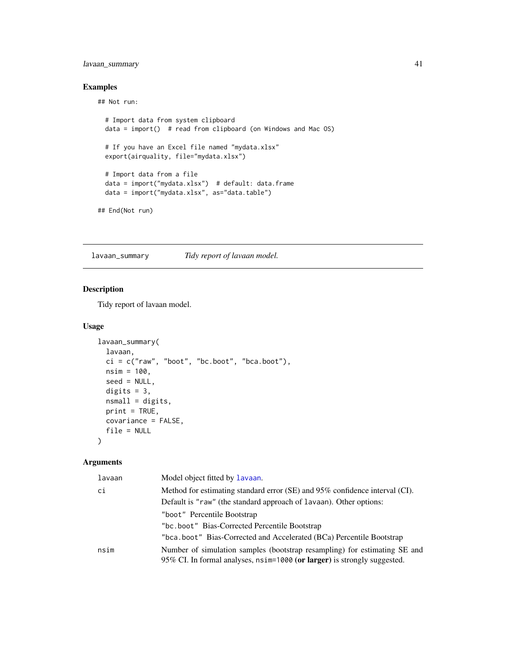## lavaan\_summary 41

## Examples

## Not run:

```
# Import data from system clipboard
 data = import() # read from clipboard (on Windows and Mac OS)
 # If you have an Excel file named "mydata.xlsx"
 export(airquality, file="mydata.xlsx")
 # Import data from a file
 data = import("mydata.xlsx") # default: data.frame
 data = import("mydata.xlsx", as="data.table")
## End(Not run)
```
<span id="page-40-0"></span>lavaan\_summary *Tidy report of lavaan model.*

## Description

Tidy report of lavaan model.

#### Usage

```
lavaan_summary(
 lavaan,
 ci = c("raw", "boot", "bc.boot", "bca.boot"),nsim = 100,
 seed = NULL,
 digits = 3,
 nsmall = digits,print = TRUE,
 covariance = FALSE,
 file = NULL
)
```
#### Arguments

| lavaan | Model object fitted by Lavaan.                                                                                                                        |
|--------|-------------------------------------------------------------------------------------------------------------------------------------------------------|
| сi     | Method for estimating standard error (SE) and 95% confidence interval (CI).                                                                           |
|        | Default is "raw" (the standard approach of lavaan). Other options:                                                                                    |
|        | "boot" Percentile Bootstrap                                                                                                                           |
|        | "bc.boot" Bias-Corrected Percentile Bootstrap                                                                                                         |
|        | "bca.boot" Bias-Corrected and Accelerated (BCa) Percentile Bootstrap                                                                                  |
| nsim   | Number of simulation samples (bootstrap resampling) for estimating SE and<br>95% CI. In formal analyses, nsim=1000 (or larger) is strongly suggested. |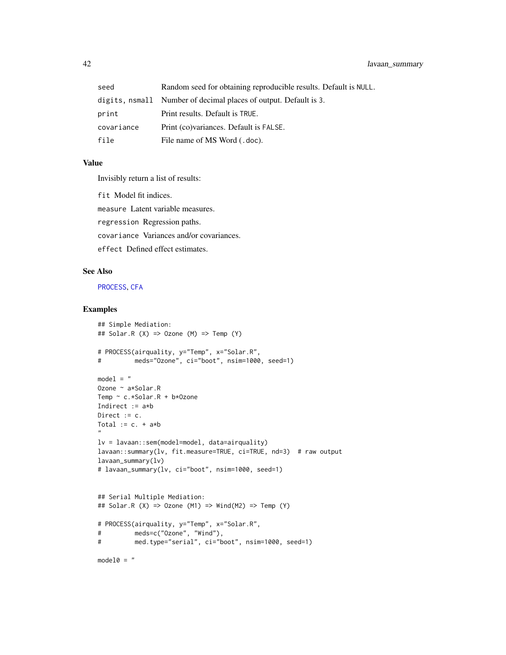| seed       | Random seed for obtaining reproducible results. Default is NULL. |
|------------|------------------------------------------------------------------|
|            | digits, nsmall Number of decimal places of output. Default is 3. |
| print      | Print results. Default is TRUE.                                  |
| covariance | Print (co) variances. Default is FALSE.                          |
| file       | File name of MS Word (.doc).                                     |

## Value

Invisibly return a list of results:

fit Model fit indices.

measure Latent variable measures.

regression Regression paths.

covariance Variances and/or covariances.

effect Defined effect estimates.

# See Also

[PROCESS](#page-57-0), [CFA](#page-11-0)

## Examples

```
## Simple Mediation:
## Solar.R (X) => Ozone (M) => Temp (Y)# PROCESS(airquality, y="Temp", x="Solar.R",
# meds="Ozone", ci="boot", nsim=1000, seed=1)
model = "
Ozone ~ a*Solar.R
Temp ~ c.*Solar.R + b*Ozone
Indirect := a*b
Direct := c.Total := c. + a * b"
lv = lavaan::sem(model=model, data=airquality)
lavaan::summary(lv, fit.measure=TRUE, ci=TRUE, nd=3) # raw output
lavaan_summary(lv)
# lavaan_summary(lv, ci="boot", nsim=1000, seed=1)
## Serial Multiple Mediation:
## Solar.R (X) \Rightarrow Ozone (M1) \Rightarrow Wind(M2) \Rightarrow Temp (Y)# PROCESS(airquality, y="Temp", x="Solar.R",
# meds=c("Ozone", "Wind"),
# med.type="serial", ci="boot", nsim=1000, seed=1)
```
 $model@ = "$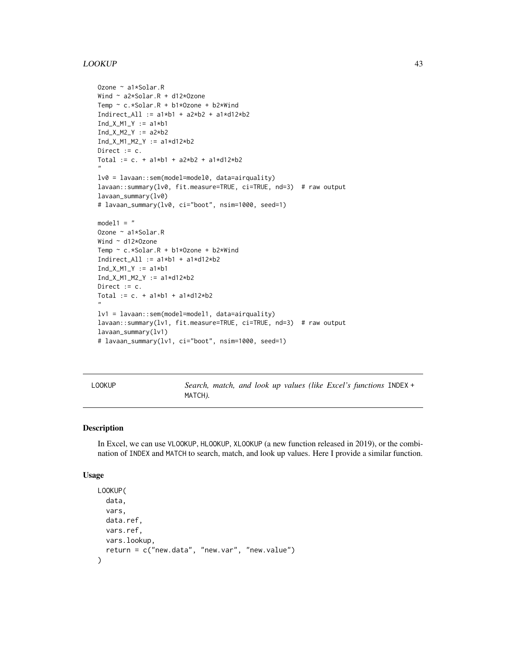#### LOOKUP 43

```
Ozone ~ a1*Solar.R
Wind ~ a2*Solar.R + d12*Ozone
Temp ~ c.*Solar.R + b1*Ozone + b2*Wind
Indirect_All := a1*b1 + a2*b2 + a1*d12*b2
Ind_X_M1_Y := a1*b1Ind_X_M2_Y := a2*b2Ind_X_M1_M2_Y := a1*d12*b2
Direct := c.
Total := c. + a1*b1 + a2*b2 + a1*d12*b2"
lv0 = lavaan::sem(model=model0, data=airquality)
lavaan::summary(lv0, fit.measure=TRUE, ci=TRUE, nd=3) # raw output
lavaan_summary(lv0)
# lavaan_summary(lv0, ci="boot", nsim=1000, seed=1)
model1 = "Ozone ~ a1*Solar.R
Wind ~ d12*Ozone
Temp ~ c.*Solar.R + b1*Ozone + b2*Wind
Indirect_All := a1*b1 + a1*d12*b2Ind_X_M1_Y := a1*b1Ind_X_M1_M2_Y := a1*d12*b2Direct := c.
Total := c. + a1*b1 + a1*d12*b2
"
lv1 = lavaan::sem(model=model1, data=airquality)
lavaan::summary(lv1, fit.measure=TRUE, ci=TRUE, nd=3) # raw output
lavaan_summary(lv1)
# lavaan_summary(lv1, ci="boot", nsim=1000, seed=1)
```
LOOKUP *Search, match, and look up values (like Excel's functions* INDEX + MATCH*).*

## Description

In Excel, we can use VLOOKUP, HLOOKUP, XLOOKUP (a new function released in 2019), or the combination of INDEX and MATCH to search, match, and look up values. Here I provide a similar function.

#### Usage

```
LOOKUP(
  data,
  vars,
  data.ref,
  vars.ref,
  vars.lookup,
  return = c("new.data", "new.var", "new.value")
)
```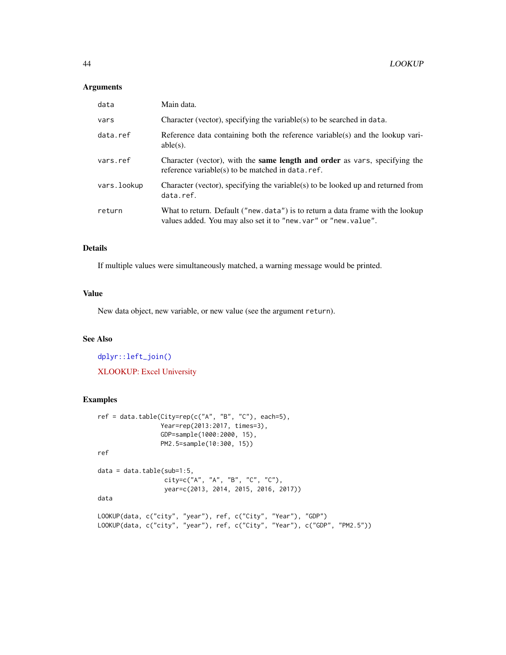#### Arguments

| data        | Main data.                                                                                                                                        |
|-------------|---------------------------------------------------------------------------------------------------------------------------------------------------|
| vars        | Character (vector), specifying the variable(s) to be searched in data.                                                                            |
| data.ref    | Reference data containing both the reference variable(s) and the lookup vari-<br>$able(s)$ .                                                      |
| vars.ref    | Character (vector), with the <b>same length and order</b> as vars, specifying the<br>reference variable(s) to be matched in data.ref.             |
| vars.lookup | Character (vector), specifying the variable(s) to be looked up and returned from<br>data.ref.                                                     |
| return      | What to return. Default ("new. data") is to return a data frame with the lookup<br>values added. You may also set it to "new.var" or "new.value". |

## Details

If multiple values were simultaneously matched, a warning message would be printed.

#### Value

New data object, new variable, or new value (see the argument return).

## See Also

[dplyr::left\\_join\(\)](#page-0-0) [XLOOKUP: Excel University](https://www.excel-university.com/xlookup/)

## Examples

```
ref = data.title(City=rep(c("A", "B", "C"), each=5),Year=rep(2013:2017, times=3),
                 GDP=sample(1000:2000, 15),
                 PM2.5=sample(10:300, 15))
ref
data = data.title(sub=1:5,city=c("A", "A", "B", "C", "C"),
                  year=c(2013, 2014, 2015, 2016, 2017))
data
LOOKUP(data, c("city", "year"), ref, c("City", "Year"), "GDP")
LOOKUP(data, c("city", "year"), ref, c("City", "Year"), c("GDP", "PM2.5"))
```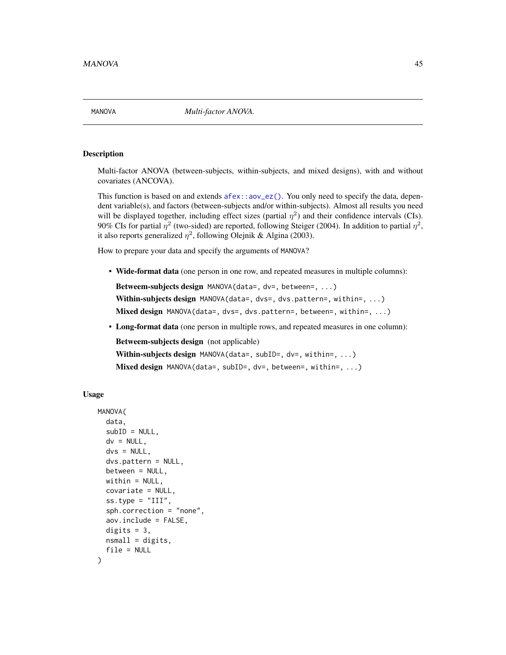<span id="page-44-0"></span>

#### Description

Multi-factor ANOVA (between-subjects, within-subjects, and mixed designs), with and without covariates (ANCOVA).

This function is based on and extends  $a$  fex:  $a$  and  $a$  equals  $b$ . You only need to specify the data, dependent variable(s), and factors (between-subjects and/or within-subjects). Almost all results you need will be displayed together, including effect sizes (partial  $\eta^2$ ) and their confidence intervals (CIs). 90% CIs for partial  $\eta^2$  (two-sided) are reported, following Steiger (2004). In addition to partial  $\eta^2$ , it also reports generalized  $\eta^2$ , following Olejnik & Algina (2003).

How to prepare your data and specify the arguments of MANOVA?

• Wide-format data (one person in one row, and repeated measures in multiple columns):

Betweem-subjects design MANOVA(data=, dv=, between=, ...)

Within-subjects design MANOVA(data=, dvs=, dvs.pattern=, within=, ...)

- Mixed design MANOVA(data=, dvs=, dvs.pattern=, between=, within=, ...)
- Long-format data (one person in multiple rows, and repeated measures in one column):

Betweem-subjects design (not applicable)

Within-subjects design MANOVA(data=, subID=, dv=, within=, ...)

Mixed design MANOVA(data=, subID=, dv=, between=, within=, ...)

#### Usage

```
MANOVA(
  data,
  subID = NULL,dv = NULL,dvs = NULL,dvs.pattern = NULL,
  between = NULL,widthin = NULL,covariate = NULL,
  ss.type = "III",
  sph.correction = "none",
  aov.include = FALSE,
  digits = 3,
  nsmall = digits,file = NULL
)
```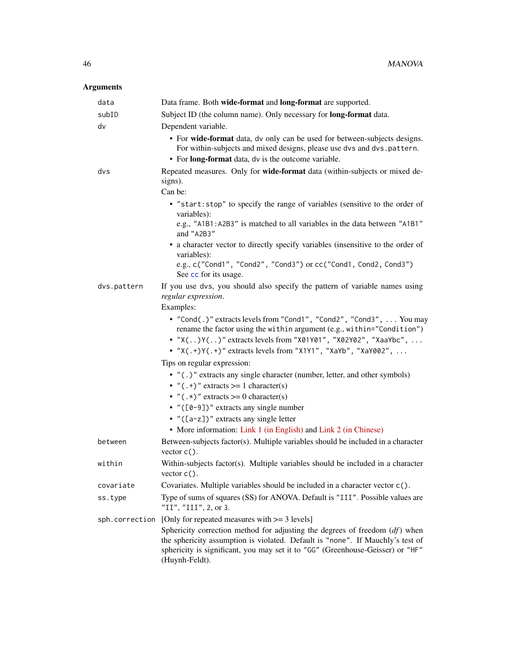# Arguments

| data           | Data frame. Both wide-format and long-format are supported.                                                                                                                                                                                                                                      |
|----------------|--------------------------------------------------------------------------------------------------------------------------------------------------------------------------------------------------------------------------------------------------------------------------------------------------|
| subID          | Subject ID (the column name). Only necessary for long-format data.                                                                                                                                                                                                                               |
| dv             | Dependent variable.                                                                                                                                                                                                                                                                              |
|                | • For wide-format data, dv only can be used for between-subjects designs.<br>For within-subjects and mixed designs, please use dvs and dvs.pattern.<br>• For long-format data, dv is the outcome variable.                                                                                       |
| dvs            | Repeated measures. Only for wide-format data (within-subjects or mixed de-<br>signs).                                                                                                                                                                                                            |
|                | Can be:                                                                                                                                                                                                                                                                                          |
|                | • "start: stop" to specify the range of variables (sensitive to the order of<br>variables):<br>e.g., "A1B1: A2B3" is matched to all variables in the data between "A1B1"                                                                                                                         |
|                | and "A2B3"<br>• a character vector to directly specify variables (insensitive to the order of<br>variables):                                                                                                                                                                                     |
|                | e.g., c("Cond1", "Cond2", "Cond3") or cc("Cond1, Cond2, Cond3")<br>See cc for its usage.                                                                                                                                                                                                         |
| dvs.pattern    | If you use dvs, you should also specify the pattern of variable names using<br>regular expression.<br>Examples:                                                                                                                                                                                  |
|                | • "Cond(.)" extracts levels from "Cond1", "Cond2", "Cond3",  You may<br>rename the factor using the within argument (e.g., within="Condition")<br>• "X()Y()" extracts levels from "X01Y01", "X02Y02", "XaaYbc",<br>• " $X(.+)Y(.+)$ " extracts levels from " $X1Y1$ ", " $XaYb$ ", " $XaY002$ ", |
|                | Tips on regular expression:                                                                                                                                                                                                                                                                      |
|                | • "(.)" extracts any single character (number, letter, and other symbols)<br>• $"(.+)"$ extracts >= 1 character(s)                                                                                                                                                                               |
|                | • " $(.*)$ " extracts >= 0 character(s)                                                                                                                                                                                                                                                          |
|                | • $"([0-9])"$ extracts any single number                                                                                                                                                                                                                                                         |
|                | • $"([a-z])"$ extracts any single letter                                                                                                                                                                                                                                                         |
|                | • More information: Link 1 (in English) and Link 2 (in Chinese)                                                                                                                                                                                                                                  |
| between        | Between-subjects factor(s). Multiple variables should be included in a character<br>vector $c()$ .                                                                                                                                                                                               |
| within         | Within-subjects factor(s). Multiple variables should be included in a character<br>vector $c()$ .                                                                                                                                                                                                |
| covariate      | Covariates. Multiple variables should be included in a character vector c().                                                                                                                                                                                                                     |
| ss.type        | Type of sums of squares (SS) for ANOVA. Default is "III". Possible values are<br>"II", "III", 2, or 3.                                                                                                                                                                                           |
| sph.correction | [Only for repeated measures with $\geq$ 3 levels]                                                                                                                                                                                                                                                |
|                | Sphericity correction method for adjusting the degrees of freedom $(df)$ when<br>the sphericity assumption is violated. Default is "none". If Mauchly's test of<br>sphericity is significant, you may set it to "GG" (Greenhouse-Geisser) or "HF"<br>(Huynh-Feldt).                              |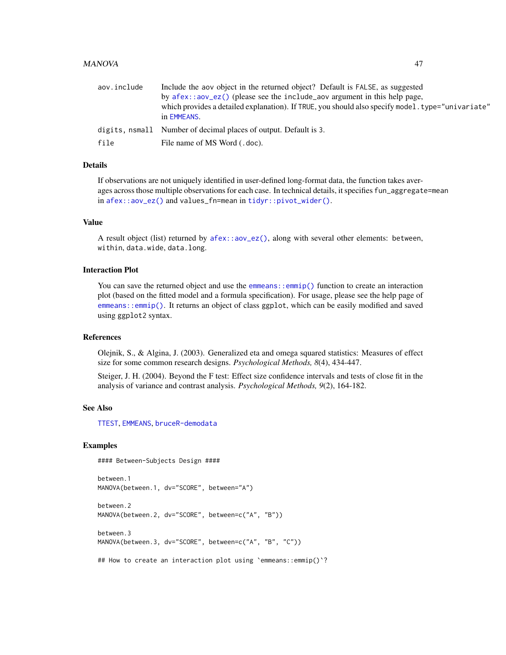#### MANOVA 47

| aov.include | Include the aov object in the returned object? Default is FALSE, as suggested                                    |
|-------------|------------------------------------------------------------------------------------------------------------------|
|             | by $a$ fex:: $a$ ov_ez() (please see the include_aov argument in this help page,                                 |
|             | which provides a detailed explanation). If TRUE, you should also specify model, type="univariate"<br>in EMMEANS. |
|             | digits, nsmall Number of decimal places of output. Default is 3.                                                 |
| file        | File name of MS Word (.doc).                                                                                     |

## Details

If observations are not uniquely identified in user-defined long-format data, the function takes averages across those multiple observations for each case. In technical details, it specifies fun\_aggregate=mean in [afex::aov\\_ez\(\)](#page-0-0) and values\_fn=mean in [tidyr::pivot\\_wider\(\)](#page-0-0).

#### Value

A result object (list) returned by [afex::aov\\_ez\(\)](#page-0-0), along with several other elements: between, within, data.wide, data.long.

#### Interaction Plot

You can save the returned object and use the [emmeans::emmip\(\)](#page-0-0) function to create an interaction plot (based on the fitted model and a formula specification). For usage, please see the help page of [emmeans::emmip\(\)](#page-0-0). It returns an object of class ggplot, which can be easily modified and saved using ggplot2 syntax.

## References

Olejnik, S., & Algina, J. (2003). Generalized eta and omega squared statistics: Measures of effect size for some common research designs. *Psychological Methods, 8*(4), 434-447.

Steiger, J. H. (2004). Beyond the F test: Effect size confidence intervals and tests of close fit in the analysis of variance and contrast analysis. *Psychological Methods, 9*(2), 164-182.

## See Also

[TTEST](#page-73-0), [EMMEANS](#page-20-0), [bruceR-demodata](#page-0-0)

#### Examples

#### Between-Subjects Design ####

```
between.1
MANOVA(between.1, dv="SCORE", between="A")
between.2
MANOVA(between.2, dv="SCORE", between=c("A", "B"))
between.3
MANOVA(between.3, dv="SCORE", between=c("A", "B", "C"))
```
## How to create an interaction plot using `emmeans::emmip()`?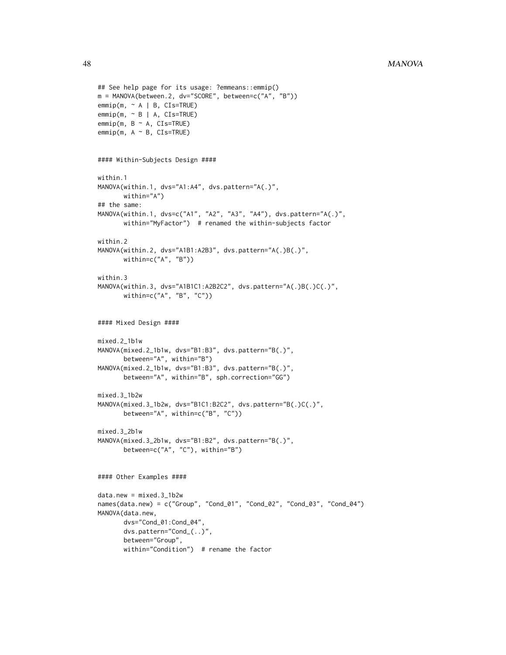```
## See help page for its usage: ?emmeans::emmip()
m = MANOVA(between.2, dv="SCORE", between=c("A", "B"))
emmip(m, ~ A | B, CIs=TRUE)
emmin(m, ~B | A, CIs=TRUE)emmip(m, B ~ \sim A, CIs=TRUE)emmin(m, A ~ \sim B, CIs=TRUE)#### Within-Subjects Design ####
within.1
MANOVA(within.1, dvs="A1:A4", dvs.pattern="A(.)",
       within="A")
## the same:
MANOVA(within.1, dvs=c("A1", "A2", "A3", "A4"), dvs.pattern="A(.)",
       within="MyFactor") # renamed the within-subjects factor
within.2
MANOVA(within.2, dvs="A1B1:A2B3", dvs.pattern="A(.)B(.)",
       within=c("A", "B"))
within.3
MANOVA(within.3, dvs="A1B1C1:A2B2C2", dvs.pattern="A(.)B(.)C(.)",
       within=c("A", "B", "C"))
#### Mixed Design ####
mixed.2_1b1w
MANOVA(mixed.2_1b1w, dvs="B1:B3", dvs.pattern="B(.)",
       between="A", within="B")
MANOVA(mixed.2_1b1w, dvs="B1:B3", dvs.pattern="B(.)",
      between="A", within="B", sph.correction="GG")
mixed.3_1b2w
MANOVA(mixed.3_1b2w, dvs="B1C1:B2C2", dvs.pattern="B(.)C(.)",
       between="A", within=c("B", "C"))
mixed.3_2b1w
MANOVA(mixed.3_2b1w, dvs="B1:B2", dvs.pattern="B(.)",
       between=c("A", "C"), within="B")
#### Other Examples ####
data.new = mixed.3_1b2w
names(data.new) = c("Group", "Cond_01", "Cond_02", "Cond_03", "Cond_04")
MANOVA(data.new,
      dvs="Cond_01:Cond_04",
       dvs.pattern="Cond_(..)",
       between="Group",
       within="Condition") # rename the factor
```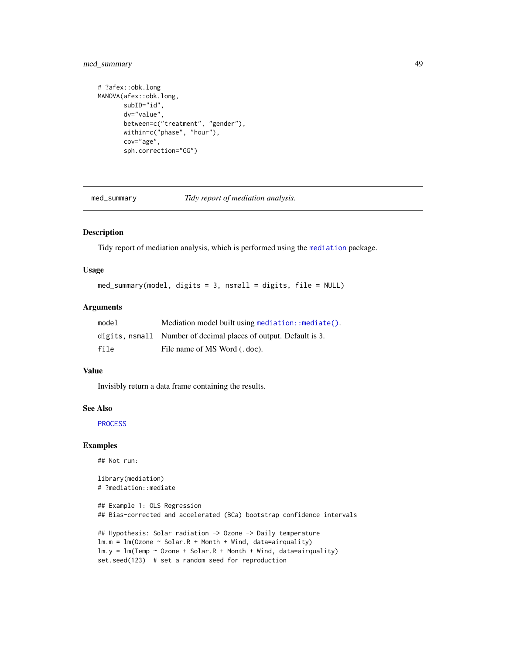## med\_summary 49

```
# ?afex::obk.long
MANOVA(afex::obk.long,
       subID="id",
       dv="value",
       between=c("treatment", "gender"),
       within=c("phase", "hour"),
       cov="age",
       sph.correction="GG")
```
<span id="page-48-0"></span>med\_summary *Tidy report of mediation analysis.*

## Description

Tidy report of mediation analysis, which is performed using the [mediation](#page-0-0) package.

## Usage

```
med_summary(model, digits = 3, nsmall = digits, file = NULL)
```
#### Arguments

| model | Mediation model built using mediation: : mediate().              |
|-------|------------------------------------------------------------------|
|       | digits, nsmall Number of decimal places of output. Default is 3. |
| file  | File name of MS Word (.doc).                                     |

#### Value

Invisibly return a data frame containing the results.

#### See Also

**[PROCESS](#page-57-0)** 

### Examples

## Not run:

```
library(mediation)
# ?mediation::mediate
```

```
## Example 1: OLS Regression
## Bias-corrected and accelerated (BCa) bootstrap confidence intervals
```

```
## Hypothesis: Solar radiation -> Ozone -> Daily temperature
lm.m = lm(Ozone ~ Solar.R + Month + Wind, data=airquality)lm.y = lm(Temp ~ Ozone ~f-Solar.R ~f Month ~f Wind, data=airquality)set.seed(123) # set a random seed for reproduction
```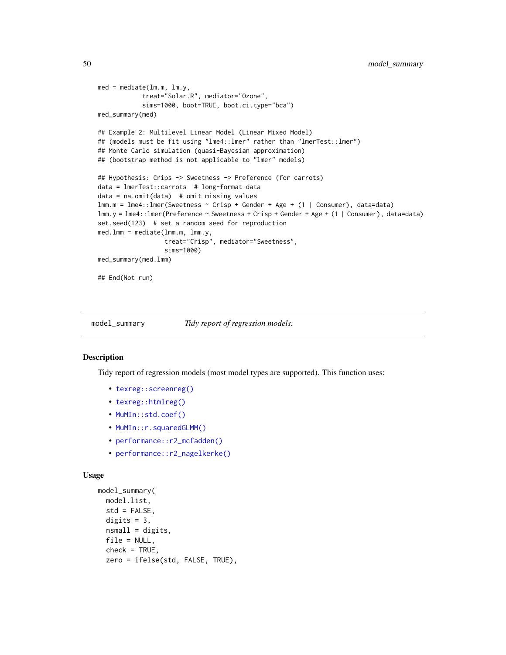```
med = mediate(lm.m, lm.y,
            treat="Solar.R", mediator="Ozone",
            sims=1000, boot=TRUE, boot.ci.type="bca")
med_summary(med)
## Example 2: Multilevel Linear Model (Linear Mixed Model)
## (models must be fit using "lme4::lmer" rather than "lmerTest::lmer")
## Monte Carlo simulation (quasi-Bayesian approximation)
## (bootstrap method is not applicable to "lmer" models)
## Hypothesis: Crips -> Sweetness -> Preference (for carrots)
data = lmerTest::carrots # long-format data
data = na.omit(data) # omit missing values
lmm.m = lme4::lmer(Sweetness ~ Crisp + Gender + Age + (1 | Consumer), data=data)
lmm.y = lme4::lmer(Preference ~ Sweetness + Crisp + Gender + Age + (1 | Consumer), data=data)
set.seed(123) # set a random seed for reproduction
med.lmm = mediate(lmm.m, lmm.y,
                  treat="Crisp", mediator="Sweetness",
                  sims=1000)
med_summary(med.lmm)
## End(Not run)
```
<span id="page-49-0"></span>model\_summary *Tidy report of regression models.*

#### Description

Tidy report of regression models (most model types are supported). This function uses:

- [texreg::screenreg\(\)](#page-0-0)
- [texreg::htmlreg\(\)](#page-0-0)
- [MuMIn::std.coef\(\)](#page-0-0)
- MuMIn:: r.squaredGLMM()
- [performance::r2\\_mcfadden\(\)](#page-0-0)
- [performance::r2\\_nagelkerke\(\)](#page-0-0)

#### Usage

```
model_summary(
 model.list,
  std = FALSE,
 digits = 3,
  nsmall = digits,
  file = NULL,
  check = TRUE,
  zero = ifelse(std, FALSE, TRUE),
```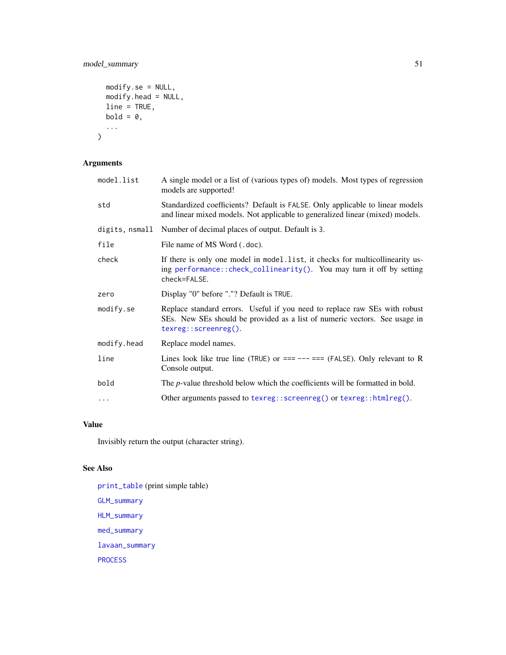# model\_summary 51

```
modify.se = NULL,
  modify.head = NULL,
  line = TRUE,
  bold = 0,...
\mathcal{L}
```
# Arguments

| model.list     | A single model or a list of (various types of) models. Most types of regression<br>models are supported!                                                                         |
|----------------|----------------------------------------------------------------------------------------------------------------------------------------------------------------------------------|
| std            | Standardized coefficients? Default is FALSE. Only applicable to linear models<br>and linear mixed models. Not applicable to generalized linear (mixed) models.                   |
| digits, nsmall | Number of decimal places of output. Default is 3.                                                                                                                                |
| file           | File name of MS Word (.doc).                                                                                                                                                     |
| check          | If there is only one model in model. list, it checks for multicollinearity us-<br>ing performance::check_collinearity(). You may turn it off by setting<br>check=FALSE.          |
| zero           | Display "0" before "."? Default is TRUE.                                                                                                                                         |
| modify.se      | Replace standard errors. Useful if you need to replace raw SEs with robust<br>SEs. New SEs should be provided as a list of numeric vectors. See usage in<br>texreg::screenreg(). |
| modify.head    | Replace model names.                                                                                                                                                             |
| line           | Lines look like true line (TRUE) or $==---==$ (FALSE). Only relevant to R<br>Console output.                                                                                     |
| bold           | The <i>p</i> -value threshold below which the coefficients will be formatted in bold.                                                                                            |
| $\ddots$       | Other arguments passed to texreg: : $screenreg()$ or texreg: : $htmlreg()$ .                                                                                                     |
|                |                                                                                                                                                                                  |

# Value

Invisibly return the output (character string).

# See Also

[print\\_table](#page-55-0) (print simple table) [GLM\\_summary](#page-30-0) [HLM\\_summary](#page-37-0) [med\\_summary](#page-48-0) [lavaan\\_summary](#page-40-0) [PROCESS](#page-57-0)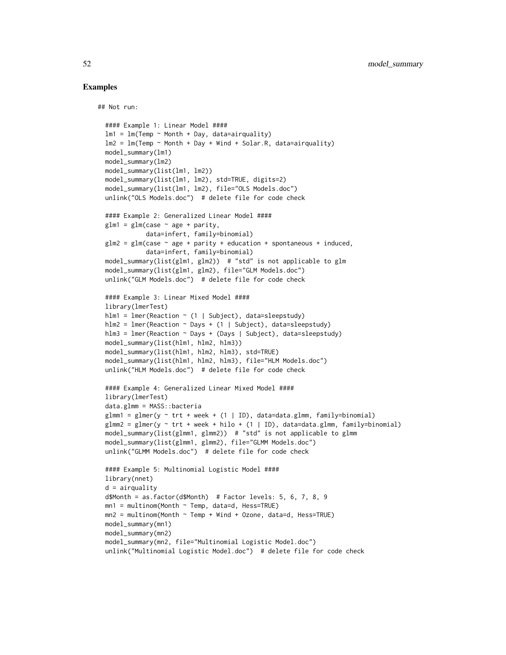## Examples

## Not run:

```
#### Example 1: Linear Model ####
lm1 = lm(Temp ~ Month + Day, data=airquality)lm2 = lm(Temp ~ Month + Day + Wind + Solar.R, data=airquality)model_summary(lm1)
model_summary(lm2)
model_summary(list(lm1, lm2))
model_summary(list(lm1, lm2), std=TRUE, digits=2)
model_summary(list(lm1, lm2), file="OLS Models.doc")
unlink("OLS Models.doc") # delete file for code check
#### Example 2: Generalized Linear Model ####
glm1 = glm(case ~ age + parity,data=infert, family=binomial)
glm2 = glm(case ~ age + parity + education + spontaneous + induced,data=infert, family=binomial)
model_summary(list(glm1, glm2)) # "std" is not applicable to glm
model_summary(list(glm1, glm2), file="GLM Models.doc")
unlink("GLM Models.doc") # delete file for code check
#### Example 3: Linear Mixed Model ####
library(lmerTest)
hlm1 = lmer(Reaction ~ (1 | Subject), data=sleepstudy)
hlm2 = lmer(Reaction ~ Days ~ + (1 ~ | Subject), data=sleepstudy)hlm3 = lmer(Reaction ~ Days ~ (Days ~ | Subject), data=sleepstudy)model_summary(list(hlm1, hlm2, hlm3))
model_summary(list(hlm1, hlm2, hlm3), std=TRUE)
model_summary(list(hlm1, hlm2, hlm3), file="HLM Models.doc")
unlink("HLM Models.doc") # delete file for code check
#### Example 4: Generalized Linear Mixed Model ####
library(lmerTest)
data.glmm = MASS::bacteria
glmm1 = glmer(y \sim trt + week + (1 | ID), data=data.glmm, family=binomial)glmm2 = glmer(y \sim trt + week + hilo + (1 | ID), data=data.glmm, family=binomial)model_summary(list(glmm1, glmm2)) # "std" is not applicable to glmm
model_summary(list(glmm1, glmm2), file="GLMM Models.doc")
unlink("GLMM Models.doc") # delete file for code check
#### Example 5: Multinomial Logistic Model ####
library(nnet)
d = airquality
d$Month = as.factor(d$Month) # Factor levels: 5, 6, 7, 8, 9
mn1 = multinom(Month \sim Temp, data=d, Hess=TRUE)mn2 = multinom(Month ~ Temp ~ Wind + Ozone, data=d, Hess=TRUE)model_summary(mn1)
model_summary(mn2)
model_summary(mn2, file="Multinomial Logistic Model.doc")
unlink("Multinomial Logistic Model.doc") # delete file for code check
```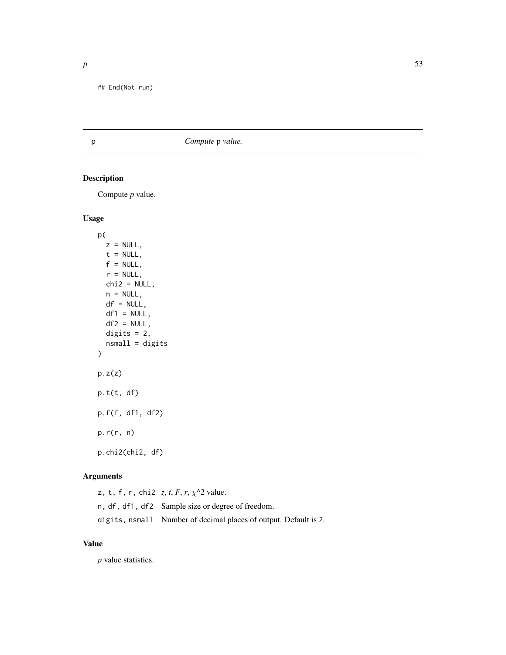## End(Not run)

# p *Compute* p *value.*

# Description

Compute *p* value.

#### Usage

```
p(
 z = NULL,t = NULL,f = NULL,r = NULL,chi2 = NULL,n = NULL,df = NULL,df1 = NULL,df2 = NULL,digits = 2,
 nsmall = digits
)
p.z(z)p.t(t, df)
p.f(f, df1, df2)
p.r(r, n)
p.chi2(chi2, df)
```
## Arguments

z, t, f, r, chi2 *z*, *t*, *F*, *r*, χ^2 value. n, df, df1, df2 Sample size or degree of freedom. digits, nsmall Number of decimal places of output. Default is 2.

## Value

*p* value statistics.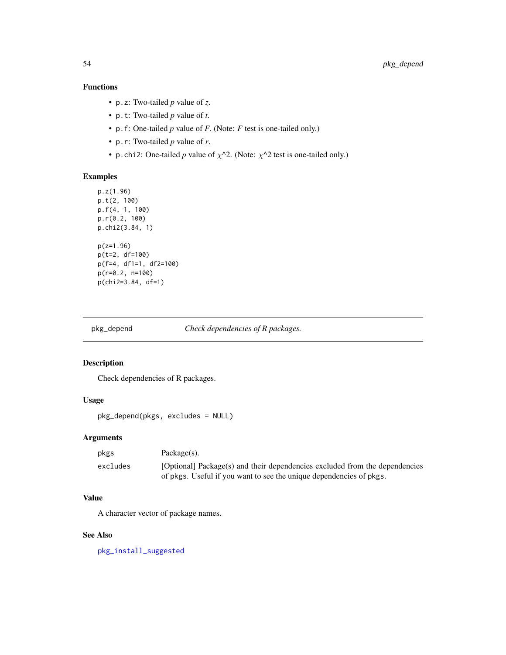# Functions

- p.z: Two-tailed *p* value of *z*.
- p.t: Two-tailed *p* value of *t*.
- p.f: One-tailed *p* value of *F*. (Note: *F* test is one-tailed only.)
- p.r: Two-tailed *p* value of *r*.
- p.chi2: One-tailed *p* value of  $\chi$ <sup> $\wedge$ </sup>2. (Note:  $\chi$ <sup> $\wedge$ 2 test is one-tailed only.)</sup>

## Examples

```
p.z(1.96)
p.t(2, 100)
p.f(4, 1, 100)
p.r(0.2, 100)
p.chi2(3.84, 1)
p(z=1.96)
p(t=2, df=100)
p(f=4, df1=1, df2=100)
p(r=0.2, n=100)
p(chi2=3.84, df=1)
```
<span id="page-53-0"></span>pkg\_depend *Check dependencies of R packages.*

#### Description

Check dependencies of R packages.

# Usage

pkg\_depend(pkgs, excludes = NULL)

#### Arguments

| pkgs     | $Package(s)$ .                                                              |
|----------|-----------------------------------------------------------------------------|
| excludes | [Optional] Package(s) and their dependencies excluded from the dependencies |
|          | of pkgs. Useful if you want to see the unique dependencies of pkgs.         |

# Value

A character vector of package names.

#### See Also

[pkg\\_install\\_suggested](#page-54-0)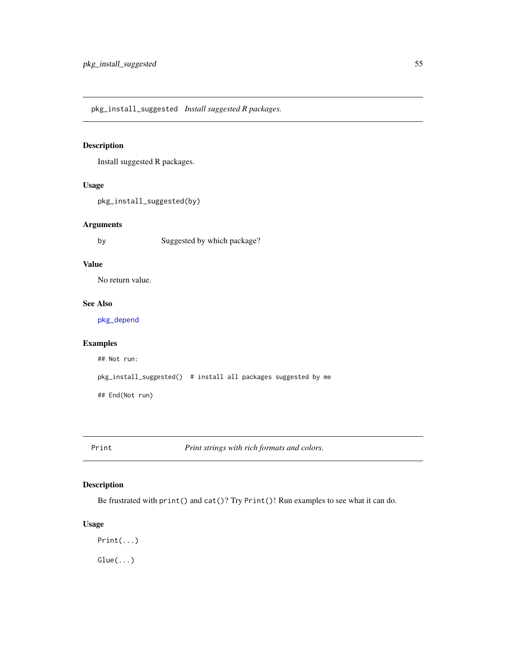<span id="page-54-0"></span>pkg\_install\_suggested *Install suggested R packages.*

# Description

Install suggested R packages.

#### Usage

pkg\_install\_suggested(by)

#### Arguments

by Suggested by which package?

## Value

No return value.

## See Also

[pkg\\_depend](#page-53-0)

## Examples

## Not run: pkg\_install\_suggested() # install all packages suggested by me

## End(Not run)

Print *Print strings with rich formats and colors.*

## Description

Be frustrated with print() and cat()? Try Print()! Run examples to see what it can do.

#### Usage

Print(...)  $Glue(...)$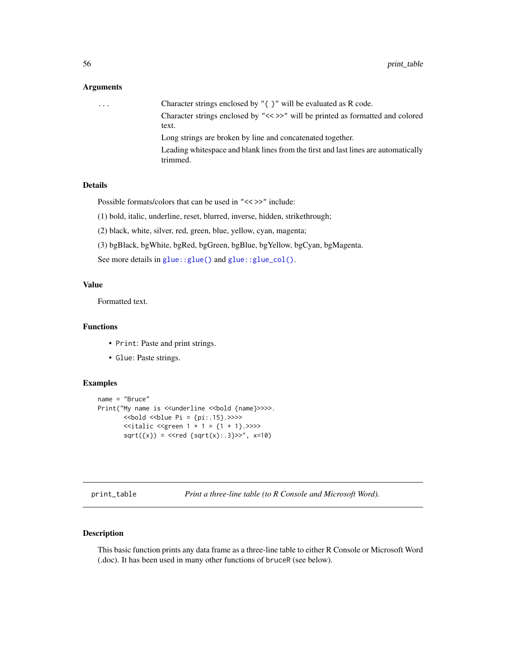#### Arguments

... Character strings enclosed by "{ }" will be evaluated as R code. Character strings enclosed by "<< >>" will be printed as formatted and colored text. Long strings are broken by line and concatenated together. Leading whitespace and blank lines from the first and last lines are automatically trimmed.

#### Details

Possible formats/colors that can be used in "<< >>" include:

(1) bold, italic, underline, reset, blurred, inverse, hidden, strikethrough;

(2) black, white, silver, red, green, blue, yellow, cyan, magenta;

(3) bgBlack, bgWhite, bgRed, bgGreen, bgBlue, bgYellow, bgCyan, bgMagenta.

See more details in [glue::glue\(\)](#page-0-0) and [glue::glue\\_col\(\)](#page-0-0).

#### Value

Formatted text.

## Functions

- Print: Paste and print strings.
- Glue: Paste strings.

#### Examples

```
name = "Bruce"
Print("My name is <<underline <<br/>bold {name}>>>>.
       \ltbold \ltblue Pi = {pi:.15}. >>>>
       \leitalic \legreen 1 + 1 = {1 + 1}. >>>>
       sqrt({x}) = <<red {sqrt(x):.3}>>", x=10)
```
<span id="page-55-0"></span>print\_table *Print a three-line table (to R Console and Microsoft Word).*

## Description

This basic function prints any data frame as a three-line table to either R Console or Microsoft Word (.doc). It has been used in many other functions of bruceR (see below).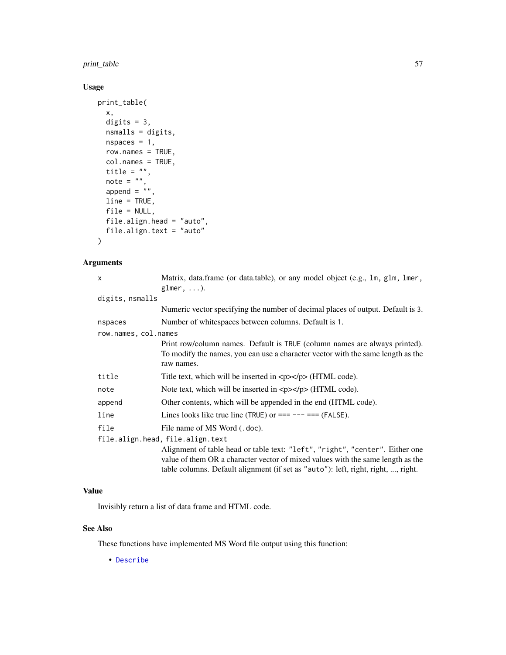print\_table 57

# Usage

```
print_table(
  x,
 digits = 3,
 nsmalls = digits,
 nspaces = 1,
  row.names = TRUE,
  col.names = TRUE,
  title = ",
  note = ",
 append = \frac{1}{n},
  line = TRUE,
  file = NULL,
 file.align.head = "auto",
  file.align.text = "auto"
)
```
## Arguments

| $\times$             | Matrix, data.frame (or data.table), or any model object (e.g., lm, glm, lmer,                                                                                                                                                                        |
|----------------------|------------------------------------------------------------------------------------------------------------------------------------------------------------------------------------------------------------------------------------------------------|
|                      | glmer, $\dots$ ).                                                                                                                                                                                                                                    |
| digits, nsmalls      |                                                                                                                                                                                                                                                      |
|                      | Numeric vector specifying the number of decimal places of output. Default is 3.                                                                                                                                                                      |
| nspaces              | Number of whitespaces between columns. Default is 1.                                                                                                                                                                                                 |
| row.names, col.names |                                                                                                                                                                                                                                                      |
|                      | Print row/column names. Default is TRUE (column names are always printed).<br>To modify the names, you can use a character vector with the same length as the<br>raw names.                                                                          |
| title                | Title text, which will be inserted in $\langle p \rangle \langle p \rangle$ (HTML code).                                                                                                                                                             |
| note                 | Note text, which will be inserted in $\langle p \rangle \langle p \rangle$ (HTML code).                                                                                                                                                              |
| append               | Other contents, which will be appended in the end (HTML code).                                                                                                                                                                                       |
| line                 | Lines looks like true line (TRUE) or $==--- ==$ (FALSE).                                                                                                                                                                                             |
| file                 | File name of MS Word (.doc).                                                                                                                                                                                                                         |
|                      | file.align.head, file.align.text                                                                                                                                                                                                                     |
|                      | Alignment of table head or table text: "left", "right", "center". Either one<br>value of them OR a character vector of mixed values with the same length as the<br>table columns. Default alignment (if set as "auto"): left, right, right, , right. |

## Value

Invisibly return a list of data frame and HTML code.

## See Also

These functions have implemented MS Word file output using this function:

• [Describe](#page-14-0)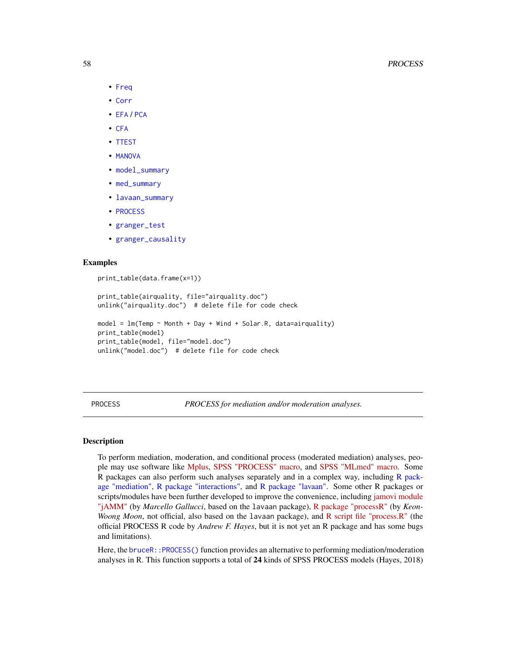- [Freq](#page-29-0)
- [Corr](#page-12-0)
- [EFA](#page-17-0) / [PCA](#page-17-1)
- [CFA](#page-11-0)
- [TTEST](#page-73-0)
- [MANOVA](#page-44-0)
- [model\\_summary](#page-49-0)
- [med\\_summary](#page-48-0)
- [lavaan\\_summary](#page-40-0)
- [PROCESS](#page-57-0)
- [granger\\_test](#page-33-0)
- [granger\\_causality](#page-32-0)

#### Examples

```
print_table(data.frame(x=1))
print_table(airquality, file="airquality.doc")
unlink("airquality.doc") # delete file for code check
model = lm(Temp \sim Month + Day + Wind + Solar.R, data=airquality)print_table(model)
print_table(model, file="model.doc")
unlink("model.doc") # delete file for code check
```
<span id="page-57-0"></span>PROCESS *PROCESS for mediation and/or moderation analyses.*

#### Description

To perform mediation, moderation, and conditional process (moderated mediation) analyses, people may use software like [Mplus,](http://www.statmodel.com/index.shtml) [SPSS "PROCESS" macro,](https://www.processmacro.org/index.html) and [SPSS "MLmed" macro.](https://njrockwood.com/mlmed/) Some R packages can also perform such analyses separately and in a complex way, including [R pack](#page-0-0)[age "mediation",](#page-0-0) [R package "interactions",](#page-0-0) and [R package "lavaan".](#page-0-0) Some other R packages or scripts/modules have been further developed to improve the convenience, including [jamovi module](https://jamovi-amm.github.io/) ["jAMM"](https://jamovi-amm.github.io/) (by *Marcello Gallucci*, based on the lavaan package), [R package "processR"](https://CRAN.R-project.org/package=processR) (by *Keon-Woong Moon*, not official, also based on the lavaan package), and [R script file "process.R"](https://www.processmacro.org/download.html) (the official PROCESS R code by *Andrew F. Hayes*, but it is not yet an R package and has some bugs and limitations).

Here, the [bruceR::PROCESS\(\)](#page-0-0) function provides an alternative to performing mediation/moderation analyses in R. This function supports a total of 24 kinds of SPSS PROCESS models (Hayes, 2018)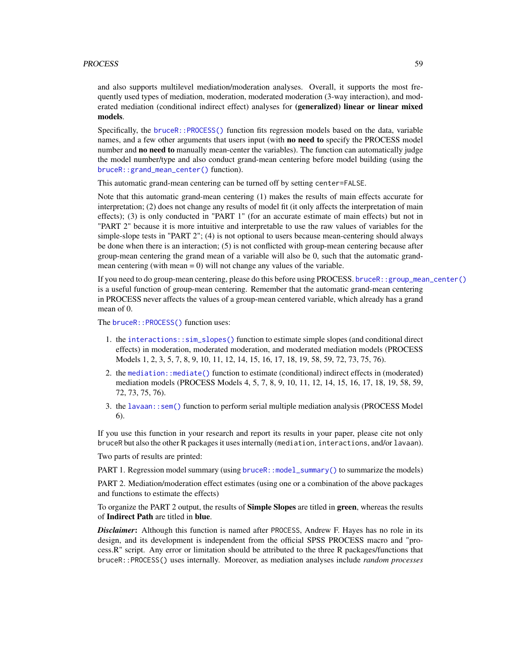#### PROCESS 59

and also supports multilevel mediation/moderation analyses. Overall, it supports the most frequently used types of mediation, moderation, moderated moderation (3-way interaction), and moderated mediation (conditional indirect effect) analyses for (generalized) linear or linear mixed models.

Specifically, the [bruceR::PROCESS\(\)](#page-0-0) function fits regression models based on the data, variable names, and a few other arguments that users input (with **no need to** specify the PROCESS model number and **no need to** manually mean-center the variables). The function can automatically judge the model number/type and also conduct grand-mean centering before model building (using the [bruceR::grand\\_mean\\_center\(\)](#page-0-0) function).

This automatic grand-mean centering can be turned off by setting center=FALSE.

Note that this automatic grand-mean centering (1) makes the results of main effects accurate for interpretation; (2) does not change any results of model fit (it only affects the interpretation of main effects); (3) is only conducted in "PART 1" (for an accurate estimate of main effects) but not in "PART 2" because it is more intuitive and interpretable to use the raw values of variables for the simple-slope tests in "PART 2"; (4) is not optional to users because mean-centering should always be done when there is an interaction; (5) is not conflicted with group-mean centering because after group-mean centering the grand mean of a variable will also be 0, such that the automatic grandmean centering (with mean  $= 0$ ) will not change any values of the variable.

If you need to do group-mean centering, please do this before using PROCESS. [bruceR::group\\_mean\\_center\(\)](#page-0-0) is a useful function of group-mean centering. Remember that the automatic grand-mean centering in PROCESS never affects the values of a group-mean centered variable, which already has a grand mean of 0.

The bruceR:: PROCESS() function uses:

- 1. the [interactions::sim\\_slopes\(\)](#page-0-0) function to estimate simple slopes (and conditional direct effects) in moderation, moderated moderation, and moderated mediation models (PROCESS Models 1, 2, 3, 5, 7, 8, 9, 10, 11, 12, 14, 15, 16, 17, 18, 19, 58, 59, 72, 73, 75, 76).
- 2. the [mediation::mediate\(\)](#page-0-0) function to estimate (conditional) indirect effects in (moderated) mediation models (PROCESS Models 4, 5, 7, 8, 9, 10, 11, 12, 14, 15, 16, 17, 18, 19, 58, 59, 72, 73, 75, 76).
- 3. the [lavaan::sem\(\)](#page-0-0) function to perform serial multiple mediation analysis (PROCESS Model 6).

If you use this function in your research and report its results in your paper, please cite not only bruceR but also the other R packages it uses internally (mediation, interactions, and/or lavaan).

Two parts of results are printed:

PART 1. Regression model summary (using [bruceR::model\\_summary\(\)](#page-0-0) to summarize the models)

PART 2. Mediation/moderation effect estimates (using one or a combination of the above packages and functions to estimate the effects)

To organize the PART 2 output, the results of **Simple Slopes** are titled in green, whereas the results of Indirect Path are titled in blue.

**Disclaimer:** Although this function is named after PROCESS, Andrew F. Hayes has no role in its design, and its development is independent from the official SPSS PROCESS macro and "process.R" script. Any error or limitation should be attributed to the three R packages/functions that bruceR::PROCESS() uses internally. Moreover, as mediation analyses include *random processes*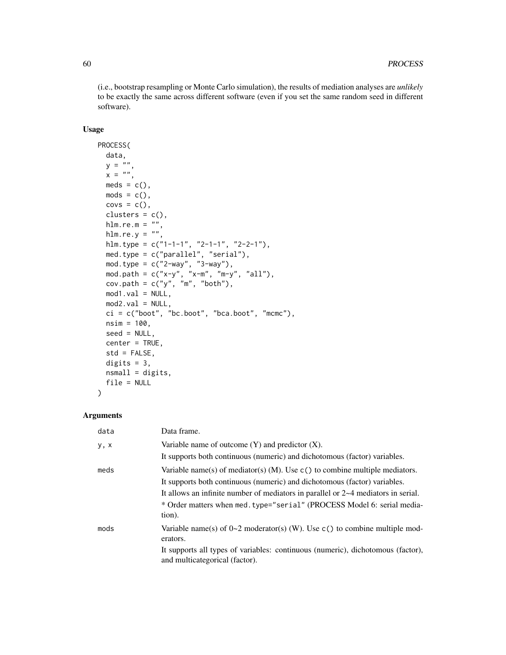(i.e., bootstrap resampling or Monte Carlo simulation), the results of mediation analyses are *unlikely* to be exactly the same across different software (even if you set the same random seed in different software).

## Usage

```
PROCESS(
 data,
 y = "x = "meds = c(),
 mods = c(),
 covs = c(),
  clusters = c(),
 hlm.re.m = "",hlm.re.y = "",hlm.type = c("1-1-1", "2-1-1", "2-2-1"),
 med.type = c("parallel", "serial"),
 mod.type = c("2-way", "3-way"),
  mod.path = c("x-y", "x-m", "m-y", "all"),
  cov.path = c("y", "m", "both"),mod1.val = NULL,
 mod2.val = NULL,ci = c("boot", "bc.boot", "bca.boot", "mcmc"),nsim = 100,
 seed = NULL,
 center = TRUE,
  std = FALSE,
 digits = 3,
 nsmall = digits,file = NULL
\lambda
```
## Arguments

| data | Data frame.                                                                                                       |
|------|-------------------------------------------------------------------------------------------------------------------|
| y, x | Variable name of outcome $(Y)$ and predictor $(X)$ .                                                              |
|      | It supports both continuous (numeric) and dichotomous (factor) variables.                                         |
| meds | Variable name(s) of mediator(s) (M). Use $c($ ) to combine multiple mediators.                                    |
|      | It supports both continuous (numeric) and dichotomous (factor) variables.                                         |
|      | It allows an infinite number of mediators in parallel or $2\nu$ mediators in serial.                              |
|      | * Order matters when med. type="serial" (PROCESS Model 6: serial media-<br>tion).                                 |
| mods | Variable name(s) of $0\text{-}2$ moderator(s) (W). Use c() to combine multiple mod-<br>erators.                   |
|      | It supports all types of variables: continuous (numeric), dichotomous (factor),<br>and multicategorical (factor). |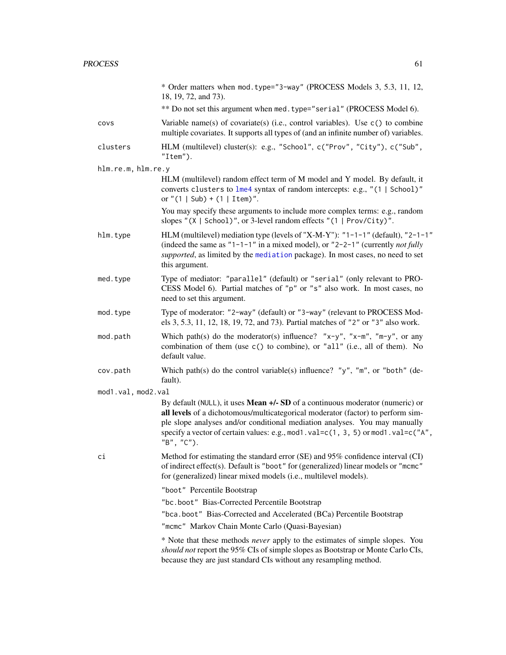|                    | * Order matters when mod. type="3-way" (PROCESS Models 3, 5.3, 11, 12,<br>18, 19, 72, and 73).                                                                                                                                                                                                                                                   |
|--------------------|--------------------------------------------------------------------------------------------------------------------------------------------------------------------------------------------------------------------------------------------------------------------------------------------------------------------------------------------------|
|                    | ** Do not set this argument when med. type="serial" (PROCESS Model 6).                                                                                                                                                                                                                                                                           |
| covs               | Variable name(s) of covariate(s) (i.e., control variables). Use $c()$ to combine<br>multiple covariates. It supports all types of (and an infinite number of) variables.                                                                                                                                                                         |
| clusters           | HLM (multilevel) cluster(s): e.g., "School", c("Prov", "City"), c("Sub",<br>"Item".                                                                                                                                                                                                                                                              |
| hlm.re.m, hlm.re.y |                                                                                                                                                                                                                                                                                                                                                  |
|                    | HLM (multilevel) random effect term of M model and Y model. By default, it<br>converts clusters to lme4 syntax of random intercepts: e.g., "(1   School)"<br>or $"(1   Sub) + (1   Item)".$                                                                                                                                                      |
|                    | You may specify these arguments to include more complex terms: e.g., random<br>slopes "(X   School)", or 3-level random effects "(1   Prov/City)".                                                                                                                                                                                               |
| hlm.type           | HLM (multilevel) mediation type (levels of "X-M-Y"): "1-1-1" (default), "2-1-1"<br>(indeed the same as "1-1-1" in a mixed model), or "2-2-1" (currently <i>not fully</i><br>supported, as limited by the mediation package). In most cases, no need to set<br>this argument.                                                                     |
| med.type           | Type of mediator: "parallel" (default) or "serial" (only relevant to PRO-<br>CESS Model 6). Partial matches of "p" or "s" also work. In most cases, no<br>need to set this argument.                                                                                                                                                             |
| mod.type           | Type of moderator: "2-way" (default) or "3-way" (relevant to PROCESS Mod-<br>els 3, 5.3, 11, 12, 18, 19, 72, and 73). Partial matches of "2" or "3" also work.                                                                                                                                                                                   |
| mod.path           | Which path(s) do the moderator(s) influence? " $x-y$ ", " $x-m$ ", " $m-y$ ", or any<br>combination of them (use c() to combine), or "all" (i.e., all of them). No<br>default value.                                                                                                                                                             |
| cov.path           | Which path(s) do the control variable(s) influence? "y", "m", or "both" (de-<br>fault).                                                                                                                                                                                                                                                          |
| mod1.val, mod2.val |                                                                                                                                                                                                                                                                                                                                                  |
|                    | By default (NULL), it uses Mean +/- SD of a continuous moderator (numeric) or<br>all levels of a dichotomous/multicategorical moderator (factor) to perform sim-<br>ple slope analyses and/or conditional mediation analyses. You may manually<br>specify a vector of certain values: e.g., mod1.val=c(1, 3, 5) or mod1.val=c("A",<br>"B", "C"). |
| ci                 | Method for estimating the standard error (SE) and 95% confidence interval (CI)<br>of indirect effect(s). Default is "boot" for (generalized) linear models or "mcmc"<br>for (generalized) linear mixed models (i.e., multilevel models).                                                                                                         |
|                    | "boot" Percentile Bootstrap                                                                                                                                                                                                                                                                                                                      |
|                    | "bc.boot" Bias-Corrected Percentile Bootstrap                                                                                                                                                                                                                                                                                                    |
|                    | "bca.boot" Bias-Corrected and Accelerated (BCa) Percentile Bootstrap                                                                                                                                                                                                                                                                             |
|                    | "mcmc" Markov Chain Monte Carlo (Quasi-Bayesian)                                                                                                                                                                                                                                                                                                 |
|                    | * Note that these methods <i>never</i> apply to the estimates of simple slopes. You<br>should not report the 95% CIs of simple slopes as Bootstrap or Monte Carlo CIs,<br>because they are just standard CIs without any resampling method.                                                                                                      |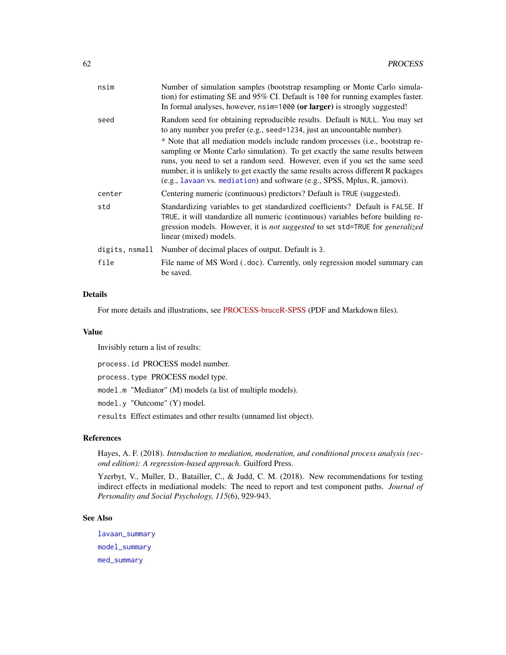| nsim           | Number of simulation samples (bootstrap resampling or Monte Carlo simula-<br>tion) for estimating SE and $95\%$ CI. Default is 100 for running examples faster.<br>In formal analyses, however, nsim=1000 (or larger) is strongly suggested!                                                                                                                                                                                                                                                                                                                                |
|----------------|-----------------------------------------------------------------------------------------------------------------------------------------------------------------------------------------------------------------------------------------------------------------------------------------------------------------------------------------------------------------------------------------------------------------------------------------------------------------------------------------------------------------------------------------------------------------------------|
| seed           | Random seed for obtaining reproducible results. Default is NULL. You may set<br>to any number you prefer (e.g., seed=1234, just an uncountable number).<br>* Note that all mediation models include random processes (i.e., bootstrap re-<br>sampling or Monte Carlo simulation). To get exactly the same results between<br>runs, you need to set a random seed. However, even if you set the same seed<br>number, it is unlikely to get exactly the same results across different R packages<br>(e.g., lavaan vs. mediation) and software (e.g., SPSS, Mplus, R, jamovi). |
| center         | Centering numeric (continuous) predictors? Default is TRUE (suggested).                                                                                                                                                                                                                                                                                                                                                                                                                                                                                                     |
| std            | Standardizing variables to get standardized coefficients? Default is FALSE. If<br>TRUE, it will standardize all numeric (continuous) variables before building re-<br>gression models. However, it is not suggested to set std=TRUE for generalized<br>linear (mixed) models.                                                                                                                                                                                                                                                                                               |
| digits, nsmall | Number of decimal places of output. Default is 3.                                                                                                                                                                                                                                                                                                                                                                                                                                                                                                                           |
| file           | File name of MS Word (.doc). Currently, only regression model summary can<br>be saved.                                                                                                                                                                                                                                                                                                                                                                                                                                                                                      |

#### Details

For more details and illustrations, see [PROCESS-bruceR-SPSS](https://github.com/psychbruce/bruceR/tree/master/note) (PDF and Markdown files).

#### Value

Invisibly return a list of results:

process.id PROCESS model number.

process.type PROCESS model type.

model.m "Mediator" (M) models (a list of multiple models).

model.y "Outcome" (Y) model.

results Effect estimates and other results (unnamed list object).

#### References

Hayes, A. F. (2018). *Introduction to mediation, moderation, and conditional process analysis (second edition): A regression-based approach*. Guilford Press.

Yzerbyt, V., Muller, D., Batailler, C., & Judd, C. M. (2018). New recommendations for testing indirect effects in mediational models: The need to report and test component paths. *Journal of Personality and Social Psychology, 115*(6), 929-943.

## See Also

[lavaan\\_summary](#page-40-0) [model\\_summary](#page-49-0) [med\\_summary](#page-48-0)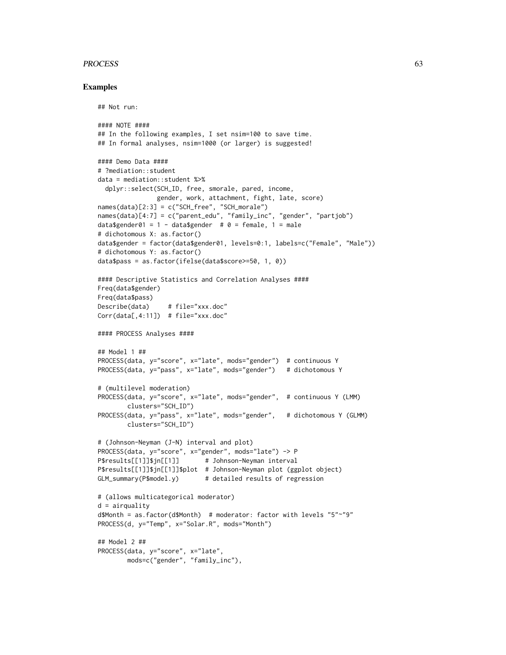#### PROCESS 63

#### Examples

```
## Not run:
#### NOTE ####
## In the following examples, I set nsim=100 to save time.
## In formal analyses, nsim=1000 (or larger) is suggested!
#### Demo Data ####
# ?mediation::student
data = mediation::student %>%
  dplyr::select(SCH_ID, free, smorale, pared, income,
                gender, work, attachment, fight, late, score)
names(data)[2:3] = c("SCH_free", "SCH_morale")
names(data)[4:7] = c("parent_edu", "family_inc", "gender", "partjob")
data$gender01 = 1 - data$gender # 0 = female, 1 = male
# dichotomous X: as.factor()
data$gender = factor(data$gender01, levels=0:1, labels=c("Female", "Male"))
# dichotomous Y: as.factor()
data$pass = as.factor(ifelse(data$score>=50, 1, 0))
#### Descriptive Statistics and Correlation Analyses ####
Freq(data$gender)
Freq(data$pass)
Describe(data) # file="xxx.doc"
Corr(data[,4:11]) # file="xxx.doc"
#### PROCESS Analyses ####
## Model 1 ##
PROCESS(data, y="score", x="late", mods="gender") # continuous Y
PROCESS(data, y="pass", x="late", mods="gender") # dichotomous Y
# (multilevel moderation)
PROCESS(data, y="score", x="late", mods="gender", # continuous Y (LMM)
        clusters="SCH_ID")
PROCESS(data, y="pass", x="late", mods="gender", # dichotomous Y (GLMM)
        clusters="SCH_ID")
# (Johnson-Neyman (J-N) interval and plot)
PROCESS(data, y="score", x="gender", mods="late") -> P
P$results[[1]]$jn[[1]] # Johnson-Neyman interval
P$results[[1]]$jn[[1]]$plot # Johnson-Neyman plot (ggplot object)
GLM_summary(P$model.y) # detailed results of regression
# (allows multicategorical moderator)
d = \text{airquality}d$Month = as.factor(d$Month) # moderator: factor with levels "5"~"9"
PROCESS(d, y="Temp", x="Solar.R", mods="Month")
## Model 2 ##
PROCESS(data, y="score", x="late",
       mods=c("gender", "family_inc"),
```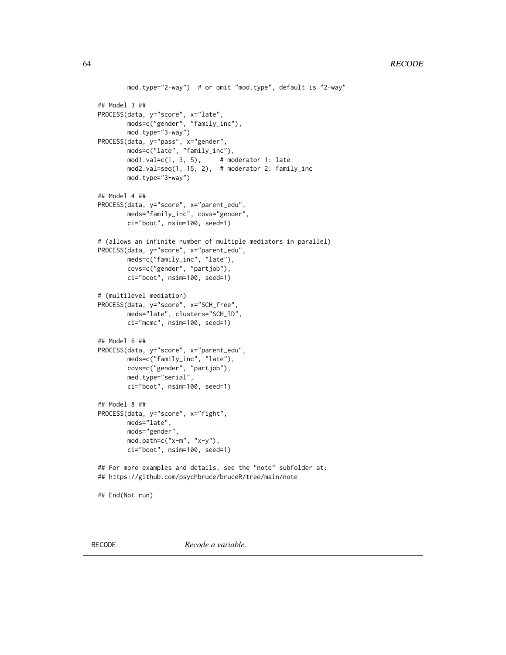```
mod.type="2-way") # or omit "mod.type", default is "2-way"
## Model 3 ##
PROCESS(data, y="score", x="late",
       mods=c("gender", "family_inc"),
       mod.type="3-way")
PROCESS(data, y="pass", x="gender",
       mods=c("late", "family_inc"),
       mod1.val=c(1, 3, 5), # moderator 1: late
       mod2.val=seq(1, 15, 2), # moderator 2: family_inc
       mod.type="3-way")
## Model 4 ##
PROCESS(data, y="score", x="parent_edu",
       meds="family_inc", covs="gender",
       ci="boot", nsim=100, seed=1)
# (allows an infinite number of multiple mediators in parallel)
PROCESS(data, y="score", x="parent_edu",
       meds=c("family_inc", "late"),
       covs=c("gender", "partjob"),
       ci="boot", nsim=100, seed=1)
# (multilevel mediation)
PROCESS(data, y="score", x="SCH_free",
       meds="late", clusters="SCH_ID",
       ci="mcmc", nsim=100, seed=1)
## Model 6 ##
PROCESS(data, y="score", x="parent_edu",
       meds=c("family_inc", "late"),
       covs=c("gender", "partjob"),
       med.type="serial",
       ci="boot", nsim=100, seed=1)
## Model 8 ##
PROCESS(data, y="score", x="fight",
       meds="late",
       mods="gender",
       mod.path=c("x-m", "x-y"),
       ci="boot", nsim=100, seed=1)
## For more examples and details, see the "note" subfolder at:
## https://github.com/psychbruce/bruceR/tree/main/note
## End(Not run)
```
RECODE *Recode a variable.*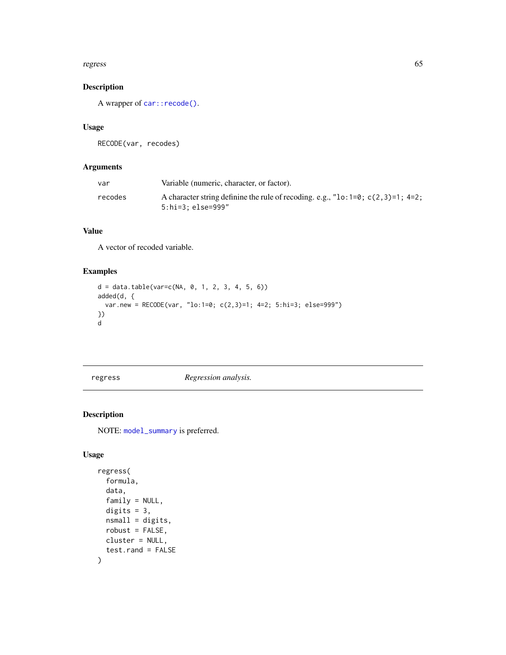#### regress 65

# Description

A wrapper of [car::recode\(\)](#page-0-0).

## Usage

RECODE(var, recodes)

## Arguments

| var     | Variable (numeric, character, or factor).                                                                    |
|---------|--------------------------------------------------------------------------------------------------------------|
| recodes | A character string definine the rule of recoding. e.g., " $\log 1 = 0$ ; c(2,3)=1; 4=2;<br>5:hi=3; else=999" |

## Value

A vector of recoded variable.

## Examples

```
d = data.table(var=c(NA, 0, 1, 2, 3, 4, 5, 6))added(d, {
  var.new = RECODE(var, "lo:1=0; c(2,3)=1; 4=2; 5:hi=3; else=999")
})
d
```
# <span id="page-64-0"></span>regress *Regression analysis.*

# Description

NOTE: [model\\_summary](#page-49-0) is preferred.

# Usage

```
regress(
 formula,
 data,
 family = NULL,
 digits = 3,
 nsmall = digits,
 robust = FALSE,cluster = NULL,
  test.rand = FALSE
\mathcal{L}
```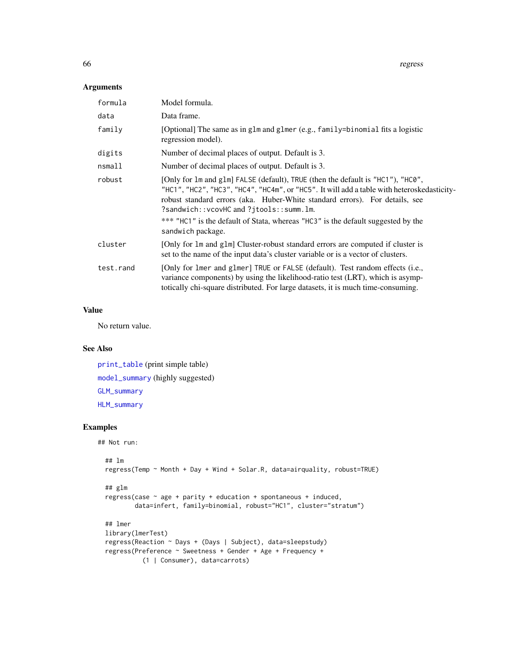66 regress

## Arguments

| formula   | Model formula.                                                                                                                                                                                                                                                                                                                                                                                                   |
|-----------|------------------------------------------------------------------------------------------------------------------------------------------------------------------------------------------------------------------------------------------------------------------------------------------------------------------------------------------------------------------------------------------------------------------|
| data      | Data frame.                                                                                                                                                                                                                                                                                                                                                                                                      |
| family    | [Optional] The same as in glm and glmer (e.g., family=binomial fits a logistic<br>regression model).                                                                                                                                                                                                                                                                                                             |
| digits    | Number of decimal places of output. Default is 3.                                                                                                                                                                                                                                                                                                                                                                |
| nsmall    | Number of decimal places of output. Default is 3.                                                                                                                                                                                                                                                                                                                                                                |
| robust    | [Only for 1m and g1m] FALSE (default), TRUE (then the default is "HC1"), "HC0",<br>"HC1", "HC2", "HC3", "HC4", "HC4m", or "HC5". It will add a table with heteroskedasticity-<br>robust standard errors (aka. Huber-White standard errors). For details, see<br>?sandwich::vcovHC and ?jtools::summ.lm.<br>*** "HC1" is the default of Stata, whereas "HC3" is the default suggested by the<br>sandwich package. |
| cluster   | [Only for 1m and g1m] Cluster-robust standard errors are computed if cluster is<br>set to the name of the input data's cluster variable or is a vector of clusters.                                                                                                                                                                                                                                              |
| test.rand | [Only for lmer and glmer] TRUE or FALSE (default). Test random effects (i.e.,<br>variance components) by using the likelihood-ratio test (LRT), which is asymp-<br>totically chi-square distributed. For large datasets, it is much time-consuming.                                                                                                                                                              |

# Value

No return value.

# See Also

[print\\_table](#page-55-0) (print simple table) [model\\_summary](#page-49-0) (highly suggested) [GLM\\_summary](#page-30-0) [HLM\\_summary](#page-37-0)

## Examples

```
## Not run:
```

```
## lm
regress(Temp ~ Month + Day + Wind + Solar.R, data=airquality, robust=TRUE)
## glm
regress(case \sim age + parity + education + spontaneous + induced,
       data=infert, family=binomial, robust="HC1", cluster="stratum")
## lmer
library(lmerTest)
regress(Reaction ~ Days + (Days | Subject), data=sleepstudy)
regress(Preference ~ Sweetness + Gender + Age + Frequency +
          (1 | Consumer), data=carrots)
```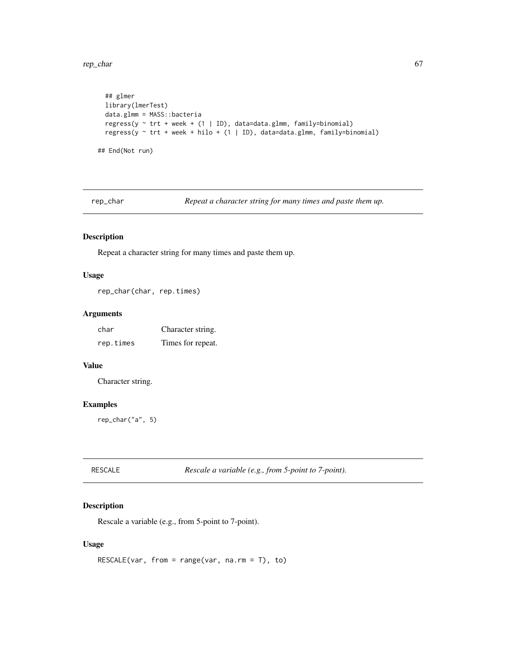rep\_char 67

```
## glmer
 library(lmerTest)
 data.glmm = MASS::bacteria
 regress(y \sim trt + week + (1 | ID), data=data.glmm, family=binomial)
 regress(y \sim trt + week + hilo + (1 | ID), data=data.glmm, family=binomial)
## End(Not run)
```
rep\_char *Repeat a character string for many times and paste them up.*

# Description

Repeat a character string for many times and paste them up.

#### Usage

rep\_char(char, rep.times)

## Arguments

| char      | Character string. |
|-----------|-------------------|
| rep.times | Times for repeat. |

## Value

Character string.

## Examples

rep\_char("a", 5)

| <b>RESCALE</b> | Rescale a variable (e.g., from 5-point to 7-point). |
|----------------|-----------------------------------------------------|
|                |                                                     |

## Description

Rescale a variable (e.g., from 5-point to 7-point).

# Usage

```
RESCALE(var, from = range(var, na.m = T), to)
```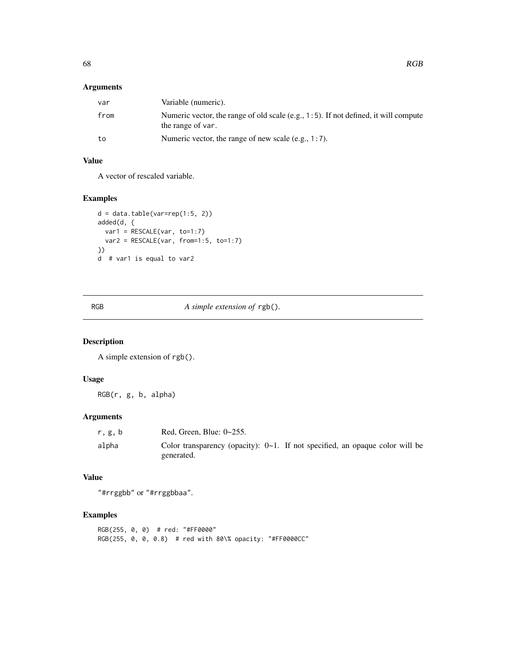# Arguments

| var  | Variable (numeric).                                                                                      |
|------|----------------------------------------------------------------------------------------------------------|
| from | Numeric vector, the range of old scale (e.g., 1:5). If not defined, it will compute<br>the range of var. |
| to   | Numeric vector, the range of new scale $(e.g., 1:7)$ .                                                   |

# Value

A vector of rescaled variable.

## Examples

```
d = data_table(var=rep(1:5, 2))added(d, {
 var1 = RESCALE(var, to=1:7)
 var2 = RESCALE(var, from=1:5, to=1:7)
})
d # var1 is equal to var2
```
RGB *A simple extension of* rgb()*.*

# Description

A simple extension of rgb().

## Usage

RGB(r, g, b, alpha)

# Arguments

| r.g.b | Red. Green. Blue: $0 \sim 255$ .                                                                 |
|-------|--------------------------------------------------------------------------------------------------|
| alpha | Color transparency (opacity): $0\nu$ -1. If not specified, an opaque color will be<br>generated. |

# Value

"#rrggbb" or "#rrggbbaa".

## Examples

RGB(255, 0, 0) # red: "#FF0000" RGB(255, 0, 0, 0.8) # red with 80\% opacity: "#FF0000CC"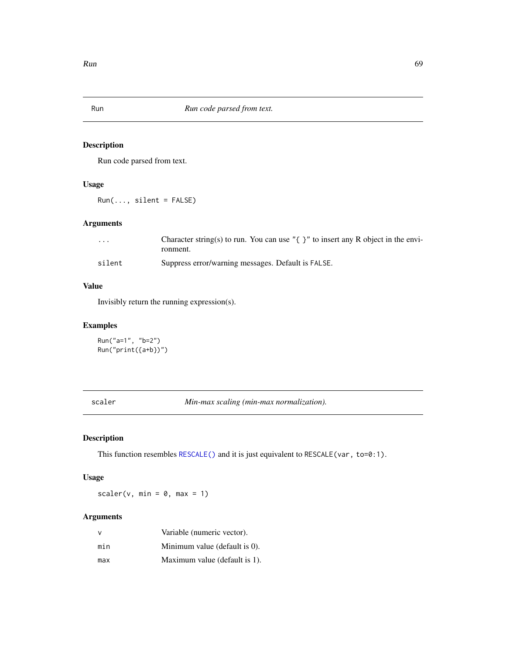## Description

Run code parsed from text.

## Usage

 $Run(..., silent = FALSE)$ 

# Arguments

| $\cdot$ $\cdot$ $\cdot$ | Character string(s) to run. You can use " $\{\}$ " to insert any R object in the envi- |
|-------------------------|----------------------------------------------------------------------------------------|
|                         | ronment.                                                                               |
| silent                  | Suppress error/warning messages. Default is FALSE.                                     |

# Value

Invisibly return the running expression(s).

## Examples

```
Run("a=1", "b=2")
Run("print({a+b})")
```
scaler *Min-max scaling (min-max normalization).*

## Description

This function resembles [RESCALE\(\)](#page-0-0) and it is just equivalent to RESCALE(var, to=0:1).

# Usage

scaler(v, min =  $0$ , max = 1)

## Arguments

| $\vee$ | Variable (numeric vector).    |
|--------|-------------------------------|
| min    | Minimum value (default is 0). |
| max    | Maximum value (default is 1). |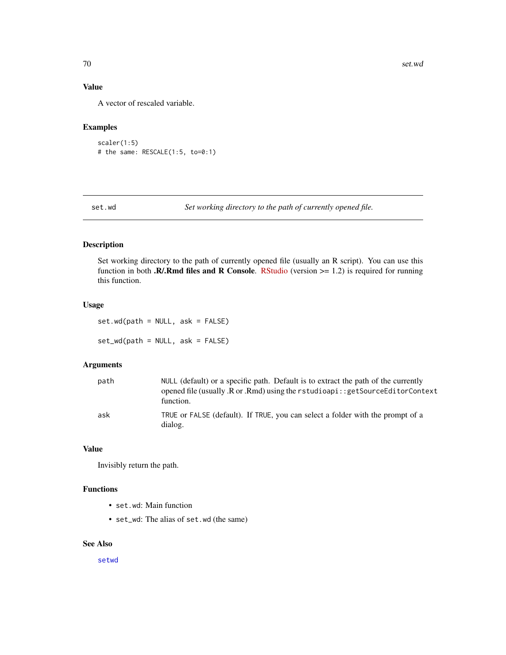# Value

A vector of rescaled variable.

# Examples

```
scaler(1:5)
# the same: RESCALE(1:5, to=0:1)
```
set.wd *Set working directory to the path of currently opened file.*

## Description

Set working directory to the path of currently opened file (usually an R script). You can use this function in both .R/.Rmd files and R Console. [RStudio](https://www.rstudio.com/products/rstudio/download/preview/) (version  $>= 1.2$ ) is required for running this function.

# Usage

set.wd(path = NULL, ask = FALSE) set\_wd(path = NULL, ask = FALSE)

#### Arguments

| path | NULL (default) or a specific path. Default is to extract the path of the currently<br>opened file (usually .R or .Rmd) using the rstudioapi:: getSourceEditorContext<br>function. |
|------|-----------------------------------------------------------------------------------------------------------------------------------------------------------------------------------|
| ask  | TRUE or FALSE (default). If TRUE, you can select a folder with the prompt of a<br>dialog.                                                                                         |

#### Value

Invisibly return the path.

## Functions

- set.wd: Main function
- set\_wd: The alias of set.wd (the same)

#### See Also

[setwd](#page-0-0)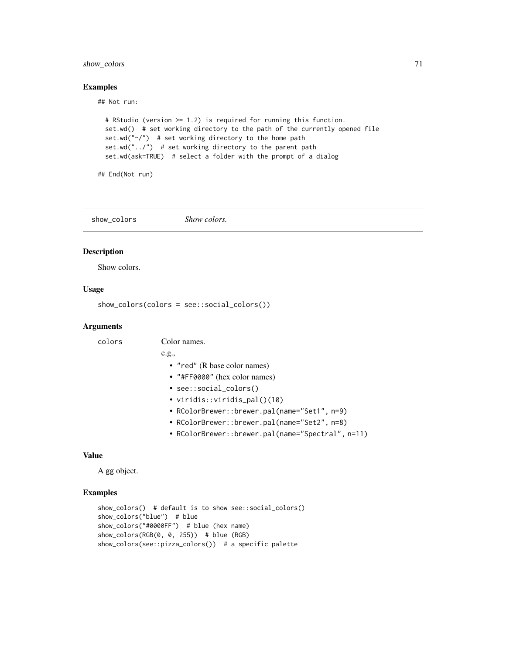## show\_colors 71

#### Examples

## Not run:

```
# RStudio (version >= 1.2) is required for running this function.
set.wd() # set working directory to the path of the currently opened file
set.wd("\gamma") # set working directory to the home path
set.wd("../") # set working directory to the parent path
set.wd(ask=TRUE) # select a folder with the prompt of a dialog
```
## End(Not run)

show\_colors *Show colors.*

## Description

Show colors.

#### Usage

show\_colors(colors = see::social\_colors())

#### **Arguments**

colors Color names.

#### e.g.,

- "red" (R base color names)
- "#FF0000" (hex color names)
- see::social\_colors()
- viridis::viridis\_pal()(10)
- RColorBrewer::brewer.pal(name="Set1", n=9)
- RColorBrewer::brewer.pal(name="Set2", n=8)
- RColorBrewer::brewer.pal(name="Spectral", n=11)

#### Value

A gg object.

#### Examples

```
show_colors() # default is to show see::social_colors()
show_colors("blue") # blue
show_colors("#0000FF") # blue (hex name)
show\_colors(RGB(0, 0, 255)) # blue (RGB)
show_colors(see::pizza_colors()) # a specific palette
```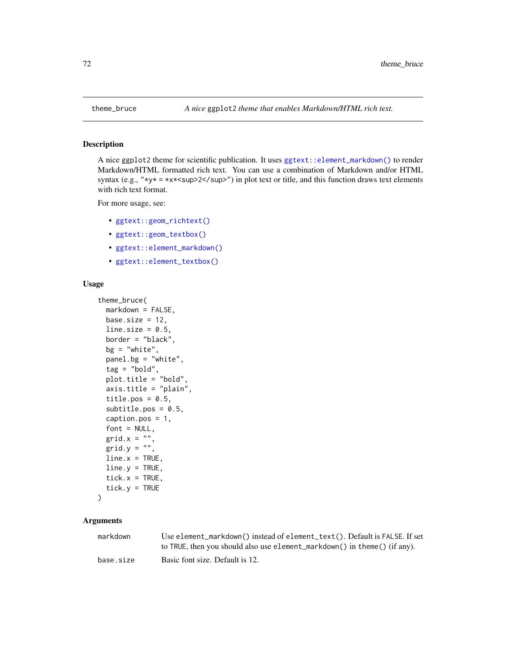#### Description

A nice ggplot2 theme for scientific publication. It uses  $ggtext$ ::element\_markdown() to render Markdown/HTML formatted rich text. You can use a combination of Markdown and/or HTML syntax (e.g., " $xy* = xx*2sup>2$  | sup = 0 in plot text or title, and this function draws text elementswith rich text format.

For more usage, see:

- [ggtext::geom\\_richtext\(\)](#page-0-0)
- [ggtext::geom\\_textbox\(\)](#page-0-0)
- [ggtext::element\\_markdown\(\)](#page-0-0)
- [ggtext::element\\_textbox\(\)](#page-0-0)

#### Usage

```
theme_bruce(
 markdown = FALSE,
 base.size = 12,
  line.size = 0.5,
  border = "black",
 bg = "white",
 panel.bg = "white",
  tag = "bold",plot.title = "bold",
  axis.title = "plain",
  title.pos = 0.5,
  subtitle.pos = 0.5,
  caption.pos = 1,
  font = NULL,grid.x = ",
 grid.y = ",
  line.x = TRUE,line.y = TRUE,tick.x = TRUE,
  tick.y = TRUE)
```
#### Arguments

| markdown  | Use element_markdown() instead of element_text(). Default is FALSE. If set<br>to TRUE, then you should also use element_markdown() in theme() (if any). |
|-----------|---------------------------------------------------------------------------------------------------------------------------------------------------------|
| base.size | Basic font size. Default is 12.                                                                                                                         |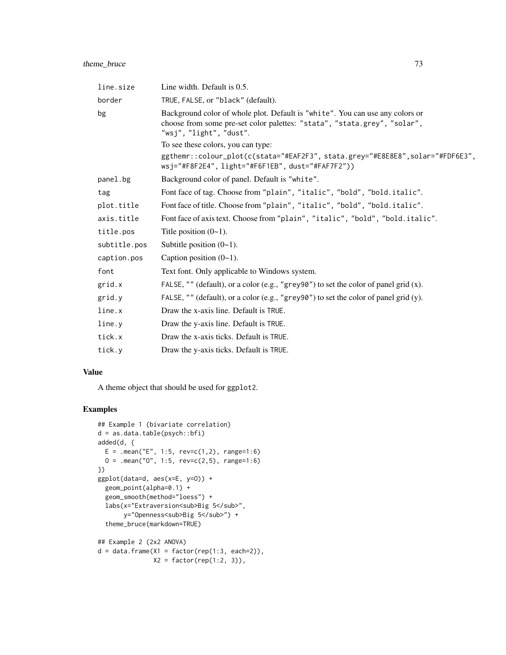| line.size    | Line width. Default is 0.5.                                                                                                                                                          |
|--------------|--------------------------------------------------------------------------------------------------------------------------------------------------------------------------------------|
| border       | TRUE, FALSE, or "black" (default).                                                                                                                                                   |
| bg           | Background color of whole plot. Default is "white". You can use any colors or<br>choose from some pre-set color palettes: "stata", "stata.grey", "solar",<br>"wsj", "light", "dust". |
|              | To see these colors, you can type:                                                                                                                                                   |
|              | ggthemr::colour_plot(c(stata="#EAF2F3", stata.grey="#E8E8E8", solar="#FDF6E3",<br>wsj="#F8F2E4", light="#F6F1EB", dust="#FAF7F2"))                                                   |
| panel.bg     | Background color of panel. Default is "white".                                                                                                                                       |
| tag          | Font face of tag. Choose from "plain", "italic", "bold", "bold.italic".                                                                                                              |
| plot.title   | Font face of title. Choose from "plain", "italic", "bold", "bold.italic".                                                                                                            |
| axis.title   | Font face of axis text. Choose from "plain", "italic", "bold", "bold.italic".                                                                                                        |
| title.pos    | Title position $(0-1)$ .                                                                                                                                                             |
| subtitle.pos | Subtitle position $(0-1)$ .                                                                                                                                                          |
| caption.pos  | Caption position $(0-1)$ .                                                                                                                                                           |
| font         | Text font. Only applicable to Windows system.                                                                                                                                        |
| grid.x       | FALSE, "" (default), or a color (e.g., "grey90") to set the color of panel grid $(x)$ .                                                                                              |
| grid.y       | FALSE, "" (default), or a color (e.g., "grey90") to set the color of panel grid (y).                                                                                                 |
| line.x       | Draw the x-axis line. Default is TRUE.                                                                                                                                               |
| line.y       | Draw the y-axis line. Default is TRUE.                                                                                                                                               |
| tick.x       | Draw the x-axis ticks. Default is TRUE.                                                                                                                                              |
| tick.y       | Draw the y-axis ticks. Default is TRUE.                                                                                                                                              |

# Value

A theme object that should be used for ggplot2.

```
## Example 1 (bivariate correlation)
d = as.data.table(psych::bfi)
added(d, {
 E = .mean("E", 1:5, rev=c(1,2), range=1:6)
  0 = .mean("0", 1:5, rev=c(2,5), range=1:6)})
ggplot(data=d, aes(x=E, y=O)) +
  geom_point(alpha=0.1) +
  geom_smooth(method="loess") +
  labs(x="Extraversion<sub>Big 5</sub>",
      y="Openness<sub>Big 5</sub>") +
  theme_bruce(markdown=TRUE)
## Example 2 (2x2 ANOVA)
d = data-frame(X1 = factor(rep(1:3, each=2)),X2 = factor(rep(1:2, 3)),
```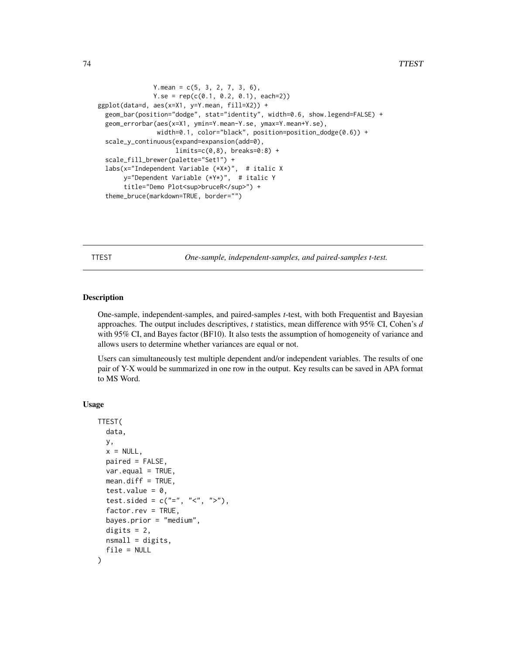```
Y.mean = c(5, 3, 2, 7, 3, 6),
               Y. se = rep(c(0.1, 0.2, 0.1), each=2))ggplot(data=d, aes(x=X1, y=Y.mean, fill=X2)) +
 geom_bar(position="dodge", stat="identity", width=0.6, show.legend=FALSE) +
 geom_errorbar(aes(x=X1, ymin=Y.mean-Y.se, ymax=Y.mean+Y.se),
                width=0.1, color="black", position=position_dodge(0.6)) +
 scale_y_continuous(expand=expansion(add=0),
                    limits=c(0,8), breaks=0:8) +
 scale_fill_brewer(palette="Set1") +
 labs(x="Independent Variable (*X*)", # italic X
      y="Dependent Variable (*Y*)", # italic Y
      title="Demo Plot<sup>bruceR</sup>") +
  theme_bruce(markdown=TRUE, border="")
```
TTEST *One-sample, independent-samples, and paired-samples t-test.*

#### Description

One-sample, independent-samples, and paired-samples *t*-test, with both Frequentist and Bayesian approaches. The output includes descriptives, *t* statistics, mean difference with 95% CI, Cohen's *d* with 95% CI, and Bayes factor (BF10). It also tests the assumption of homogeneity of variance and allows users to determine whether variances are equal or not.

Users can simultaneously test multiple dependent and/or independent variables. The results of one pair of Y-X would be summarized in one row in the output. Key results can be saved in APA format to MS Word.

### Usage

```
TTEST(
  data,
 y,
  x = NULL,paired = FALSE,
  var.equals = TRUE,mean.diff = TRUE,test.value = 0,
  test.sided = c("="", "&lt", ">"),
  factor.rev = TRUE,
  bayes.prior = "medium",
  digits = 2,
  nsmall = digits,file = NULL
)
```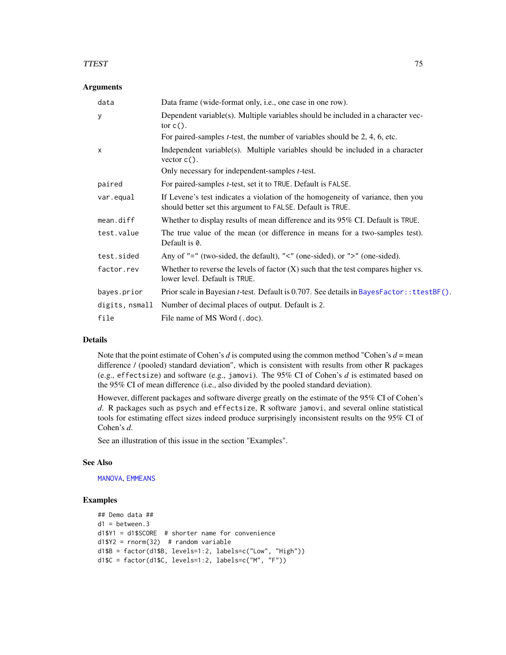#### <span id="page-74-0"></span>TTEST 75

#### Arguments

| data           | Data frame (wide-format only, i.e., one case in one row).                                                                                     |
|----------------|-----------------------------------------------------------------------------------------------------------------------------------------------|
| У              | Dependent variable(s). Multiple variables should be included in a character vec-<br>tor $c()$ .                                               |
|                | For paired-samples <i>t</i> -test, the number of variables should be $2, 4, 6$ , etc.                                                         |
| X              | Independent variable(s). Multiple variables should be included in a character<br>vector $c()$ .                                               |
|                | Only necessary for independent-samples <i>t</i> -test.                                                                                        |
| paired         | For paired-samples <i>t</i> -test, set it to TRUE. Default is FALSE.                                                                          |
| var.equal      | If Levene's test indicates a violation of the homogeneity of variance, then you<br>should better set this argument to FALSE. Default is TRUE. |
| mean.diff      | Whether to display results of mean difference and its 95% CI. Default is TRUE.                                                                |
| test.value     | The true value of the mean (or difference in means for a two-samples test).<br>Default is 0.                                                  |
| test.sided     | Any of "=" (two-sided, the default), "<" (one-sided), or ">" (one-sided).                                                                     |
| factor.rev     | Whether to reverse the levels of factor $(X)$ such that the test compares higher vs.<br>lower level. Default is TRUE.                         |
| bayes.prior    | Prior scale in Bayesian t-test. Default is 0.707. See details in BayesFactor:: ttestBF().                                                     |
| digits, nsmall | Number of decimal places of output. Default is 2.                                                                                             |
| file           | File name of MS Word (.doc).                                                                                                                  |

#### Details

Note that the point estimate of Cohen's  $d$  is computed using the common method "Cohen's  $d =$  mean difference / (pooled) standard deviation", which is consistent with results from other R packages (e.g., effectsize) and software (e.g., jamovi). The 95% CI of Cohen's *d* is estimated based on the 95% CI of mean difference (i.e., also divided by the pooled standard deviation).

However, different packages and software diverge greatly on the estimate of the 95% CI of Cohen's *d*. R packages such as psych and effectsize, R software jamovi, and several online statistical tools for estimating effect sizes indeed produce surprisingly inconsistent results on the 95% CI of Cohen's *d*.

See an illustration of this issue in the section "Examples".

#### See Also

[MANOVA](#page-44-0), [EMMEANS](#page-20-0)

```
## Demo data ##
d1 = between.3
d1$Y1 = d1$SCORE # shorter name for convenience
d1$Y2 = rnorm(32) # random variable
d1$B = factor(d1$B, levels=1:2, labels=c("Low", "High"))
d1$C = factor(d1$C, levels=1:2, labels=c("M", "F"))
```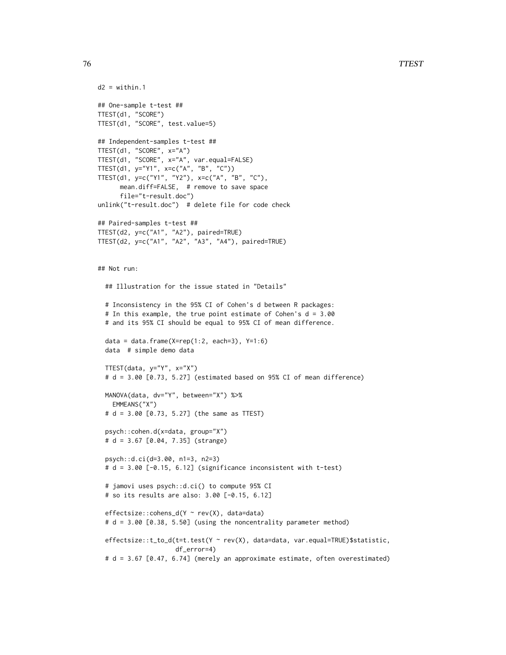76 TTEST

```
d2 = \text{within}.1## One-sample t-test ##
TTEST(d1, "SCORE")
TTEST(d1, "SCORE", test.value=5)
## Independent-samples t-test ##
TTEST(d1, "SCORE", x="A")
TTEST(d1, "SCORE", x="A", var.equal=FALSE)
TTEST(d1, y="Y1", x=c("A", "B", "C"))
TTEST(d1, y=c("Y1", "Y2"), x=c("A", "B", "C"),
      mean.diff=FALSE, # remove to save space
      file="t-result.doc")
unlink("t-result.doc") # delete file for code check
## Paired-samples t-test ##
TTEST(d2, y=c("A1", "A2"), paired=TRUE)
TTEST(d2, y=c("A1", "A2", "A3", "A4"), paired=TRUE)
## Not run:
  ## Illustration for the issue stated in "Details"
  # Inconsistency in the 95% CI of Cohen's d between R packages:
  # In this example, the true point estimate of Cohen's d = 3.00
  # and its 95% CI should be equal to 95% CI of mean difference.
  data = data.frame(X=rep(1:2, each=3), Y=1:6)
  data # simple demo data
  TTEST(data, y="Y", x="X")
  # d = 3.00 [0.73, 5.27] (estimated based on 95% CI of mean difference)
  MANOVA(data, dv="Y", between="X") %>%
   EMMEANS("X")
  # d = 3.00 [0.73, 5.27] (the same as TTEST)
  psych::cohen.d(x=data, group="X")
  # d = 3.67 [0.04, 7.35] (strange)
  psych::d.ci(d=3.00, n1=3, n2=3)
  # d = 3.00 [-0.15, 6.12] (significance inconsistent with t-test)
  # jamovi uses psych::d.ci() to compute 95% CI
  # so its results are also: 3.00 [-0.15, 6.12]
  effectsize::cohens_d(Y ~ rev(X), data=data)
  # d = 3.00 [0.38, 5.50] (using the noncentrality parameter method)
  effectsize::t_to_d(t=t.test(Y ~ rev(X), data=data, var.equal=TRUE)$statistic,
                     df_error=4)
  # d = 3.67 [0.47, 6.74] (merely an approximate estimate, often overestimated)
```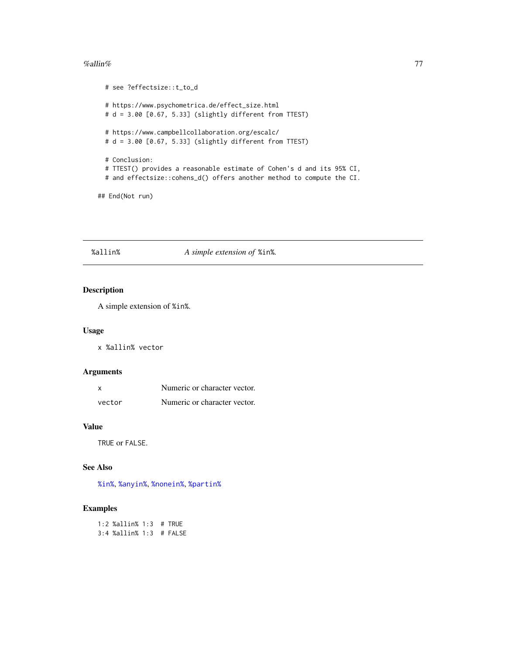#### <span id="page-76-1"></span>% all  $\ln$ % 77

```
# see ?effectsize::t_to_d
# https://www.psychometrica.de/effect_size.html
# d = 3.00 [0.67, 5.33] (slightly different from TTEST)
# https://www.campbellcollaboration.org/escalc/
# d = 3.00 [0.67, 5.33] (slightly different from TTEST)
# Conclusion:
# TTEST() provides a reasonable estimate of Cohen's d and its 95% CI,
# and effectsize::cohens_d() offers another method to compute the CI.
```
## End(Not run)

#### <span id="page-76-0"></span>%allin% *A simple extension of* %in%*.*

#### Description

A simple extension of %in%.

#### Usage

x %allin% vector

# Arguments

| x      | Numeric or character vector. |
|--------|------------------------------|
| vector | Numeric or character vector. |

# Value

TRUE or FALSE.

#### See Also

[%in%](#page-0-0), [%anyin%](#page-77-0), [%nonein%](#page-81-0), [%partin%](#page-82-0)

#### Examples

1:2 %allin% 1:3 # TRUE 3:4 %allin% 1:3 # FALSE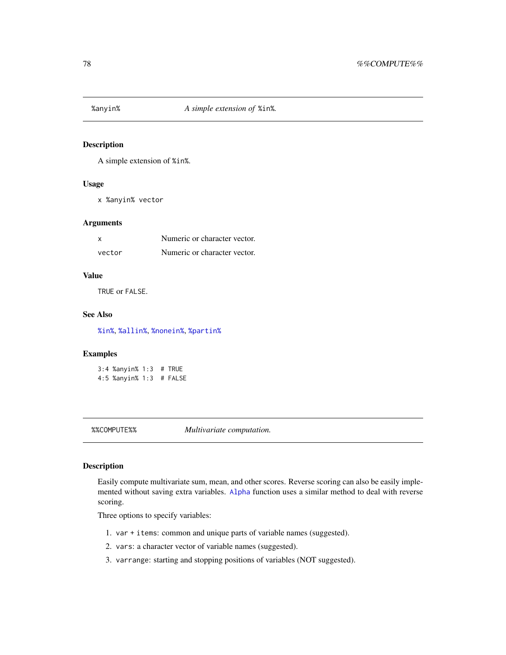<span id="page-77-1"></span><span id="page-77-0"></span>

# Description

A simple extension of %in%.

# Usage

x %anyin% vector

#### Arguments

| x      | Numeric or character vector. |
|--------|------------------------------|
| vector | Numeric or character vector. |

# Value

TRUE or FALSE.

#### See Also

[%in%](#page-0-0), [%allin%](#page-76-0), [%nonein%](#page-81-0), [%partin%](#page-82-0)

## Examples

3:4 %anyin% 1:3 # TRUE 4:5 %anyin% 1:3 # FALSE

%%COMPUTE%% *Multivariate computation.*

### Description

Easily compute multivariate sum, mean, and other scores. Reverse scoring can also be easily implemented without saving extra variables. [Alpha](#page-7-0) function uses a similar method to deal with reverse scoring.

Three options to specify variables:

- 1. var + items: common and unique parts of variable names (suggested).
- 2. vars: a character vector of variable names (suggested).
- 3. varrange: starting and stopping positions of variables (NOT suggested).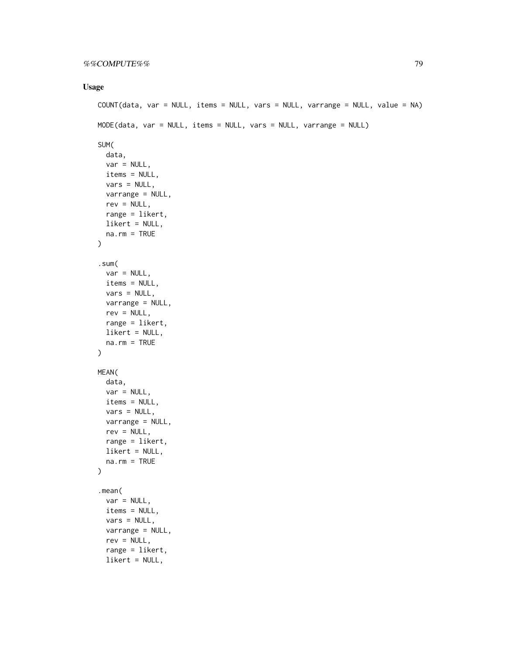# Usage

```
COUNT(data, var = NULL, items = NULL, vars = NULL, varrange = NULL, value = NA)
MODE(data, var = NULL, items = NULL, vars = NULL, varrange = NULL)
SUM(
  data,
  var = NULL,items = NULL,
  vars = NULL,varrange = NULL,
  rev = NULL,
  range = likert,
  likert = NULL,
  na.rm = TRUE
\mathcal{L}.sum(
  var = NULL,items = NULL,
  vars = NULL,
  varrange = NULL,
  rev = NULL,
  range = likert,
  likert = NULL,
  na.rm = TRUE
\mathcal{L}MEAN(
  data,
  var = NULL,items = NULL,
  vars = NULL,
  varrange = NULL,
  rev = NULL,range = likert,
  likert = NULL,
  na.rm = TRUE
)
.mean(
  var = NULL,items = NULL,
  vars = NULL,
  varrange = NULL,
  rev = NULL,range = likert,
  likert = NULL,
```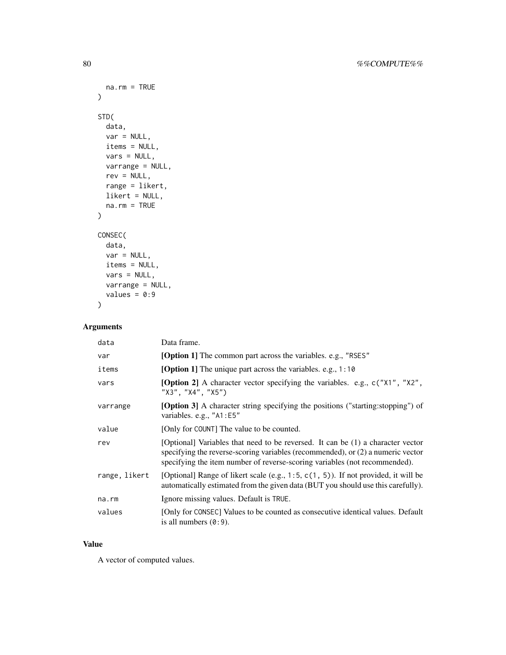```
na.rm = TRUE
\mathcal{L}STD(
  data,
  var = NULL,
  items = NULL,
  vars = NULL,
  varrange = NULL,
  rev = NULL,range = likert,
  likert = NULL,
  na.rm = TRUE
)
CONSEC(
  data,
  var = NULL,
  items = NULL,
  vars = NULL,varrange = NULL,
  values = 0:9)
```
# Arguments

| data          | Data frame.                                                                                                                                                                                                                                        |
|---------------|----------------------------------------------------------------------------------------------------------------------------------------------------------------------------------------------------------------------------------------------------|
| var           | <b>[Option 1]</b> The common part across the variables. e.g., "RSES"                                                                                                                                                                               |
| items         | <b>[Option 1]</b> The unique part across the variables. e.g., 1:10                                                                                                                                                                                 |
| vars          | [Option 2] A character vector specifying the variables. e.g., c("X1", "X2",<br>"X3", "X4", "X5")                                                                                                                                                   |
| varrange      | <b>[Option 3]</b> A character string specifying the positions ("starting: stopping") of<br>variables. e.g., "A1:E5"                                                                                                                                |
| value         | [Only for COUNT] The value to be counted.                                                                                                                                                                                                          |
| rev           | [Optional] Variables that need to be reversed. It can be (1) a character vector<br>specifying the reverse-scoring variables (recommended), or $(2)$ a numeric vector<br>specifying the item number of reverse-scoring variables (not recommended). |
| range, likert | [Optional] Range of likert scale (e.g., $1:5$ , $c(1, 5)$ ). If not provided, it will be<br>automatically estimated from the given data (BUT you should use this carefully).                                                                       |
| na.rm         | Ignore missing values. Default is TRUE.                                                                                                                                                                                                            |
| values        | [Only for CONSEC] Values to be counted as consecutive identical values. Default<br>is all numbers $(0:9)$ .                                                                                                                                        |

#### Value

A vector of computed values.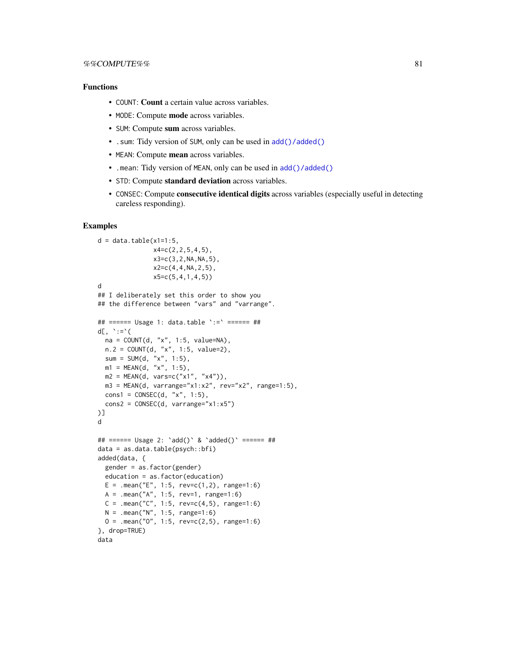#### <span id="page-80-0"></span>Functions

- COUNT: Count a certain value across variables.
- MODE: Compute mode across variables.
- SUM: Compute sum across variables.
- . sum: Tidy version of SUM, only can be used in [add\(\)/added\(\)](#page-0-0)
- MEAN: Compute mean across variables.
- .mean: Tidy version of MEAN, only can be used in [add\(\)/added\(\)](#page-0-0)
- STD: Compute standard deviation across variables.
- CONSEC: Compute consecutive identical digits across variables (especially useful in detecting careless responding).

```
d = data_table(x1=1:5,x4=c(2,2,5,4,5),
               x3=c(3,2,NA,NA,5),
               x2=c(4,4,NA,2,5),
               x5=c(5,4,1,4,5))
d
## I deliberately set this order to show you
## the difference between "vars" and "varrange".
## ====== Usage 1: data.table `:=` ====== ##
d[\, , \quad ' := 'na = COUNT(d, "x", 1:5, value=NA),
  n.2 = COUNT(d, "x", 1:5, value=2),
  sum = SUM(d, "x", 1:5),
  m1 = MEAN(d, "x", 1:5),
  m2 = MEAN(d, vars=c("x1", "x4")),
  m3 = MEM(d, variance="x1:x2", rev="x2", range=1:5),
  const = CONSEC(d, "x", 1:5),cons2 = CONSEC(d, varrange="x1:x5"))]
d
## ====== Usage 2: `add()` & `added()` ====== ##
data = as.data.table(psych::bfi)
added(data, {
  gender = as.factor(gender)
  education = as.factor(education)
  E = .mean("E", 1:5, rev=c(1,2), range=1:6)
  A = .mean("A", 1:5, rev=1, range=1:6)
  C = .mean("C", 1:5, rev=c(4,5), range=1:6)N = .mean("N", 1:5, range=1:6)0 = .mean("0", 1:5, rev=c(2,5), range=1:6)}, drop=TRUE)
data
```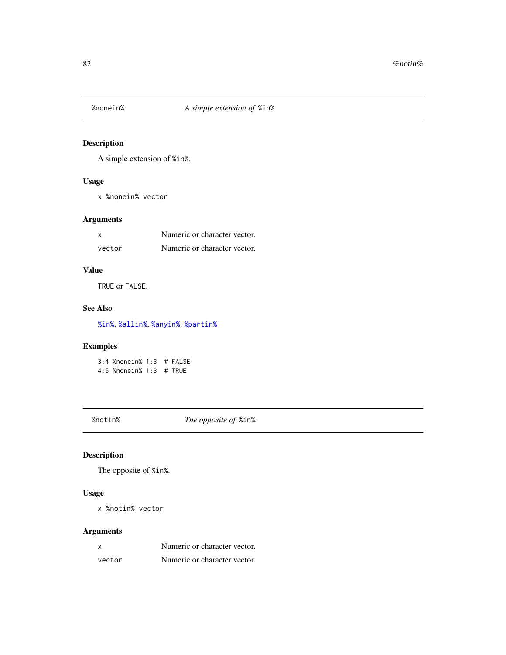<span id="page-81-1"></span><span id="page-81-0"></span>

# Description

A simple extension of %in%.

# Usage

x %nonein% vector

# Arguments

| x      | Numeric or character vector. |
|--------|------------------------------|
| vector | Numeric or character vector. |

# Value

TRUE or FALSE.

# See Also

[%in%](#page-0-0), [%allin%](#page-76-0), [%anyin%](#page-77-0), [%partin%](#page-82-0)

# Examples

3:4 %nonein% 1:3 # FALSE 4:5 %nonein% 1:3 # TRUE

%notin% *The opposite of* %in%*.*

# Description

The opposite of %in%.

#### Usage

x %notin% vector

# Arguments

| x      | Numeric or character vector. |
|--------|------------------------------|
| vector | Numeric or character vector. |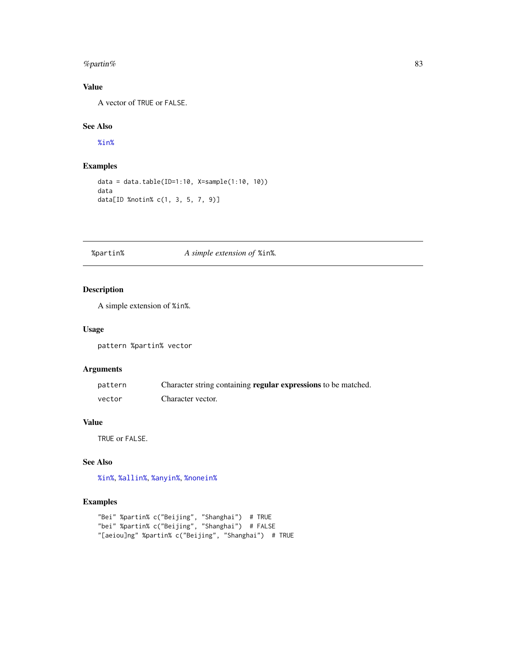#### <span id="page-82-1"></span>% the system of the system of the system of the system of the system of the system of the system of the system of the system of the system of the system of the system of the system of the system of the system of the syste

# Value

A vector of TRUE or FALSE.

# See Also

[%in%](#page-0-0)

# Examples

```
data = data.table(ID=1:10, X=sample(1:10, 10))
data
data[ID %notin% c(1, 3, 5, 7, 9)]
```
# <span id="page-82-0"></span>%partin% *A simple extension of* %in%*.*

# Description

A simple extension of %in%.

#### Usage

pattern %partin% vector

# Arguments

| pattern | Character string containing regular expressions to be matched. |
|---------|----------------------------------------------------------------|
| vector  | Character vector.                                              |

# Value

TRUE or FALSE.

# See Also

[%in%](#page-0-0), [%allin%](#page-76-0), [%anyin%](#page-77-0), [%nonein%](#page-81-0)

```
"Bei" %partin% c("Beijing", "Shanghai") # TRUE
"bei" %partin% c("Beijing", "Shanghai") # FALSE
"[aeiou]ng" %partin% c("Beijing", "Shanghai") # TRUE
```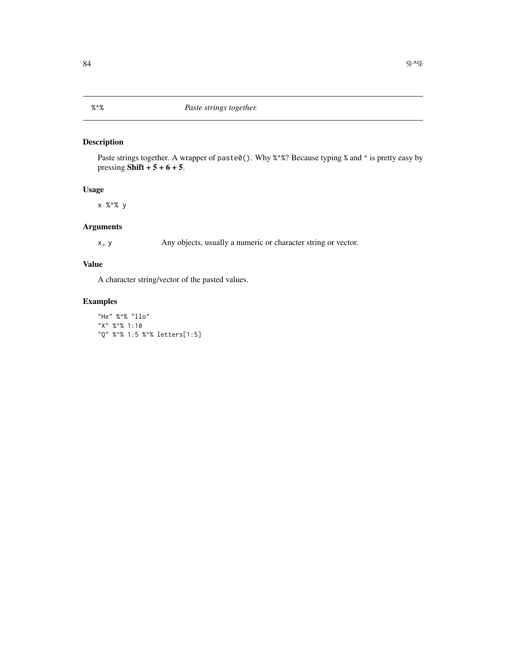# <span id="page-83-0"></span>Description

Paste strings together. A wrapper of paste0(). Why %^%? Because typing % and ^ is pretty easy by pressing Shift  $+ 5 + 6 + 5$ .

#### Usage

x %^% y

# Arguments

x, y Any objects, usually a numeric or character string or vector.

# Value

A character string/vector of the pasted values.

# Examples

"He" %^% "llo" "X" %^% 1:10 "Q" %^% 1:5 %^% letters[1:5]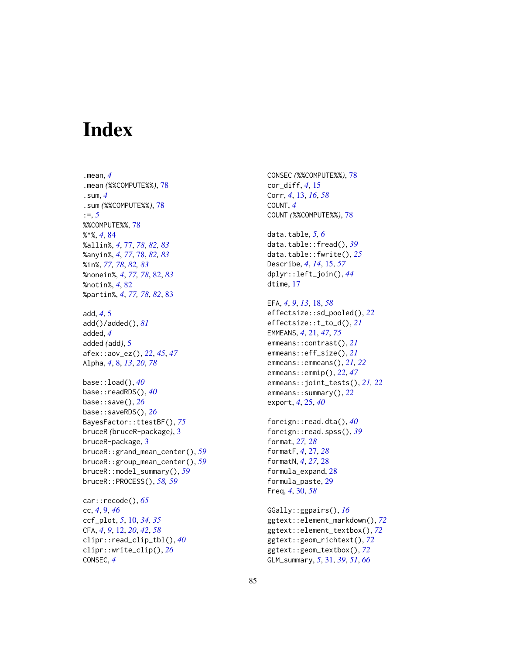# **Index**

.mean, *[4](#page-3-0)* .mean *(*%%COMPUTE%%*)*, [78](#page-77-1) .sum, *[4](#page-3-0)* .sum *(*%%COMPUTE%%*)*, [78](#page-77-1) :=, *[5](#page-4-0)* %%COMPUTE%%, [78](#page-77-1) %^%, *[4](#page-3-0)*, [84](#page-83-0) %allin%, *[4](#page-3-0)*, [77,](#page-76-1) *[78](#page-77-1)*, *[82,](#page-81-1) [83](#page-82-1)* %anyin%, *[4](#page-3-0)*, *[77](#page-76-1)*, [78,](#page-77-1) *[82,](#page-81-1) [83](#page-82-1)* %in%, *[77,](#page-76-1) [78](#page-77-1)*, *[82,](#page-81-1) [83](#page-82-1)* %nonein%, *[4](#page-3-0)*, *[77,](#page-76-1) [78](#page-77-1)*, [82,](#page-81-1) *[83](#page-82-1)* %notin%, *[4](#page-3-0)*, [82](#page-81-1) %partin%, *[4](#page-3-0)*, *[77,](#page-76-1) [78](#page-77-1)*, *[82](#page-81-1)*, [83](#page-82-1) add, *[4](#page-3-0)*, [5](#page-4-0) add()/added(), *[81](#page-80-0)* added, *[4](#page-3-0)* added *(*add*)*, [5](#page-4-0) afex::aov\_ez(), *[22](#page-21-0)*, *[45](#page-44-1)*, *[47](#page-46-0)* Alpha, *[4](#page-3-0)*, [8,](#page-7-1) *[13](#page-12-0)*, *[20](#page-19-0)*, *[78](#page-77-1)* base::load(), *[40](#page-39-0)* base::readRDS(), *[40](#page-39-0)* base::save(), *[26](#page-25-0)* base::saveRDS(), *[26](#page-25-0)* BayesFactor::ttestBF(), *[75](#page-74-0)* bruceR *(*bruceR-package*)*, [3](#page-2-0) bruceR-package, [3](#page-2-0) bruceR::grand\_mean\_center(), *[59](#page-58-0)* bruceR::group\_mean\_center(), *[59](#page-58-0)* bruceR::model\_summary(), *[59](#page-58-0)* bruceR::PROCESS(), *[58,](#page-57-0) [59](#page-58-0)*

car::recode(), *[65](#page-64-0)* cc, *[4](#page-3-0)*, [9,](#page-8-0) *[46](#page-45-0)* ccf\_plot, *[5](#page-4-0)*, [10,](#page-9-0) *[34,](#page-33-0) [35](#page-34-0)* CFA, *[4](#page-3-0)*, *[9](#page-8-0)*, [12,](#page-11-0) *[20](#page-19-0)*, *[42](#page-41-0)*, *[58](#page-57-0)* clipr::read\_clip\_tbl(), *[40](#page-39-0)* clipr::write\_clip(), *[26](#page-25-0)* CONSEC, *[4](#page-3-0)*

CONSEC *(*%%COMPUTE%%*)*, [78](#page-77-1) cor\_diff, *[4](#page-3-0)*, [15](#page-14-0) Corr, *[4](#page-3-0)*, [13,](#page-12-0) *[16](#page-15-0)*, *[58](#page-57-0)* COUNT, *[4](#page-3-0)* COUNT *(*%%COMPUTE%%*)*, [78](#page-77-1)

data.table, *[5,](#page-4-0) [6](#page-5-0)* data.table::fread(), *[39](#page-38-0)* data.table::fwrite(), *[25](#page-24-0)* Describe, *[4](#page-3-0)*, *[14](#page-13-0)*, [15,](#page-14-0) *[57](#page-56-0)* dplyr::left\_join(), *[44](#page-43-0)* dtime, [17](#page-16-0)

# EFA, *[4](#page-3-0)*, *[9](#page-8-0)*, *[13](#page-12-0)*, [18,](#page-17-0) *[58](#page-57-0)* effectsize::sd\_pooled(), *[22](#page-21-0)* effectsize::t\_to\_d(), *[21](#page-20-1)* EMMEANS, *[4](#page-3-0)*, [21,](#page-20-1) *[47](#page-46-0)*, *[75](#page-74-0)* emmeans::contrast(), *[21](#page-20-1)* emmeans::eff\_size(), *[21](#page-20-1)* emmeans::emmeans(), *[21,](#page-20-1) [22](#page-21-0)* emmeans::emmip(), *[22](#page-21-0)*, *[47](#page-46-0)* emmeans::joint\_tests(), *[21,](#page-20-1) [22](#page-21-0)* emmeans::summary(), *[22](#page-21-0)* export, *[4](#page-3-0)*, [25,](#page-24-0) *[40](#page-39-0)*

foreign::read.dta(), *[40](#page-39-0)* foreign::read.spss(), *[39](#page-38-0)* format, *[27,](#page-26-0) [28](#page-27-0)* formatF, *[4](#page-3-0)*, [27,](#page-26-0) *[28](#page-27-0)* formatN, *[4](#page-3-0)*, *[27](#page-26-0)*, [28](#page-27-0) formula\_expand, [28](#page-27-0) formula\_paste, [29](#page-28-0) Freq, *[4](#page-3-0)*, [30,](#page-29-0) *[58](#page-57-0)*

GGally::ggpairs(), *[16](#page-15-0)* ggtext::element\_markdown(), *[72](#page-71-0)* ggtext::element\_textbox(), *[72](#page-71-0)* ggtext::geom\_richtext(), *[72](#page-71-0)* ggtext::geom\_textbox(), *[72](#page-71-0)* GLM\_summary, *[5](#page-4-0)*, [31,](#page-30-0) *[39](#page-38-0)*, *[51](#page-50-0)*, *[66](#page-65-0)*